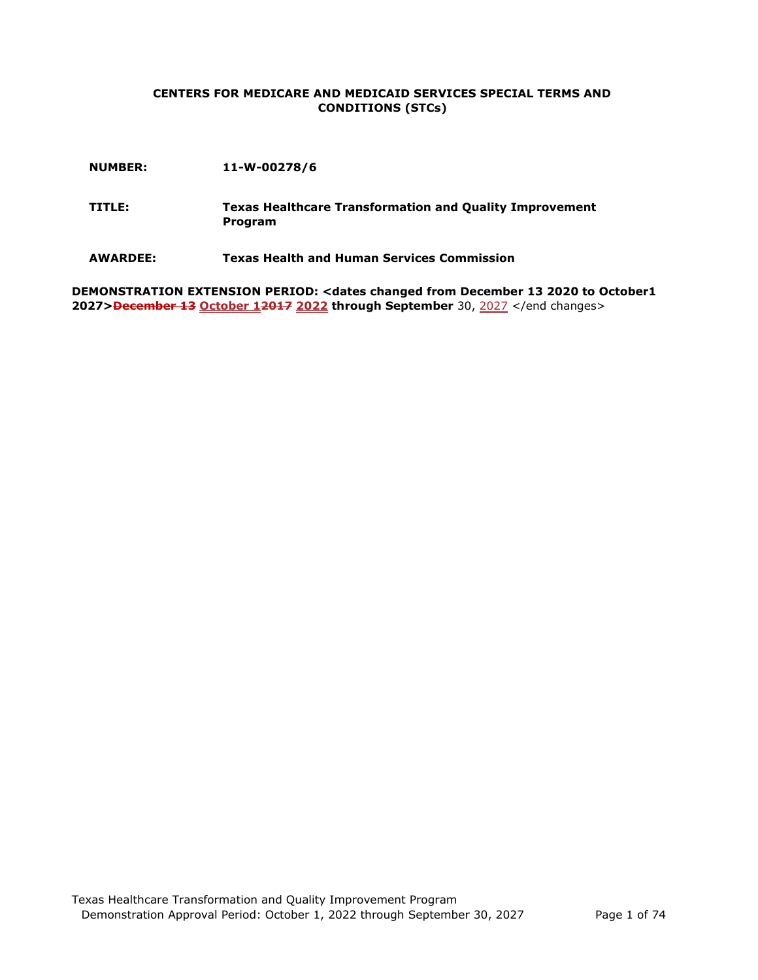#### **CENTERS FOR MEDICARE AND MEDICAID SERVICES SPECIAL TERMS AND CONDITIONS (STCs)**

- **TITLE: Texas Healthcare Transformation and Quality Improvement Program**
- **AWARDEE: Texas Health and Human Services Commission**

**DEMONSTRATION EXTENSION PERIOD: <dates changed from December 13 2020 to October1 2027>December 13 October 12017 2022 through September** 30, 2027 </end changes>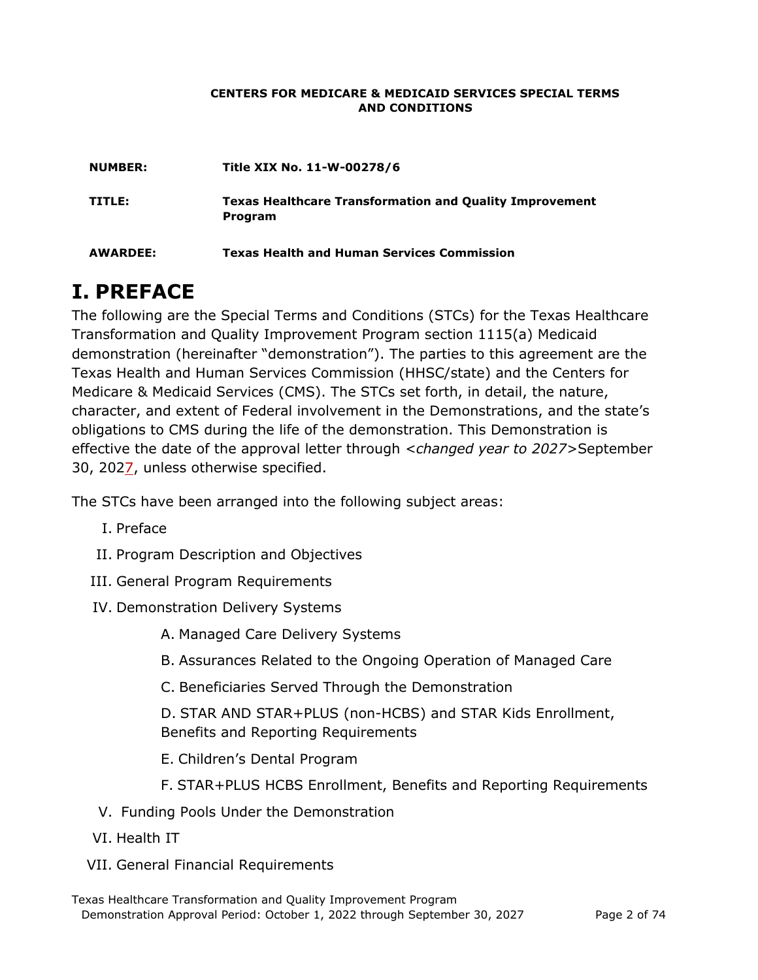#### **CENTERS FOR MEDICARE & MEDICAID SERVICES SPECIAL TERMS AND CONDITIONS**

| <b>NUMBER:</b> | Title XIX No. 11-W-00278/6                                                |
|----------------|---------------------------------------------------------------------------|
| TITLE:         | <b>Texas Healthcare Transformation and Quality Improvement</b><br>Program |
| AWARDEE:       | <b>Texas Health and Human Services Commission</b>                         |

# **I. PREFACE**

The following are the Special Terms and Conditions (STCs) for the Texas Healthcare Transformation and Quality Improvement Program section 1115(a) Medicaid demonstration (hereinafter "demonstration"). The parties to this agreement are the Texas Health and Human Services Commission (HHSC/state) and the Centers for Medicare & Medicaid Services (CMS). The STCs set forth, in detail, the nature, character, and extent of Federal involvement in the Demonstrations, and the state's obligations to CMS during the life of the demonstration. This Demonstration is effective the date of the approval letter through *<changed year to 2027>*September 30, 2027, unless otherwise specified.

The STCs have been arranged into the following subject areas:

- I. Preface
- II. Program Description and Objectives
- III. General Program Requirements
- IV. Demonstration Delivery Systems
	- A. Managed Care Delivery Systems
	- B. Assurances Related to the Ongoing Operation of Managed Care
	- C. Beneficiaries Served Through the Demonstration

D. STAR AND STAR+PLUS (non-HCBS) and STAR Kids Enrollment, Benefits and Reporting Requirements

- E. Children's Dental Program
- F. STAR+PLUS HCBS Enrollment, Benefits and Reporting Requirements
- V. Funding Pools Under the Demonstration
- VI. Health IT
- VII. General Financial Requirements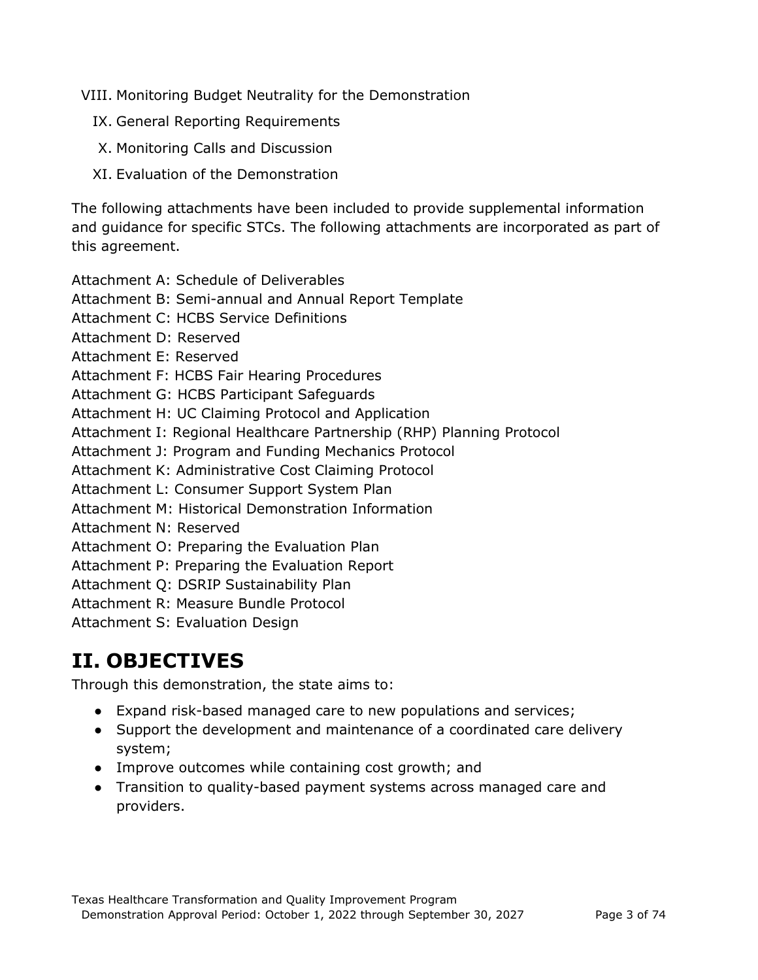VIII. Monitoring Budget Neutrality for the Demonstration

- IX. General Reporting Requirements
- X. Monitoring Calls and Discussion
- XI. Evaluation of the Demonstration

The following attachments have been included to provide supplemental information and guidance for specific STCs. The following attachments are incorporated as part of this agreement.

- Attachment A: Schedule of Deliverables
- Attachment B: Semi-annual and Annual Report Template
- Attachment C: HCBS Service Definitions
- Attachment D: Reserved
- Attachment E: Reserved
- Attachment F: HCBS Fair Hearing Procedures
- Attachment G: HCBS Participant Safeguards
- Attachment H: UC Claiming Protocol and Application
- Attachment I: Regional Healthcare Partnership (RHP) Planning Protocol
- Attachment J: Program and Funding Mechanics Protocol
- Attachment K: Administrative Cost Claiming Protocol
- Attachment L: Consumer Support System Plan
- Attachment M: Historical Demonstration Information
- Attachment N: Reserved
- Attachment O: Preparing the Evaluation Plan
- Attachment P: Preparing the Evaluation Report
- Attachment Q: DSRIP Sustainability Plan
- Attachment R: Measure Bundle Protocol
- Attachment S: Evaluation Design

# **II. OBJECTIVES**

Through this demonstration, the state aims to:

- Expand risk-based managed care to new populations and services;
- Support the development and maintenance of a coordinated care delivery system;
- Improve outcomes while containing cost growth; and
- Transition to quality-based payment systems across managed care and providers.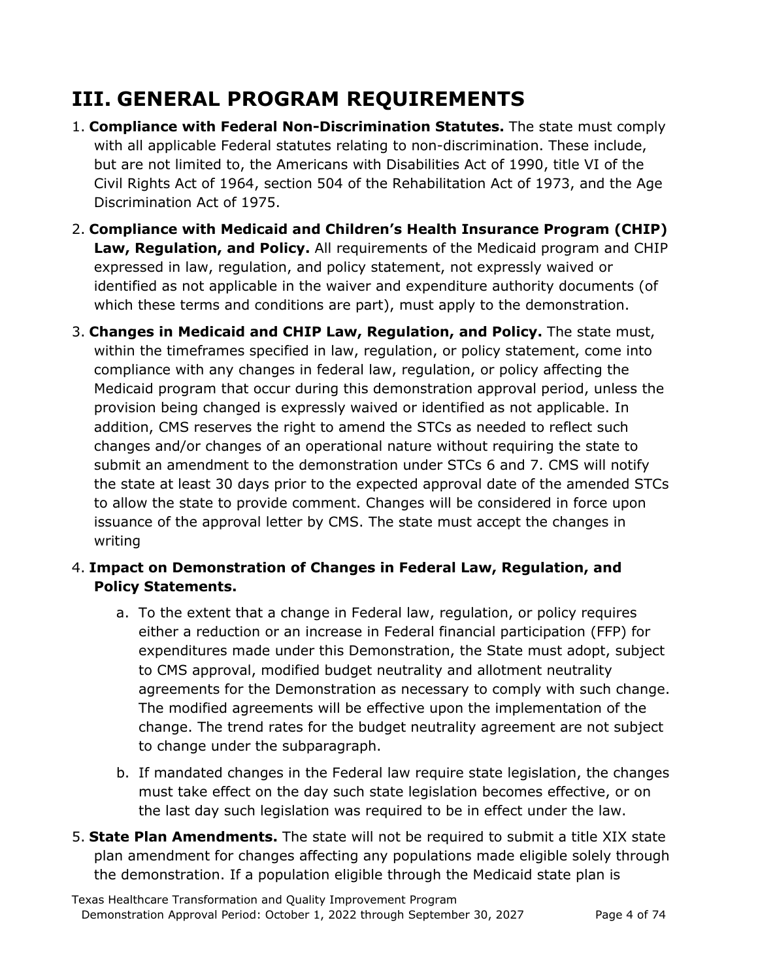# **III. GENERAL PROGRAM REQUIREMENTS**

- 1. **Compliance with Federal Non-Discrimination Statutes.** The state must comply with all applicable Federal statutes relating to non-discrimination. These include, but are not limited to, the Americans with Disabilities Act of 1990, title VI of the Civil Rights Act of 1964, section 504 of the Rehabilitation Act of 1973, and the Age Discrimination Act of 1975.
- 2. **Compliance with Medicaid and Children's Health Insurance Program (CHIP) Law, Regulation, and Policy.** All requirements of the Medicaid program and CHIP expressed in law, regulation, and policy statement, not expressly waived or identified as not applicable in the waiver and expenditure authority documents (of which these terms and conditions are part), must apply to the demonstration.
- 3. **Changes in Medicaid and CHIP Law, Regulation, and Policy.** The state must, within the timeframes specified in law, regulation, or policy statement, come into compliance with any changes in federal law, regulation, or policy affecting the Medicaid program that occur during this demonstration approval period, unless the provision being changed is expressly waived or identified as not applicable. In addition, CMS reserves the right to amend the STCs as needed to reflect such changes and/or changes of an operational nature without requiring the state to submit an amendment to the demonstration under STCs 6 and 7. CMS will notify the state at least 30 days prior to the expected approval date of the amended STCs to allow the state to provide comment. Changes will be considered in force upon issuance of the approval letter by CMS. The state must accept the changes in writing

## 4. **Impact on Demonstration of Changes in Federal Law, Regulation, and Policy Statements.**

- a. To the extent that a change in Federal law, regulation, or policy requires either a reduction or an increase in Federal financial participation (FFP) for expenditures made under this Demonstration, the State must adopt, subject to CMS approval, modified budget neutrality and allotment neutrality agreements for the Demonstration as necessary to comply with such change. The modified agreements will be effective upon the implementation of the change. The trend rates for the budget neutrality agreement are not subject to change under the subparagraph.
- b. If mandated changes in the Federal law require state legislation, the changes must take effect on the day such state legislation becomes effective, or on the last day such legislation was required to be in effect under the law.
- 5. **State Plan Amendments.** The state will not be required to submit a title XIX state plan amendment for changes affecting any populations made eligible solely through the demonstration. If a population eligible through the Medicaid state plan is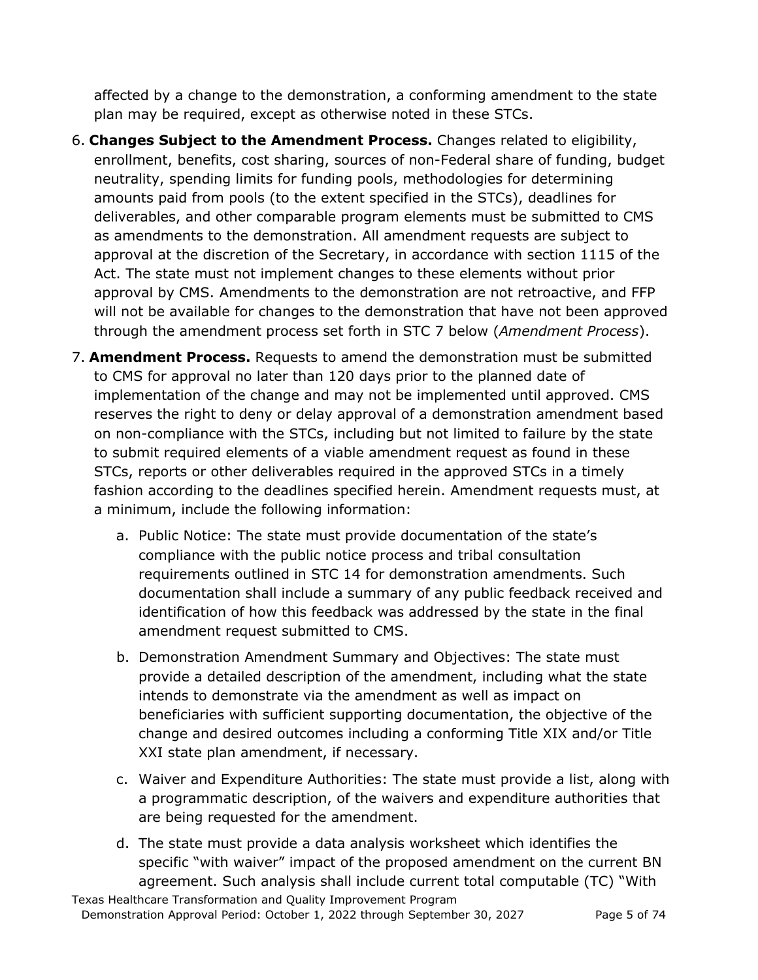affected by a change to the demonstration, a conforming amendment to the state plan may be required, except as otherwise noted in these STCs.

- 6. **Changes Subject to the Amendment Process.** Changes related to eligibility, enrollment, benefits, cost sharing, sources of non-Federal share of funding, budget neutrality, spending limits for funding pools, methodologies for determining amounts paid from pools (to the extent specified in the STCs), deadlines for deliverables, and other comparable program elements must be submitted to CMS as amendments to the demonstration. All amendment requests are subject to approval at the discretion of the Secretary, in accordance with section 1115 of the Act. The state must not implement changes to these elements without prior approval by CMS. Amendments to the demonstration are not retroactive, and FFP will not be available for changes to the demonstration that have not been approved through the amendment process set forth in STC 7 below (*Amendment Process*).
- 7. **Amendment Process.** Requests to amend the demonstration must be submitted to CMS for approval no later than 120 days prior to the planned date of implementation of the change and may not be implemented until approved. CMS reserves the right to deny or delay approval of a demonstration amendment based on non-compliance with the STCs, including but not limited to failure by the state to submit required elements of a viable amendment request as found in these STCs, reports or other deliverables required in the approved STCs in a timely fashion according to the deadlines specified herein. Amendment requests must, at a minimum, include the following information:
	- a. Public Notice: The state must provide documentation of the state's compliance with the public notice process and tribal consultation requirements outlined in STC 14 for demonstration amendments. Such documentation shall include a summary of any public feedback received and identification of how this feedback was addressed by the state in the final amendment request submitted to CMS.
	- b. Demonstration Amendment Summary and Objectives: The state must provide a detailed description of the amendment, including what the state intends to demonstrate via the amendment as well as impact on beneficiaries with sufficient supporting documentation, the objective of the change and desired outcomes including a conforming Title XIX and/or Title XXI state plan amendment, if necessary.
	- c. Waiver and Expenditure Authorities: The state must provide a list, along with a programmatic description, of the waivers and expenditure authorities that are being requested for the amendment.
	- d. The state must provide a data analysis worksheet which identifies the specific "with waiver" impact of the proposed amendment on the current BN agreement. Such analysis shall include current total computable (TC) "With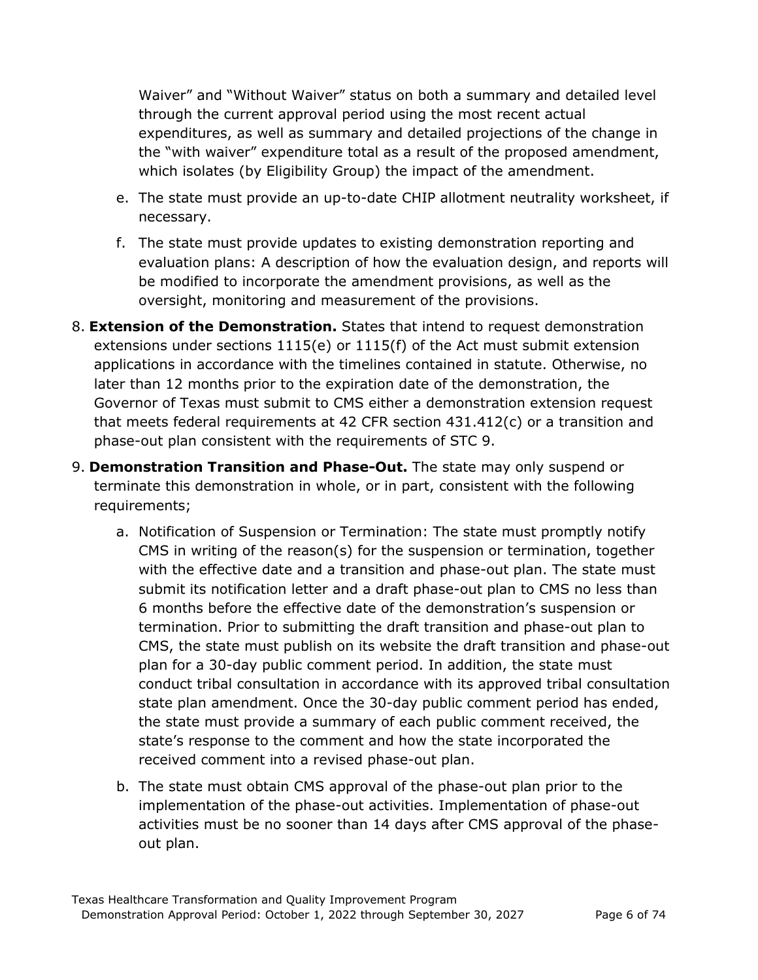Waiver" and "Without Waiver" status on both a summary and detailed level through the current approval period using the most recent actual expenditures, as well as summary and detailed projections of the change in the "with waiver" expenditure total as a result of the proposed amendment, which isolates (by Eligibility Group) the impact of the amendment.

- e. The state must provide an up-to-date CHIP allotment neutrality worksheet, if necessary.
- f. The state must provide updates to existing demonstration reporting and evaluation plans: A description of how the evaluation design, and reports will be modified to incorporate the amendment provisions, as well as the oversight, monitoring and measurement of the provisions.
- 8. **Extension of the Demonstration.** States that intend to request demonstration extensions under sections 1115(e) or 1115(f) of the Act must submit extension applications in accordance with the timelines contained in statute. Otherwise, no later than 12 months prior to the expiration date of the demonstration, the Governor of Texas must submit to CMS either a demonstration extension request that meets federal requirements at 42 CFR section 431.412(c) or a transition and phase-out plan consistent with the requirements of STC 9.
- 9. **Demonstration Transition and Phase-Out.** The state may only suspend or terminate this demonstration in whole, or in part, consistent with the following requirements;
	- a. Notification of Suspension or Termination: The state must promptly notify CMS in writing of the reason(s) for the suspension or termination, together with the effective date and a transition and phase-out plan. The state must submit its notification letter and a draft phase-out plan to CMS no less than 6 months before the effective date of the demonstration's suspension or termination. Prior to submitting the draft transition and phase-out plan to CMS, the state must publish on its website the draft transition and phase-out plan for a 30-day public comment period. In addition, the state must conduct tribal consultation in accordance with its approved tribal consultation state plan amendment. Once the 30-day public comment period has ended, the state must provide a summary of each public comment received, the state's response to the comment and how the state incorporated the received comment into a revised phase-out plan.
	- b. The state must obtain CMS approval of the phase-out plan prior to the implementation of the phase-out activities. Implementation of phase-out activities must be no sooner than 14 days after CMS approval of the phaseout plan.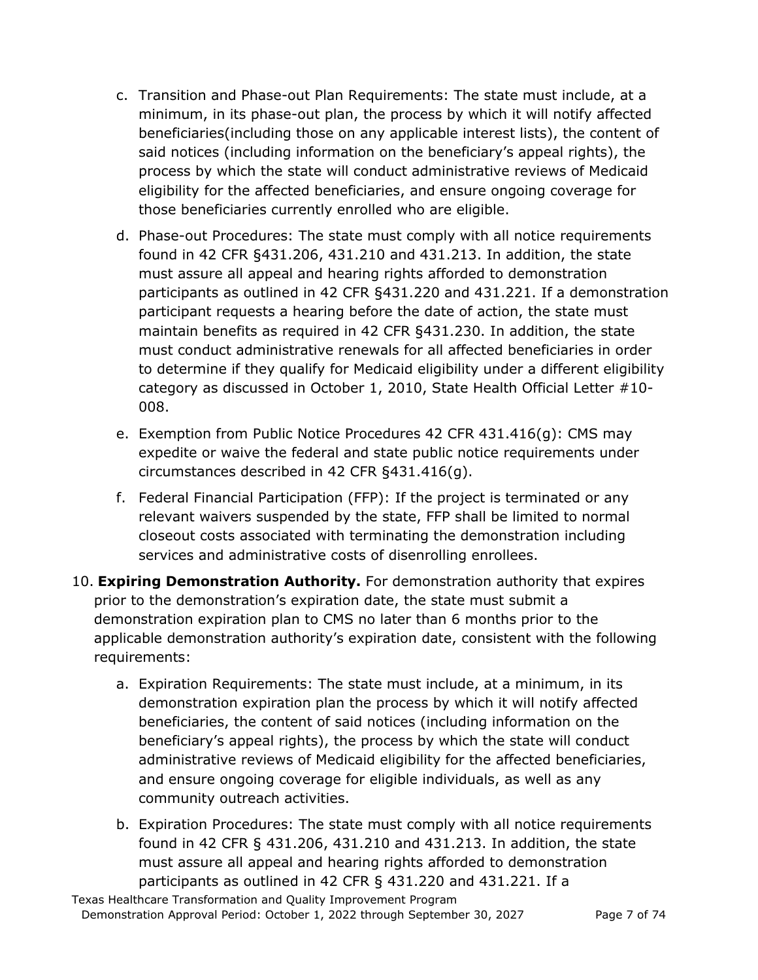- c. Transition and Phase-out Plan Requirements: The state must include, at a minimum, in its phase-out plan, the process by which it will notify affected beneficiaries(including those on any applicable interest lists), the content of said notices (including information on the beneficiary's appeal rights), the process by which the state will conduct administrative reviews of Medicaid eligibility for the affected beneficiaries, and ensure ongoing coverage for those beneficiaries currently enrolled who are eligible.
- d. Phase-out Procedures: The state must comply with all notice requirements found in 42 CFR §431.206, 431.210 and 431.213. In addition, the state must assure all appeal and hearing rights afforded to demonstration participants as outlined in 42 CFR §431.220 and 431.221. If a demonstration participant requests a hearing before the date of action, the state must maintain benefits as required in 42 CFR §431.230. In addition, the state must conduct administrative renewals for all affected beneficiaries in order to determine if they qualify for Medicaid eligibility under a different eligibility category as discussed in October 1, 2010, State Health Official Letter #10- 008.
- e. Exemption from Public Notice Procedures 42 CFR 431.416(g): CMS may expedite or waive the federal and state public notice requirements under circumstances described in 42 CFR §431.416(g).
- f. Federal Financial Participation (FFP): If the project is terminated or any relevant waivers suspended by the state, FFP shall be limited to normal closeout costs associated with terminating the demonstration including services and administrative costs of disenrolling enrollees.
- 10. **Expiring Demonstration Authority.** For demonstration authority that expires prior to the demonstration's expiration date, the state must submit a demonstration expiration plan to CMS no later than 6 months prior to the applicable demonstration authority's expiration date, consistent with the following requirements:
	- a. Expiration Requirements: The state must include, at a minimum, in its demonstration expiration plan the process by which it will notify affected beneficiaries, the content of said notices (including information on the beneficiary's appeal rights), the process by which the state will conduct administrative reviews of Medicaid eligibility for the affected beneficiaries, and ensure ongoing coverage for eligible individuals, as well as any community outreach activities.
	- b. Expiration Procedures: The state must comply with all notice requirements found in 42 CFR § 431.206, 431.210 and 431.213. In addition, the state must assure all appeal and hearing rights afforded to demonstration participants as outlined in 42 CFR § 431.220 and 431.221. If a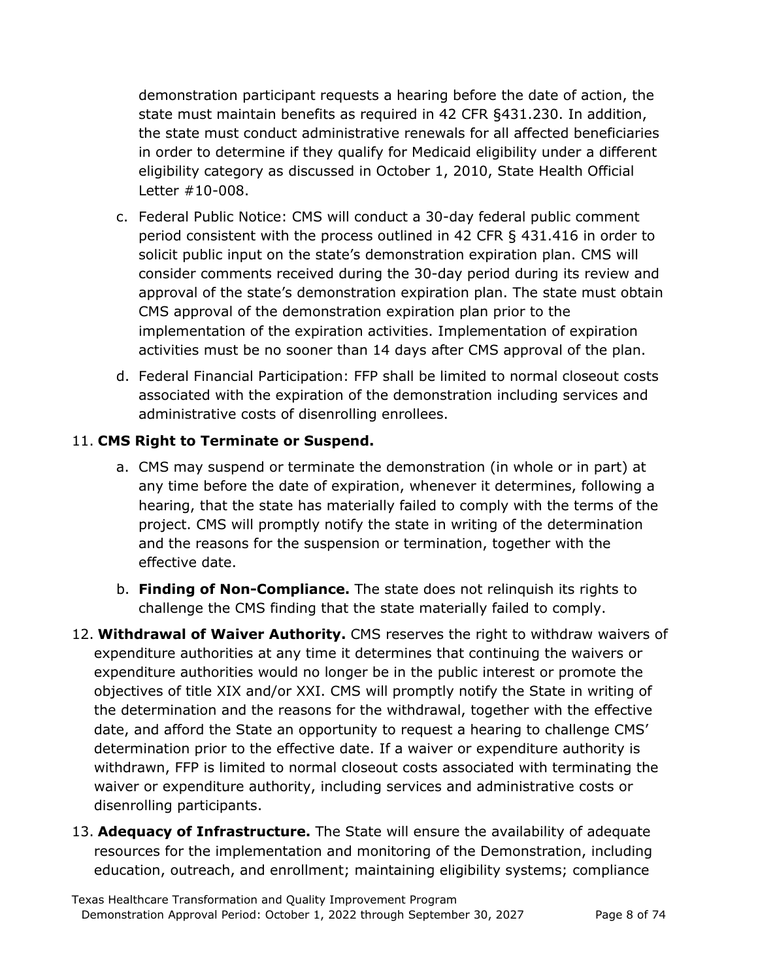demonstration participant requests a hearing before the date of action, the state must maintain benefits as required in 42 CFR §431.230. In addition, the state must conduct administrative renewals for all affected beneficiaries in order to determine if they qualify for Medicaid eligibility under a different eligibility category as discussed in October 1, 2010, State Health Official Letter #10-008.

- c. Federal Public Notice: CMS will conduct a 30-day federal public comment period consistent with the process outlined in 42 CFR § 431.416 in order to solicit public input on the state's demonstration expiration plan. CMS will consider comments received during the 30-day period during its review and approval of the state's demonstration expiration plan. The state must obtain CMS approval of the demonstration expiration plan prior to the implementation of the expiration activities. Implementation of expiration activities must be no sooner than 14 days after CMS approval of the plan.
- d. Federal Financial Participation: FFP shall be limited to normal closeout costs associated with the expiration of the demonstration including services and administrative costs of disenrolling enrollees.

## 11. **CMS Right to Terminate or Suspend.**

- a. CMS may suspend or terminate the demonstration (in whole or in part) at any time before the date of expiration, whenever it determines, following a hearing, that the state has materially failed to comply with the terms of the project. CMS will promptly notify the state in writing of the determination and the reasons for the suspension or termination, together with the effective date.
- b. **Finding of Non-Compliance.** The state does not relinquish its rights to challenge the CMS finding that the state materially failed to comply.
- 12. **Withdrawal of Waiver Authority.** CMS reserves the right to withdraw waivers of expenditure authorities at any time it determines that continuing the waivers or expenditure authorities would no longer be in the public interest or promote the objectives of title XIX and/or XXI. CMS will promptly notify the State in writing of the determination and the reasons for the withdrawal, together with the effective date, and afford the State an opportunity to request a hearing to challenge CMS' determination prior to the effective date. If a waiver or expenditure authority is withdrawn, FFP is limited to normal closeout costs associated with terminating the waiver or expenditure authority, including services and administrative costs or disenrolling participants.
- 13. **Adequacy of Infrastructure.** The State will ensure the availability of adequate resources for the implementation and monitoring of the Demonstration, including education, outreach, and enrollment; maintaining eligibility systems; compliance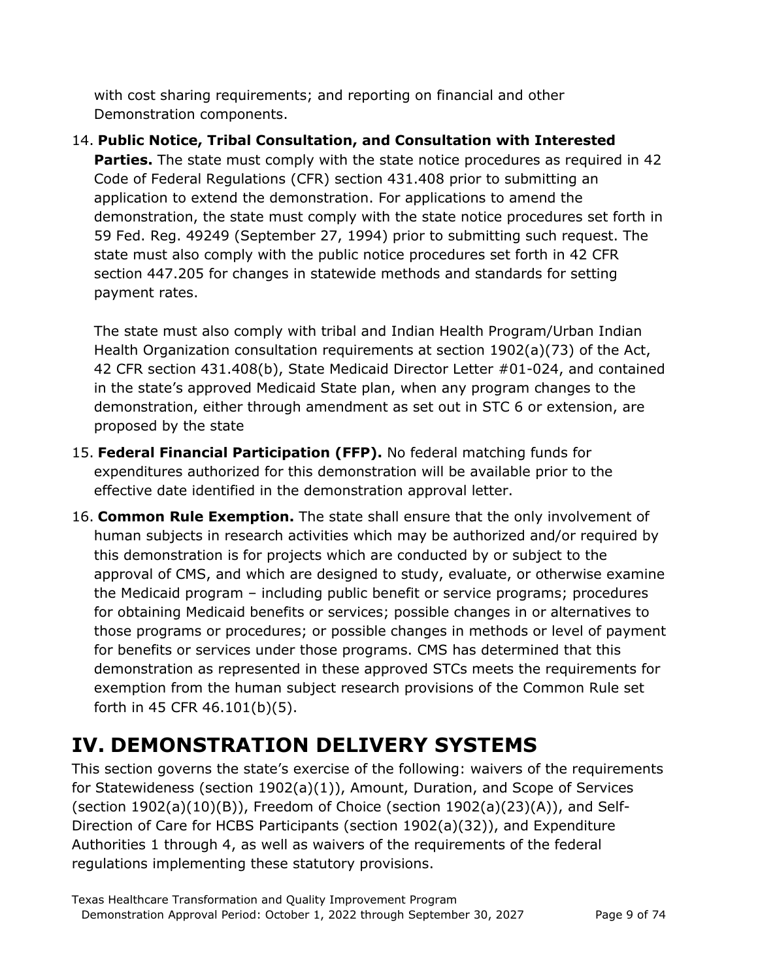with cost sharing requirements; and reporting on financial and other Demonstration components.

## 14. **Public Notice, Tribal Consultation, and Consultation with Interested**

**Parties.** The state must comply with the state notice procedures as required in 42 Code of Federal Regulations (CFR) section 431.408 prior to submitting an application to extend the demonstration. For applications to amend the demonstration, the state must comply with the state notice procedures set forth in 59 Fed. Reg. 49249 (September 27, 1994) prior to submitting such request. The state must also comply with the public notice procedures set forth in 42 CFR section 447.205 for changes in statewide methods and standards for setting payment rates.

The state must also comply with tribal and Indian Health Program/Urban Indian Health Organization consultation requirements at section 1902(a)(73) of the Act, 42 CFR section 431.408(b), State Medicaid Director Letter #01-024, and contained in the state's approved Medicaid State plan, when any program changes to the demonstration, either through amendment as set out in STC 6 or extension, are proposed by the state

- 15. **Federal Financial Participation (FFP).** No federal matching funds for expenditures authorized for this demonstration will be available prior to the effective date identified in the demonstration approval letter.
- 16. **Common Rule Exemption.** The state shall ensure that the only involvement of human subjects in research activities which may be authorized and/or required by this demonstration is for projects which are conducted by or subject to the approval of CMS, and which are designed to study, evaluate, or otherwise examine the Medicaid program – including public benefit or service programs; procedures for obtaining Medicaid benefits or services; possible changes in or alternatives to those programs or procedures; or possible changes in methods or level of payment for benefits or services under those programs. CMS has determined that this demonstration as represented in these approved STCs meets the requirements for exemption from the human subject research provisions of the Common Rule set forth in 45 CFR 46.101(b)(5).

# **IV. DEMONSTRATION DELIVERY SYSTEMS**

This section governs the state's exercise of the following: waivers of the requirements for Statewideness (section 1902(a)(1)), Amount, Duration, and Scope of Services (section 1902(a)(10)(B)), Freedom of Choice (section 1902(a)(23)(A)), and Self-Direction of Care for HCBS Participants (section 1902(a)(32)), and Expenditure Authorities 1 through 4, as well as waivers of the requirements of the federal regulations implementing these statutory provisions.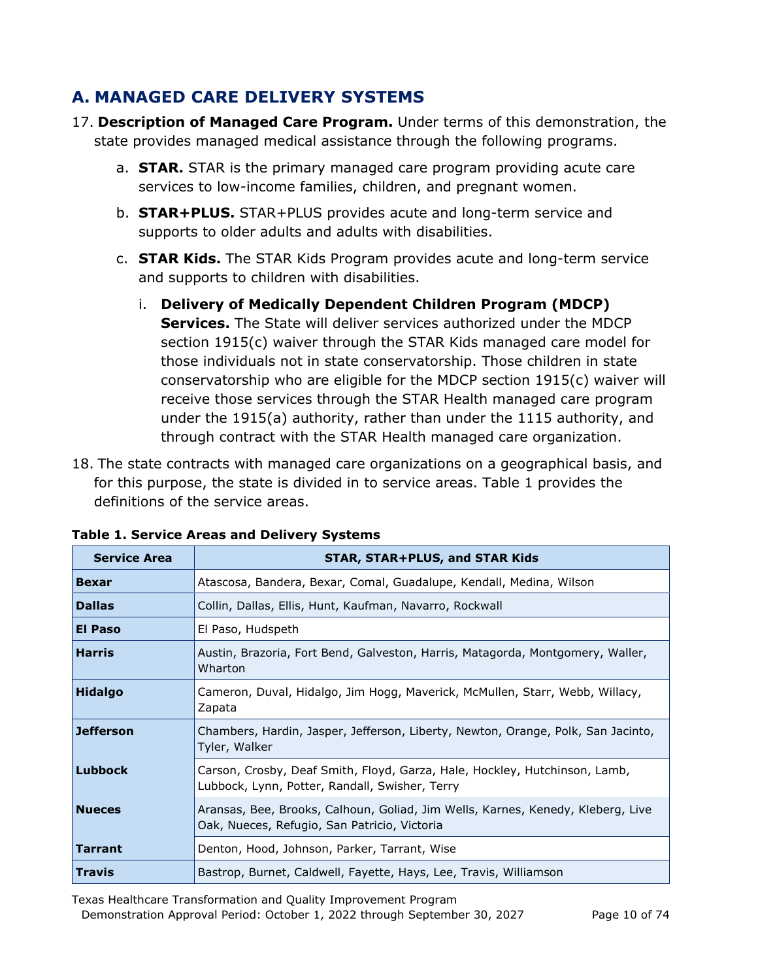# **A. MANAGED CARE DELIVERY SYSTEMS**

- 17. **Description of Managed Care Program.** Under terms of this demonstration, the state provides managed medical assistance through the following programs.
	- a. **STAR.** STAR is the primary managed care program providing acute care services to low-income families, children, and pregnant women.
	- b. **STAR+PLUS.** STAR+PLUS provides acute and long-term service and supports to older adults and adults with disabilities.
	- c. **STAR Kids.** The STAR Kids Program provides acute and long-term service and supports to children with disabilities.
		- i. **Delivery of Medically Dependent Children Program (MDCP) Services.** The State will deliver services authorized under the MDCP section 1915(c) waiver through the STAR Kids managed care model for those individuals not in state conservatorship. Those children in state conservatorship who are eligible for the MDCP section 1915(c) waiver will receive those services through the STAR Health managed care program under the 1915(a) authority, rather than under the 1115 authority, and through contract with the STAR Health managed care organization.
- 18. The state contracts with managed care organizations on a geographical basis, and for this purpose, the state is divided in to service areas. Table 1 provides the definitions of the service areas.

| <b>Service Area</b> | <b>STAR, STAR+PLUS, and STAR Kids</b>                                                                                           |
|---------------------|---------------------------------------------------------------------------------------------------------------------------------|
| <b>Bexar</b>        | Atascosa, Bandera, Bexar, Comal, Guadalupe, Kendall, Medina, Wilson                                                             |
| <b>Dallas</b>       | Collin, Dallas, Ellis, Hunt, Kaufman, Navarro, Rockwall                                                                         |
| El Paso             | El Paso, Hudspeth                                                                                                               |
| <b>Harris</b>       | Austin, Brazoria, Fort Bend, Galveston, Harris, Matagorda, Montgomery, Waller,<br>Wharton                                       |
| <b>Hidalgo</b>      | Cameron, Duval, Hidalgo, Jim Hogg, Maverick, McMullen, Starr, Webb, Willacy,<br>Zapata                                          |
| <b>Jefferson</b>    | Chambers, Hardin, Jasper, Jefferson, Liberty, Newton, Orange, Polk, San Jacinto,<br>Tyler, Walker                               |
| <b>Lubbock</b>      | Carson, Crosby, Deaf Smith, Floyd, Garza, Hale, Hockley, Hutchinson, Lamb,<br>Lubbock, Lynn, Potter, Randall, Swisher, Terry    |
| <b>Nueces</b>       | Aransas, Bee, Brooks, Calhoun, Goliad, Jim Wells, Karnes, Kenedy, Kleberg, Live<br>Oak, Nueces, Refugio, San Patricio, Victoria |
| Tarrant             | Denton, Hood, Johnson, Parker, Tarrant, Wise                                                                                    |
| Travis              | Bastrop, Burnet, Caldwell, Fayette, Hays, Lee, Travis, Williamson                                                               |

**Table 1. Service Areas and Delivery Systems** 

Texas Healthcare Transformation and Quality Improvement Program Demonstration Approval Period: October 1, 2022 through September 30, 2027 Page 10 of 74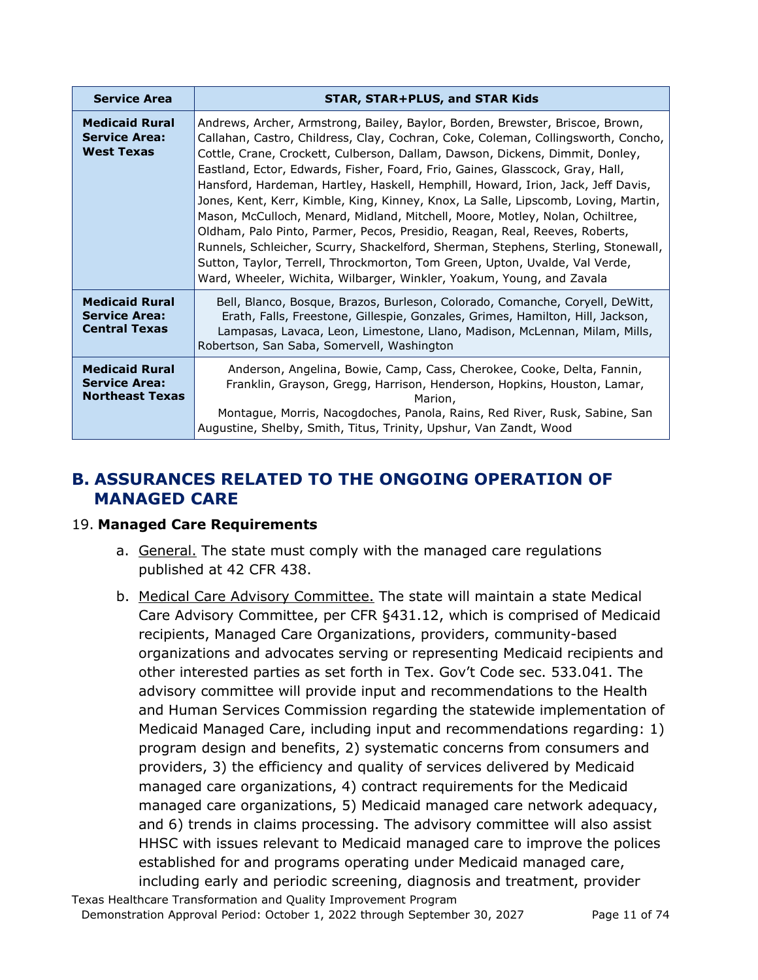| <b>Service Area</b>                                                     | <b>STAR, STAR+PLUS, and STAR Kids</b>                                                                                                                                                                                                                                                                                                                                                                                                                                                                                                                                                                                                                                                                                                                                                                                                                                                                                      |
|-------------------------------------------------------------------------|----------------------------------------------------------------------------------------------------------------------------------------------------------------------------------------------------------------------------------------------------------------------------------------------------------------------------------------------------------------------------------------------------------------------------------------------------------------------------------------------------------------------------------------------------------------------------------------------------------------------------------------------------------------------------------------------------------------------------------------------------------------------------------------------------------------------------------------------------------------------------------------------------------------------------|
| <b>Medicaid Rural</b><br><b>Service Area:</b><br><b>West Texas</b>      | Andrews, Archer, Armstrong, Bailey, Baylor, Borden, Brewster, Briscoe, Brown,<br>Callahan, Castro, Childress, Clay, Cochran, Coke, Coleman, Collingsworth, Concho,<br>Cottle, Crane, Crockett, Culberson, Dallam, Dawson, Dickens, Dimmit, Donley,<br>Eastland, Ector, Edwards, Fisher, Foard, Frio, Gaines, Glasscock, Gray, Hall,<br>Hansford, Hardeman, Hartley, Haskell, Hemphill, Howard, Irion, Jack, Jeff Davis,<br>Jones, Kent, Kerr, Kimble, King, Kinney, Knox, La Salle, Lipscomb, Loving, Martin,<br>Mason, McCulloch, Menard, Midland, Mitchell, Moore, Motley, Nolan, Ochiltree,<br>Oldham, Palo Pinto, Parmer, Pecos, Presidio, Reagan, Real, Reeves, Roberts,<br>Runnels, Schleicher, Scurry, Shackelford, Sherman, Stephens, Sterling, Stonewall,<br>Sutton, Taylor, Terrell, Throckmorton, Tom Green, Upton, Uvalde, Val Verde,<br>Ward, Wheeler, Wichita, Wilbarger, Winkler, Yoakum, Young, and Zavala |
| <b>Medicaid Rural</b><br><b>Service Area:</b><br><b>Central Texas</b>   | Bell, Blanco, Bosque, Brazos, Burleson, Colorado, Comanche, Coryell, DeWitt,<br>Erath, Falls, Freestone, Gillespie, Gonzales, Grimes, Hamilton, Hill, Jackson,<br>Lampasas, Lavaca, Leon, Limestone, Llano, Madison, McLennan, Milam, Mills,<br>Robertson, San Saba, Somervell, Washington                                                                                                                                                                                                                                                                                                                                                                                                                                                                                                                                                                                                                                 |
| <b>Medicaid Rural</b><br><b>Service Area:</b><br><b>Northeast Texas</b> | Anderson, Angelina, Bowie, Camp, Cass, Cherokee, Cooke, Delta, Fannin,<br>Franklin, Grayson, Gregg, Harrison, Henderson, Hopkins, Houston, Lamar,<br>Marion,<br>Montague, Morris, Nacogdoches, Panola, Rains, Red River, Rusk, Sabine, San<br>Augustine, Shelby, Smith, Titus, Trinity, Upshur, Van Zandt, Wood                                                                                                                                                                                                                                                                                                                                                                                                                                                                                                                                                                                                            |

# **B. ASSURANCES RELATED TO THE ONGOING OPERATION OF MANAGED CARE**

## 19. **Managed Care Requirements**

- a. General. The state must comply with the managed care regulations published at 42 CFR 438.
- b. Medical Care Advisory Committee. The state will maintain a state Medical Care Advisory Committee, per CFR §431.12, which is comprised of Medicaid recipients, Managed Care Organizations, providers, community-based organizations and advocates serving or representing Medicaid recipients and other interested parties as set forth in Tex. Gov't Code sec. 533.041. The advisory committee will provide input and recommendations to the Health and Human Services Commission regarding the statewide implementation of Medicaid Managed Care, including input and recommendations regarding: 1) program design and benefits, 2) systematic concerns from consumers and providers, 3) the efficiency and quality of services delivered by Medicaid managed care organizations, 4) contract requirements for the Medicaid managed care organizations, 5) Medicaid managed care network adequacy, and 6) trends in claims processing. The advisory committee will also assist HHSC with issues relevant to Medicaid managed care to improve the polices established for and programs operating under Medicaid managed care, including early and periodic screening, diagnosis and treatment, provider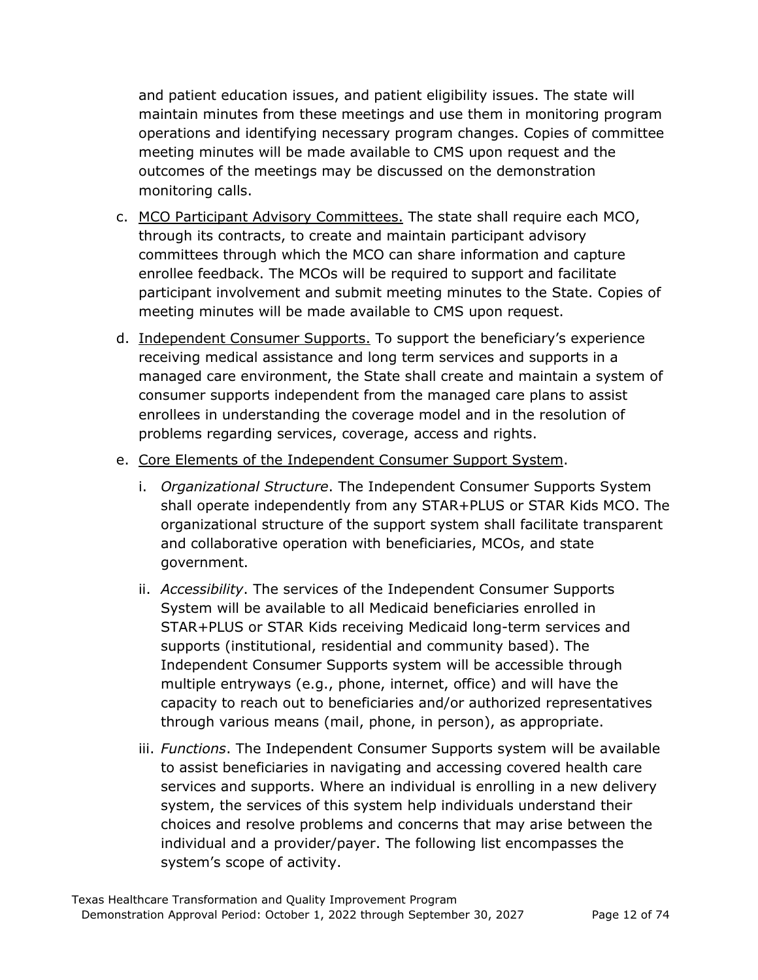and patient education issues, and patient eligibility issues. The state will maintain minutes from these meetings and use them in monitoring program operations and identifying necessary program changes. Copies of committee meeting minutes will be made available to CMS upon request and the outcomes of the meetings may be discussed on the demonstration monitoring calls.

- c. MCO Participant Advisory Committees. The state shall require each MCO, through its contracts, to create and maintain participant advisory committees through which the MCO can share information and capture enrollee feedback. The MCOs will be required to support and facilitate participant involvement and submit meeting minutes to the State. Copies of meeting minutes will be made available to CMS upon request.
- d. Independent Consumer Supports. To support the beneficiary's experience receiving medical assistance and long term services and supports in a managed care environment, the State shall create and maintain a system of consumer supports independent from the managed care plans to assist enrollees in understanding the coverage model and in the resolution of problems regarding services, coverage, access and rights.
- e. Core Elements of the Independent Consumer Support System.
	- i. *Organizational Structure*. The Independent Consumer Supports System shall operate independently from any STAR+PLUS or STAR Kids MCO. The organizational structure of the support system shall facilitate transparent and collaborative operation with beneficiaries, MCOs, and state government.
	- ii. *Accessibility*. The services of the Independent Consumer Supports System will be available to all Medicaid beneficiaries enrolled in STAR+PLUS or STAR Kids receiving Medicaid long-term services and supports (institutional, residential and community based). The Independent Consumer Supports system will be accessible through multiple entryways (e.g., phone, internet, office) and will have the capacity to reach out to beneficiaries and/or authorized representatives through various means (mail, phone, in person), as appropriate.
	- iii. *Functions*. The Independent Consumer Supports system will be available to assist beneficiaries in navigating and accessing covered health care services and supports. Where an individual is enrolling in a new delivery system, the services of this system help individuals understand their choices and resolve problems and concerns that may arise between the individual and a provider/payer. The following list encompasses the system's scope of activity.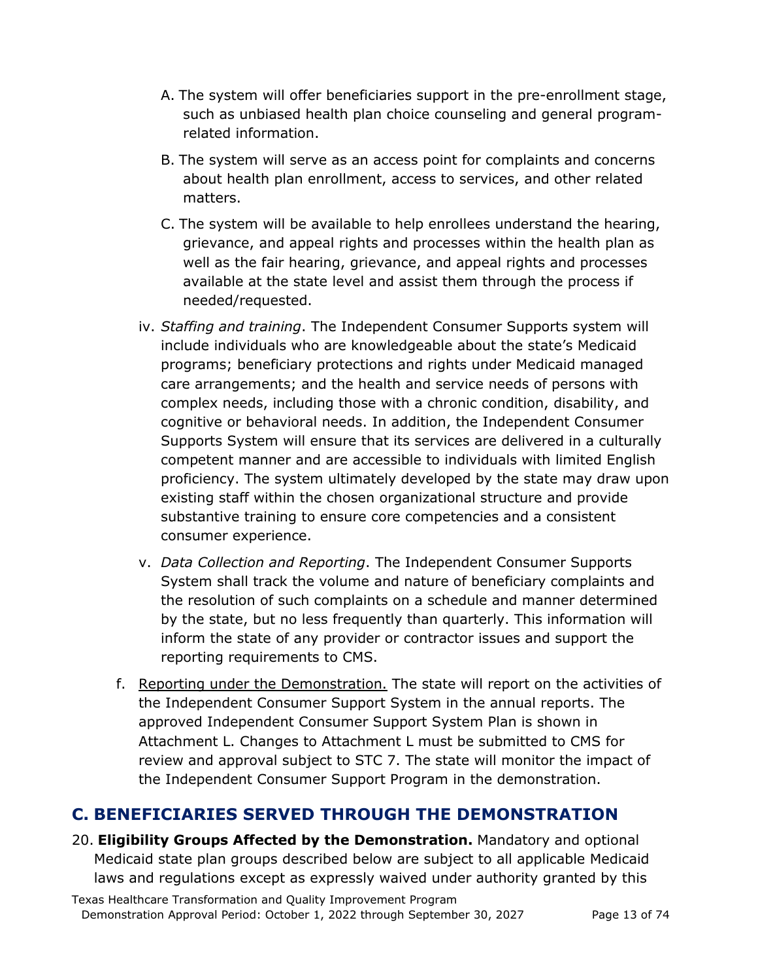- A. The system will offer beneficiaries support in the pre-enrollment stage, such as unbiased health plan choice counseling and general programrelated information.
- B. The system will serve as an access point for complaints and concerns about health plan enrollment, access to services, and other related matters.
- C. The system will be available to help enrollees understand the hearing, grievance, and appeal rights and processes within the health plan as well as the fair hearing, grievance, and appeal rights and processes available at the state level and assist them through the process if needed/requested.
- iv. *Staffing and training*. The Independent Consumer Supports system will include individuals who are knowledgeable about the state's Medicaid programs; beneficiary protections and rights under Medicaid managed care arrangements; and the health and service needs of persons with complex needs, including those with a chronic condition, disability, and cognitive or behavioral needs. In addition, the Independent Consumer Supports System will ensure that its services are delivered in a culturally competent manner and are accessible to individuals with limited English proficiency. The system ultimately developed by the state may draw upon existing staff within the chosen organizational structure and provide substantive training to ensure core competencies and a consistent consumer experience.
- v. *Data Collection and Reporting*. The Independent Consumer Supports System shall track the volume and nature of beneficiary complaints and the resolution of such complaints on a schedule and manner determined by the state, but no less frequently than quarterly. This information will inform the state of any provider or contractor issues and support the reporting requirements to CMS.
- f. Reporting under the Demonstration. The state will report on the activities of the Independent Consumer Support System in the annual reports. The approved Independent Consumer Support System Plan is shown in Attachment L. Changes to Attachment L must be submitted to CMS for review and approval subject to STC 7. The state will monitor the impact of the Independent Consumer Support Program in the demonstration.

# **C. BENEFICIARIES SERVED THROUGH THE DEMONSTRATION**

20. **Eligibility Groups Affected by the Demonstration.** Mandatory and optional Medicaid state plan groups described below are subject to all applicable Medicaid laws and regulations except as expressly waived under authority granted by this

Texas Healthcare Transformation and Quality Improvement Program Demonstration Approval Period: October 1, 2022 through September 30, 2027 Page 13 of 74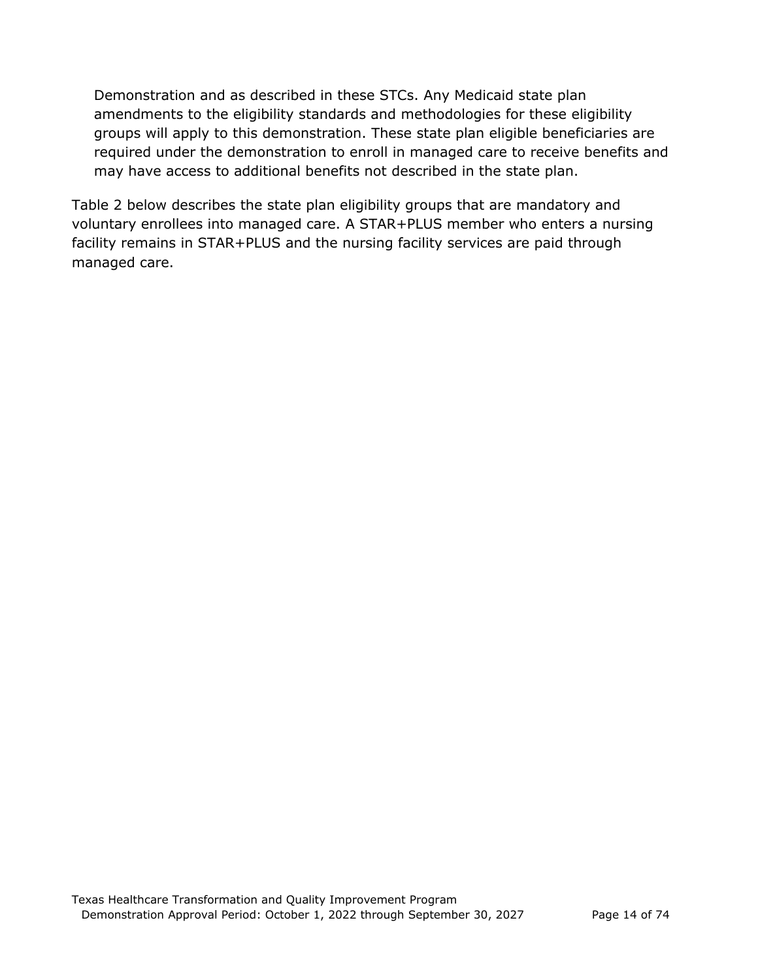Demonstration and as described in these STCs. Any Medicaid state plan amendments to the eligibility standards and methodologies for these eligibility groups will apply to this demonstration. These state plan eligible beneficiaries are required under the demonstration to enroll in managed care to receive benefits and may have access to additional benefits not described in the state plan.

Table 2 below describes the state plan eligibility groups that are mandatory and voluntary enrollees into managed care. A STAR+PLUS member who enters a nursing facility remains in STAR+PLUS and the nursing facility services are paid through managed care.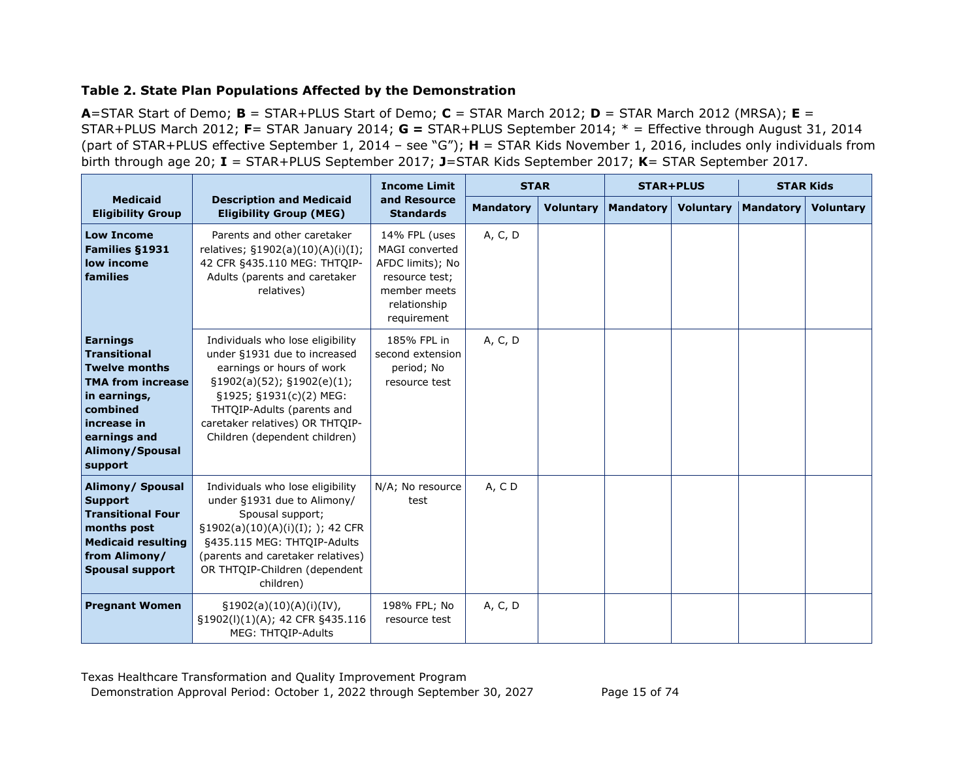#### **Table 2. State Plan Populations Affected by the Demonstration**

**A**=STAR Start of Demo; **B** = STAR+PLUS Start of Demo; **C** = STAR March 2012; **D** = STAR March 2012 (MRSA); **E** = STAR+PLUS March 2012; **F**= STAR January 2014; **G =** STAR+PLUS September 2014; \* = Effective through August 31, 2014 (part of STAR+PLUS effective September 1, 2014 – see "G"); **H** = STAR Kids November 1, 2016, includes only individuals from birth through age 20; **I** = STAR+PLUS September 2017; **J**=STAR Kids September 2017; **K**= STAR September 2017.

|                                                                                                                                                                                     |                                                                                                                                                                                                                                                                  | <b>Income Limit</b>                                                                                                         | <b>STAR</b>      |                  | <b>STAR+PLUS</b> |                  | <b>STAR Kids</b> |                  |
|-------------------------------------------------------------------------------------------------------------------------------------------------------------------------------------|------------------------------------------------------------------------------------------------------------------------------------------------------------------------------------------------------------------------------------------------------------------|-----------------------------------------------------------------------------------------------------------------------------|------------------|------------------|------------------|------------------|------------------|------------------|
| <b>Medicaid</b><br><b>Eligibility Group</b>                                                                                                                                         | <b>Description and Medicaid</b><br><b>Eligibility Group (MEG)</b>                                                                                                                                                                                                | and Resource<br><b>Standards</b>                                                                                            | <b>Mandatory</b> | <b>Voluntary</b> | <b>Mandatory</b> | <b>Voluntary</b> | <b>Mandatory</b> | <b>Voluntary</b> |
| <b>Low Income</b><br><b>Families §1931</b><br>low income<br>families                                                                                                                | Parents and other caretaker<br>relatives; §1902(a)(10)(A)(i)(I);<br>42 CFR §435.110 MEG: THTOIP-<br>Adults (parents and caretaker<br>relatives)                                                                                                                  | 14% FPL (uses<br><b>MAGI</b> converted<br>AFDC limits); No<br>resource test;<br>member meets<br>relationship<br>requirement | A, C, D          |                  |                  |                  |                  |                  |
| <b>Earnings</b><br><b>Transitional</b><br><b>Twelve months</b><br><b>TMA from increase</b><br>in earnings,<br>combined<br>increase in<br>earnings and<br>Alimony/Spousal<br>support | Individuals who lose eligibility<br>under §1931 due to increased<br>earnings or hours of work<br>$\S1902(a)(52)$ ; $\S1902(e)(1)$ ;<br>§1925; §1931(c)(2) MEG:<br>THTOIP-Adults (parents and<br>caretaker relatives) OR THTQIP-<br>Children (dependent children) | 185% FPL in<br>second extension<br>period; No<br>resource test                                                              | A, C, D          |                  |                  |                  |                  |                  |
| Alimony/ Spousal<br><b>Support</b><br><b>Transitional Four</b><br>months post<br><b>Medicaid resulting</b><br>from Alimony/<br><b>Spousal support</b>                               | Individuals who lose eligibility<br>under §1931 due to Alimony/<br>Spousal support;<br>§1902(a)(10)(A)(i)(I); ); 42 CFR<br>§435.115 MEG: THTQIP-Adults<br>(parents and caretaker relatives)<br>OR THTOIP-Children (dependent<br>children)                        | N/A; No resource<br>test                                                                                                    | A, CD            |                  |                  |                  |                  |                  |
| <b>Pregnant Women</b>                                                                                                                                                               | $\S1902(a)(10)(A)(i)(IV),$<br>§1902(l)(1)(A); 42 CFR §435.116<br>MEG: THTOIP-Adults                                                                                                                                                                              | 198% FPL; No<br>resource test                                                                                               | A, C, D          |                  |                  |                  |                  |                  |

Texas Healthcare Transformation and Quality Improvement Program Demonstration Approval Period: October 1, 2022 through September 30, 2027 Page 15 of 74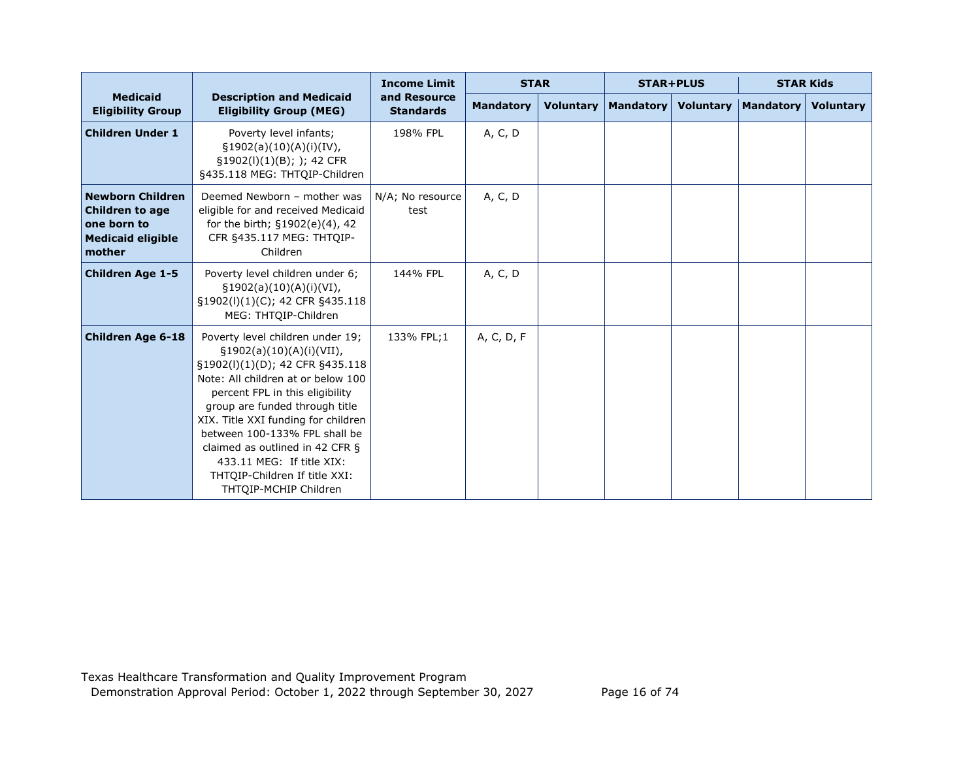|                                                                                                        |                                                                                                                                                                                                                                                                                                                                                                                                              | <b>Income Limit</b>              | <b>STAR</b>      |                  | <b>STAR+PLUS</b> |                  | <b>STAR Kids</b> |                  |
|--------------------------------------------------------------------------------------------------------|--------------------------------------------------------------------------------------------------------------------------------------------------------------------------------------------------------------------------------------------------------------------------------------------------------------------------------------------------------------------------------------------------------------|----------------------------------|------------------|------------------|------------------|------------------|------------------|------------------|
| <b>Medicaid</b><br><b>Eligibility Group</b>                                                            | <b>Description and Medicaid</b><br><b>Eligibility Group (MEG)</b>                                                                                                                                                                                                                                                                                                                                            | and Resource<br><b>Standards</b> | <b>Mandatory</b> | <b>Voluntary</b> | <b>Mandatory</b> | <b>Voluntary</b> | <b>Mandatory</b> | <b>Voluntary</b> |
| <b>Children Under 1</b>                                                                                | Poverty level infants;<br>§1902(a)(10)(A)(i)(IV),<br>§1902(l)(1)(B); ); 42 CFR<br>§435.118 MEG: THTQIP-Children                                                                                                                                                                                                                                                                                              | 198% FPL                         | A, C, D          |                  |                  |                  |                  |                  |
| <b>Newborn Children</b><br><b>Children to age</b><br>one born to<br><b>Medicaid eligible</b><br>mother | Deemed Newborn - mother was<br>eligible for and received Medicaid<br>for the birth; §1902(e)(4), 42<br>CFR §435.117 MEG: THTQIP-<br>Children                                                                                                                                                                                                                                                                 | N/A; No resource<br>test         | A, C, D          |                  |                  |                  |                  |                  |
| <b>Children Age 1-5</b>                                                                                | Poverty level children under 6;<br>$\S1902(a)(10)(A)(i)(VI),$<br>§1902(l)(1)(C); 42 CFR §435.118<br>MEG: THTOIP-Children                                                                                                                                                                                                                                                                                     | 144% FPL                         | A, C, D          |                  |                  |                  |                  |                  |
| <b>Children Age 6-18</b>                                                                               | Poverty level children under 19;<br>§1902(a)(10)(A)(i)(VII),<br>§1902(l)(1)(D); 42 CFR §435.118<br>Note: All children at or below 100<br>percent FPL in this eligibility<br>group are funded through title<br>XIX. Title XXI funding for children<br>between 100-133% FPL shall be<br>claimed as outlined in 42 CFR §<br>433.11 MEG: If title XIX:<br>THTQIP-Children If title XXI:<br>THTQIP-MCHIP Children | 133% FPL:1                       | A, C, D, F       |                  |                  |                  |                  |                  |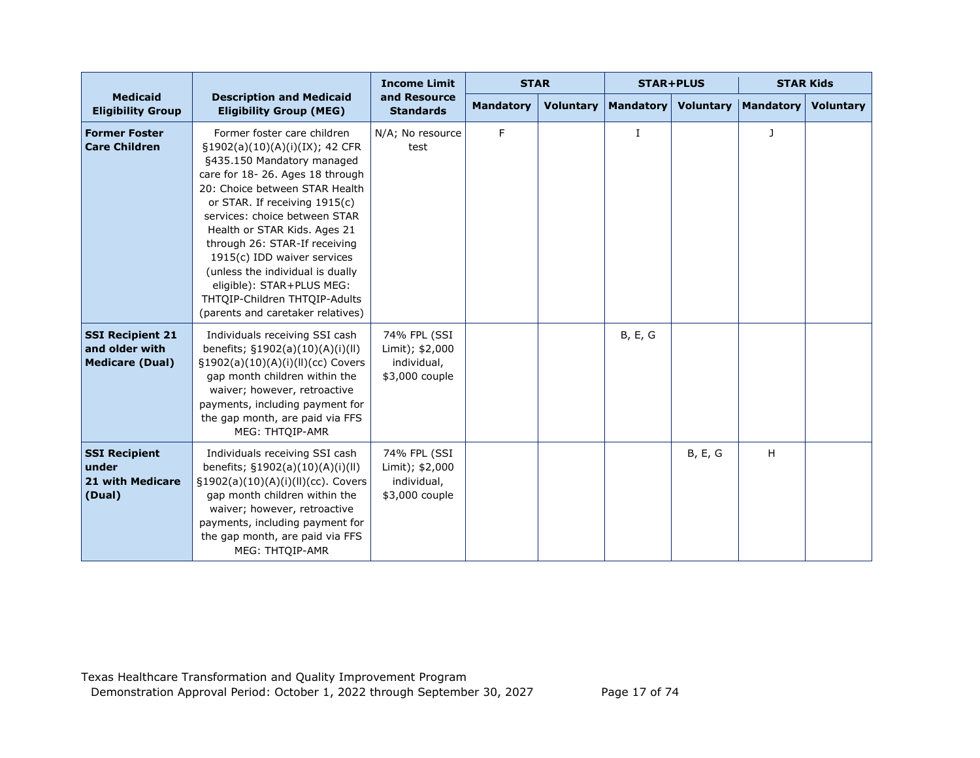|                                                                     |                                                                                                                                                                                                                                                                                                                                                                                                                                                                           | <b>Income Limit</b>                                              | <b>STAR</b>      |                  | <b>STAR+PLUS</b> |                | <b>STAR Kids</b> |                  |
|---------------------------------------------------------------------|---------------------------------------------------------------------------------------------------------------------------------------------------------------------------------------------------------------------------------------------------------------------------------------------------------------------------------------------------------------------------------------------------------------------------------------------------------------------------|------------------------------------------------------------------|------------------|------------------|------------------|----------------|------------------|------------------|
| <b>Medicaid</b><br><b>Eligibility Group</b>                         | <b>Description and Medicaid</b><br><b>Eligibility Group (MEG)</b>                                                                                                                                                                                                                                                                                                                                                                                                         | and Resource<br><b>Standards</b>                                 | <b>Mandatory</b> | <b>Voluntary</b> | <b>Mandatory</b> | Voluntary      | <b>Mandatory</b> | <b>Voluntary</b> |
| <b>Former Foster</b><br><b>Care Children</b>                        | Former foster care children<br>§1902(a)(10)(A)(i)(IX); 42 CFR<br>§435.150 Mandatory managed<br>care for 18-26. Ages 18 through<br>20: Choice between STAR Health<br>or STAR. If receiving 1915(c)<br>services: choice between STAR<br>Health or STAR Kids. Ages 21<br>through 26: STAR-If receiving<br>1915(c) IDD waiver services<br>(unless the individual is dually<br>eligible): STAR+PLUS MEG:<br>THTQIP-Children THTQIP-Adults<br>(parents and caretaker relatives) | N/A; No resource<br>test                                         | F                |                  | $\mathbf I$      |                | J                |                  |
| <b>SSI Recipient 21</b><br>and older with<br><b>Medicare (Dual)</b> | Individuals receiving SSI cash<br>benefits; §1902(a)(10)(A)(i)(ll)<br>§1902(a)(10)(A)(i)(ll)(cc) Covers<br>gap month children within the<br>waiver; however, retroactive<br>payments, including payment for<br>the gap month, are paid via FFS<br>MEG: THTQIP-AMR                                                                                                                                                                                                         | 74% FPL (SSI<br>Limit); \$2,000<br>individual,<br>\$3,000 couple |                  |                  | <b>B, E, G</b>   |                |                  |                  |
| <b>SSI Recipient</b><br>under<br><b>21 with Medicare</b><br>(Dual)  | Individuals receiving SSI cash<br>benefits; §1902(a)(10)(A)(i)(ll)<br>§1902(a)(10)(A)(i)(ll)(cc). Covers<br>gap month children within the<br>waiver; however, retroactive<br>payments, including payment for<br>the gap month, are paid via FFS<br>MEG: THTQIP-AMR                                                                                                                                                                                                        | 74% FPL (SSI<br>Limit); \$2,000<br>individual,<br>\$3,000 couple |                  |                  |                  | <b>B, E, G</b> | H                |                  |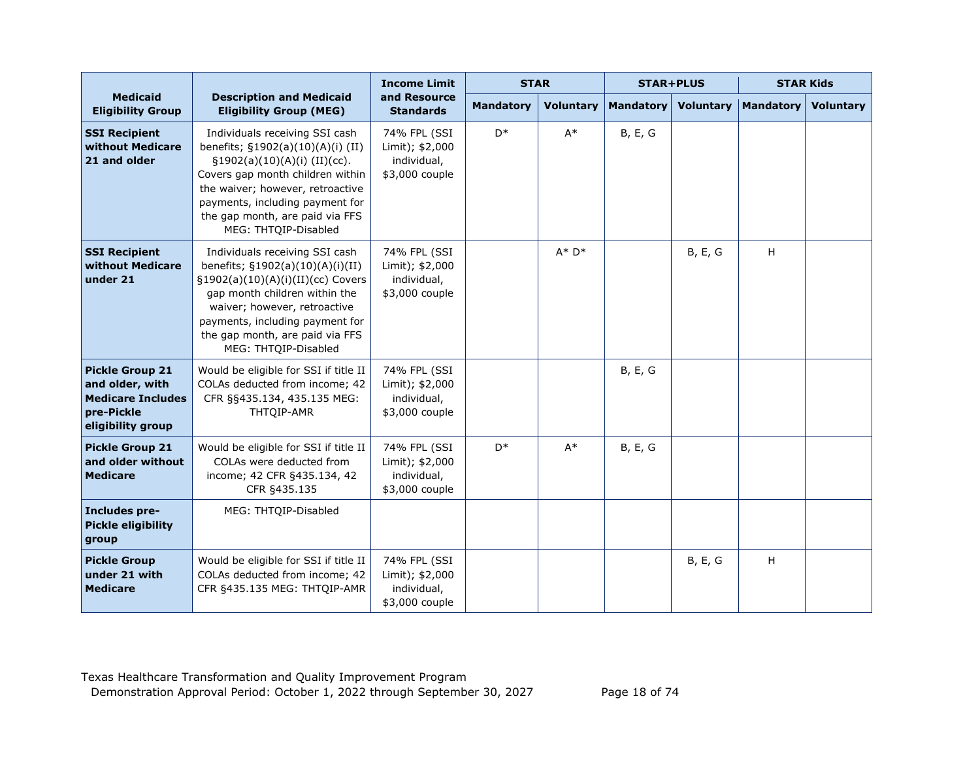|                                                                                                          |                                                                                                                                                                                                                                                                              | <b>Income Limit</b>                                              | <b>STAR</b>      |                  | <b>STAR+PLUS</b> |                  | <b>STAR Kids</b> |                  |
|----------------------------------------------------------------------------------------------------------|------------------------------------------------------------------------------------------------------------------------------------------------------------------------------------------------------------------------------------------------------------------------------|------------------------------------------------------------------|------------------|------------------|------------------|------------------|------------------|------------------|
| <b>Medicaid</b><br><b>Eligibility Group</b>                                                              | <b>Description and Medicaid</b><br><b>Eligibility Group (MEG)</b>                                                                                                                                                                                                            | and Resource<br><b>Standards</b>                                 | <b>Mandatory</b> | <b>Voluntary</b> | <b>Mandatory</b> | <b>Voluntary</b> | <b>Mandatory</b> | <b>Voluntary</b> |
| <b>SSI Recipient</b><br>without Medicare<br>21 and older                                                 | Individuals receiving SSI cash<br>benefits; §1902(a)(10)(A)(i) (II)<br>$\S1902(a)(10)(A)(i)$ (II)(cc).<br>Covers gap month children within<br>the waiver; however, retroactive<br>payments, including payment for<br>the gap month, are paid via FFS<br>MEG: THTQIP-Disabled | 74% FPL (SSI<br>Limit); \$2,000<br>individual,<br>\$3,000 couple | D <sup>*</sup>   | $A^*$            | <b>B, E, G</b>   |                  |                  |                  |
| <b>SSI Recipient</b><br>without Medicare<br>under 21                                                     | Individuals receiving SSI cash<br>benefits; §1902(a)(10)(A)(i)(II)<br>§1902(a)(10)(A)(i)(II)(cc) Covers<br>gap month children within the<br>waiver; however, retroactive<br>payments, including payment for<br>the gap month, are paid via FFS<br>MEG: THTQIP-Disabled       | 74% FPL (SSI<br>Limit); \$2,000<br>individual,<br>\$3,000 couple |                  | $A^* D^*$        |                  | <b>B, E, G</b>   | Η                |                  |
| <b>Pickle Group 21</b><br>and older, with<br><b>Medicare Includes</b><br>pre-Pickle<br>eligibility group | Would be eligible for SSI if title II<br>COLAs deducted from income; 42<br>CFR §§435.134, 435.135 MEG:<br>THTQIP-AMR                                                                                                                                                         | 74% FPL (SSI<br>Limit); \$2,000<br>individual,<br>\$3,000 couple |                  |                  | <b>B, E, G</b>   |                  |                  |                  |
| <b>Pickle Group 21</b><br>and older without<br><b>Medicare</b>                                           | Would be eligible for SSI if title II<br>COLAs were deducted from<br>income; 42 CFR §435.134, 42<br>CFR §435.135                                                                                                                                                             | 74% FPL (SSI<br>Limit); \$2,000<br>individual,<br>\$3,000 couple | $D^*$            | $A^*$            | <b>B, E, G</b>   |                  |                  |                  |
| Includes pre-<br><b>Pickle eligibility</b><br>group                                                      | MEG: THTOIP-Disabled                                                                                                                                                                                                                                                         |                                                                  |                  |                  |                  |                  |                  |                  |
| <b>Pickle Group</b><br>under 21 with<br><b>Medicare</b>                                                  | Would be eligible for SSI if title II<br>COLAs deducted from income; 42<br>CFR §435.135 MEG: THTQIP-AMR                                                                                                                                                                      | 74% FPL (SSI<br>Limit); \$2,000<br>individual,<br>\$3,000 couple |                  |                  |                  | <b>B, E, G</b>   | H                |                  |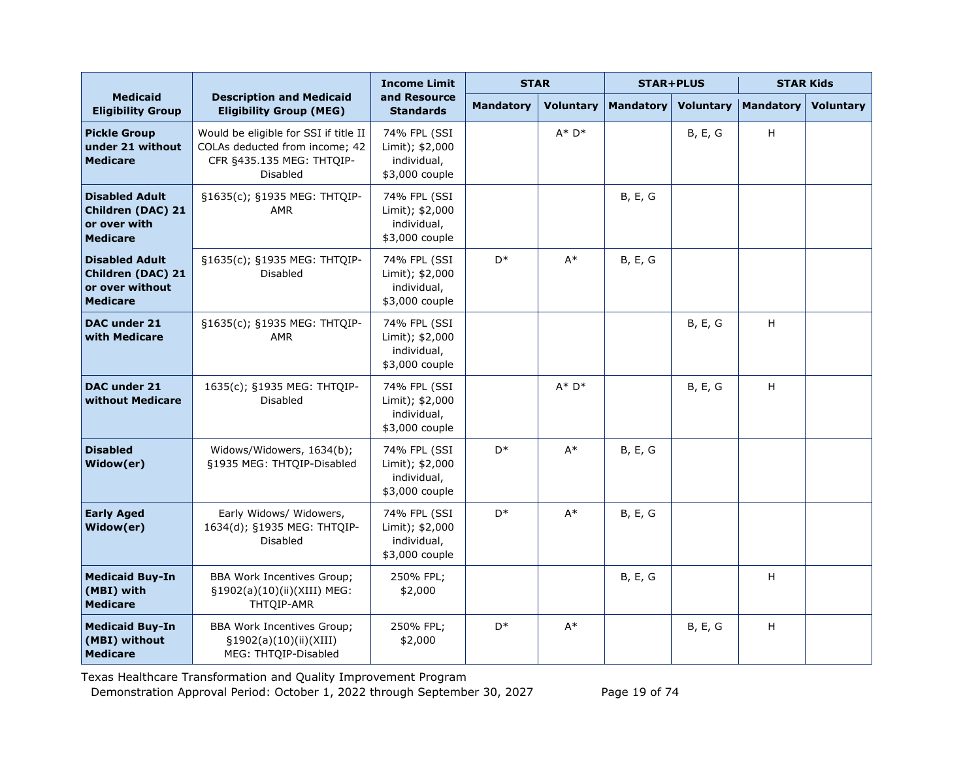|                                                                                         |                                                                                                                  | <b>Income Limit</b>                                              | <b>STAR</b>      |                  | <b>STAR+PLUS</b> |                  | <b>STAR Kids</b>          |                  |
|-----------------------------------------------------------------------------------------|------------------------------------------------------------------------------------------------------------------|------------------------------------------------------------------|------------------|------------------|------------------|------------------|---------------------------|------------------|
| <b>Medicaid</b><br><b>Eligibility Group</b>                                             | <b>Description and Medicaid</b><br><b>Eligibility Group (MEG)</b>                                                | and Resource<br><b>Standards</b>                                 | <b>Mandatory</b> | <b>Voluntary</b> | <b>Mandatory</b> | <b>Voluntary</b> | <b>Mandatory</b>          | <b>Voluntary</b> |
| <b>Pickle Group</b><br>under 21 without<br><b>Medicare</b>                              | Would be eligible for SSI if title II<br>COLAs deducted from income; 42<br>CFR §435.135 MEG: THTQIP-<br>Disabled | 74% FPL (SSI<br>Limit); \$2,000<br>individual,<br>\$3,000 couple |                  | $A^* D^*$        |                  | <b>B, E, G</b>   | H                         |                  |
| <b>Disabled Adult</b><br><b>Children (DAC) 21</b><br>or over with<br><b>Medicare</b>    | §1635(c); §1935 MEG: THTQIP-<br><b>AMR</b>                                                                       | 74% FPL (SSI<br>Limit); \$2,000<br>individual,<br>\$3,000 couple |                  |                  | B, E, G          |                  |                           |                  |
| <b>Disabled Adult</b><br><b>Children (DAC) 21</b><br>or over without<br><b>Medicare</b> | §1635(c); §1935 MEG: THTQIP-<br><b>Disabled</b>                                                                  | 74% FPL (SSI<br>Limit); \$2,000<br>individual,<br>\$3,000 couple | $\mathsf{D}^*$   | $A^*$            | B, E, G          |                  |                           |                  |
| DAC under 21<br>with Medicare                                                           | §1635(c); §1935 MEG: THTQIP-<br><b>AMR</b>                                                                       | 74% FPL (SSI<br>Limit); \$2,000<br>individual,<br>\$3,000 couple |                  |                  |                  | B, E, G          | H                         |                  |
| DAC under 21<br>without Medicare                                                        | 1635(c); §1935 MEG: THTQIP-<br><b>Disabled</b>                                                                   | 74% FPL (SSI<br>Limit); \$2,000<br>individual,<br>\$3,000 couple |                  | $A^* D^*$        |                  | B, E, G          | $\boldsymbol{\mathsf{H}}$ |                  |
| <b>Disabled</b><br>Widow(er)                                                            | Widows/Widowers, 1634(b);<br>§1935 MEG: THTQIP-Disabled                                                          | 74% FPL (SSI<br>Limit); \$2,000<br>individual,<br>\$3,000 couple | D <sup>*</sup>   | $A^*$            | B, E, G          |                  |                           |                  |
| <b>Early Aged</b><br>Widow(er)                                                          | Early Widows/ Widowers,<br>1634(d); §1935 MEG: THTQIP-<br>Disabled                                               | 74% FPL (SSI<br>Limit); \$2,000<br>individual,<br>\$3,000 couple | D <sup>*</sup>   | $A^*$            | B, E, G          |                  |                           |                  |
| <b>Medicaid Buy-In</b><br>(MBI) with<br><b>Medicare</b>                                 | <b>BBA Work Incentives Group;</b><br>§1902(a)(10)(ii)(XIII) MEG:<br>THTQIP-AMR                                   | 250% FPL;<br>\$2,000                                             |                  |                  | B, E, G          |                  | $\boldsymbol{\mathsf{H}}$ |                  |
| <b>Medicaid Buy-In</b><br>(MBI) without<br><b>Medicare</b>                              | <b>BBA Work Incentives Group;</b><br>§1902(a)(10)(ii)(XIII)<br>MEG: THTQIP-Disabled                              | 250% FPL;<br>\$2,000                                             | D <sup>*</sup>   | $A^*$            |                  | <b>B, E, G</b>   | $\boldsymbol{\mathsf{H}}$ |                  |

Texas Healthcare Transformation and Quality Improvement Program

Demonstration Approval Period: October 1, 2022 through September 30, 2027 Page 19 of 74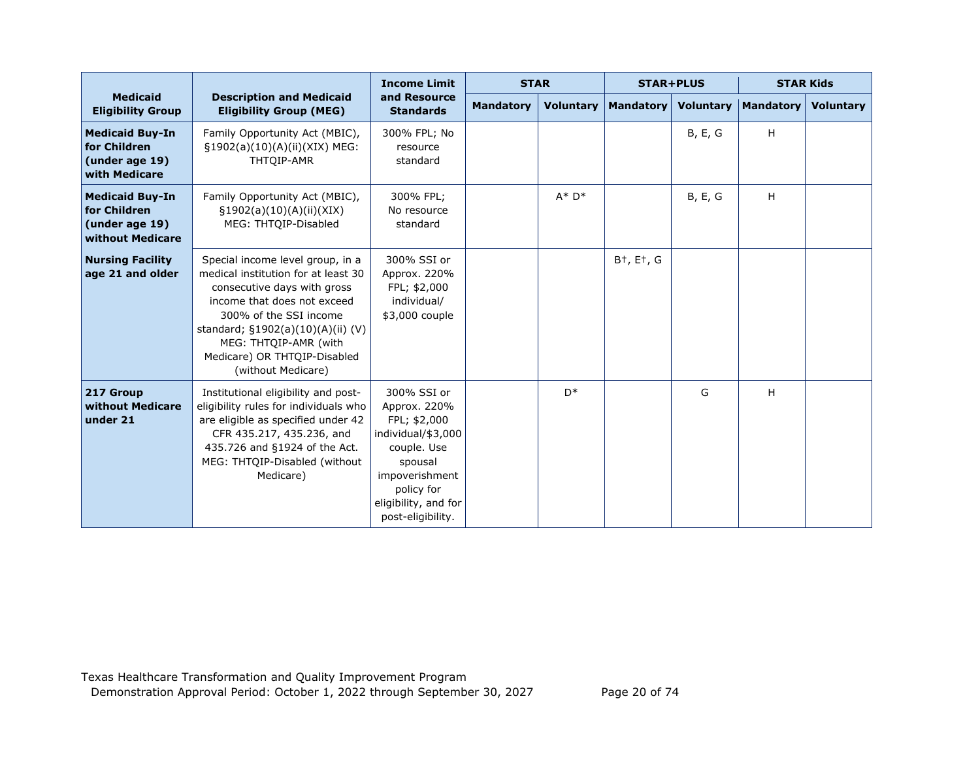|                                                                              |                                                                                                                                                                                                                                                                                     | <b>Income Limit</b>                                                                                                                                                      | <b>STAR</b>      |                  | <b>STAR+PLUS</b>                    |                  | <b>STAR Kids</b> |                  |
|------------------------------------------------------------------------------|-------------------------------------------------------------------------------------------------------------------------------------------------------------------------------------------------------------------------------------------------------------------------------------|--------------------------------------------------------------------------------------------------------------------------------------------------------------------------|------------------|------------------|-------------------------------------|------------------|------------------|------------------|
| <b>Medicaid</b><br><b>Eligibility Group</b>                                  | <b>Description and Medicaid</b><br><b>Eligibility Group (MEG)</b>                                                                                                                                                                                                                   | and Resource<br><b>Standards</b>                                                                                                                                         | <b>Mandatory</b> | <b>Voluntary</b> | Mandatory                           | <b>Voluntary</b> | <b>Mandatory</b> | <b>Voluntary</b> |
| <b>Medicaid Buy-In</b><br>for Children<br>(under age 19)<br>with Medicare    | Family Opportunity Act (MBIC),<br>§1902(a)(10)(A)(ii)(XIX) MEG:<br>THTOIP-AMR                                                                                                                                                                                                       | 300% FPL; No<br>resource<br>standard                                                                                                                                     |                  |                  |                                     | <b>B, E, G</b>   | H                |                  |
| <b>Medicaid Buy-In</b><br>for Children<br>(under age 19)<br>without Medicare | Family Opportunity Act (MBIC),<br>$\S1902(a)(10)(A)(ii)(XIX)$<br>MEG: THTOIP-Disabled                                                                                                                                                                                               | 300% FPL;<br>No resource<br>standard                                                                                                                                     |                  | $A^* D^*$        |                                     | <b>B, E, G</b>   | H                |                  |
| <b>Nursing Facility</b><br>age 21 and older                                  | Special income level group, in a<br>medical institution for at least 30<br>consecutive days with gross<br>income that does not exceed<br>300% of the SSI income<br>standard; §1902(a)(10)(A)(ii) (V)<br>MEG: THTQIP-AMR (with<br>Medicare) OR THTQIP-Disabled<br>(without Medicare) | 300% SSI or<br>Approx. 220%<br>FPL; \$2,000<br>individual/<br>\$3,000 couple                                                                                             |                  |                  | B <sup>+</sup> , E <sup>+</sup> , G |                  |                  |                  |
| 217 Group<br>without Medicare<br>under 21                                    | Institutional eligibility and post-<br>eligibility rules for individuals who<br>are eligible as specified under 42<br>CFR 435.217, 435.236, and<br>435.726 and §1924 of the Act.<br>MEG: THTQIP-Disabled (without<br>Medicare)                                                      | 300% SSI or<br>Approx. 220%<br>FPL; \$2,000<br>individual/\$3,000<br>couple. Use<br>spousal<br>impoverishment<br>policy for<br>eligibility, and for<br>post-eligibility. |                  | $D^*$            |                                     | G                | H                |                  |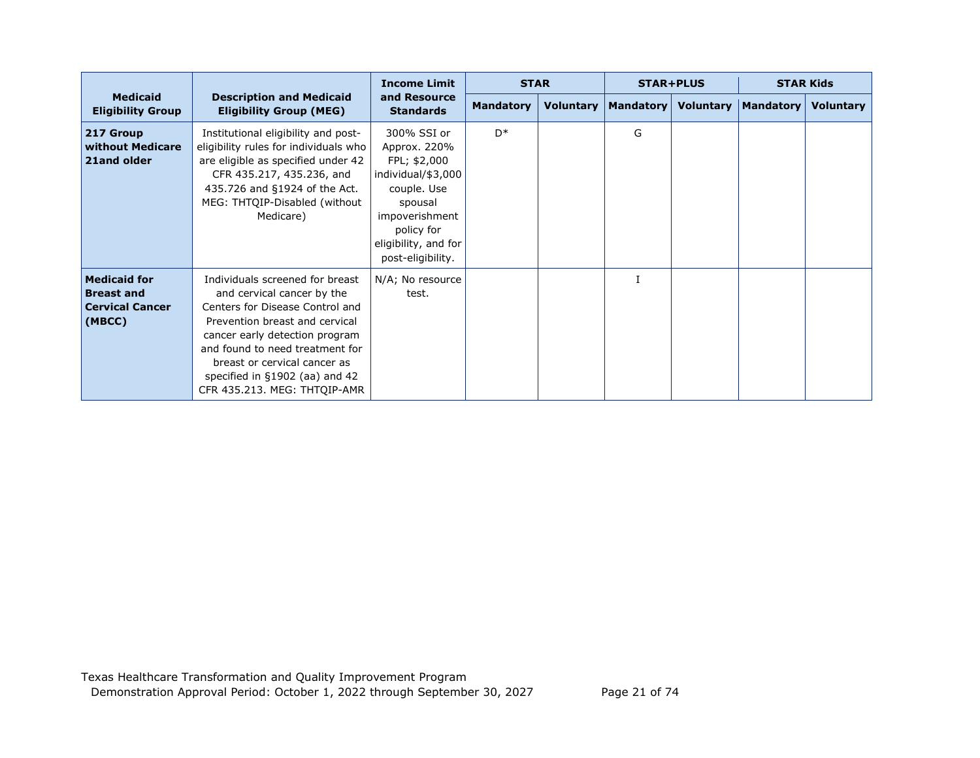|                                                                              |                                                                                                                                                                                                                                                                                                           | <b>Income Limit</b>                                                                                                                                                      | <b>STAR</b>      |  | <b>STAR+PLUS</b>               |                  | <b>STAR Kids</b> |                  |
|------------------------------------------------------------------------------|-----------------------------------------------------------------------------------------------------------------------------------------------------------------------------------------------------------------------------------------------------------------------------------------------------------|--------------------------------------------------------------------------------------------------------------------------------------------------------------------------|------------------|--|--------------------------------|------------------|------------------|------------------|
| <b>Medicaid</b><br><b>Eligibility Group</b>                                  | <b>Description and Medicaid</b><br><b>Eligibility Group (MEG)</b>                                                                                                                                                                                                                                         | and Resource<br><b>Standards</b>                                                                                                                                         | <b>Mandatory</b> |  | <b>Voluntary   Mandatory  </b> | <b>Voluntary</b> | Mandatory        | <b>Voluntary</b> |
| 217 Group<br>without Medicare<br>21and older                                 | Institutional eligibility and post-<br>eligibility rules for individuals who<br>are eligible as specified under 42<br>CFR 435.217, 435.236, and<br>435.726 and §1924 of the Act.<br>MEG: THTQIP-Disabled (without<br>Medicare)                                                                            | 300% SSI or<br>Approx. 220%<br>FPL; \$2,000<br>individual/\$3,000<br>couple. Use<br>spousal<br>impoverishment<br>policy for<br>eligibility, and for<br>post-eligibility. | $D^*$            |  | G                              |                  |                  |                  |
| <b>Medicaid for</b><br><b>Breast and</b><br><b>Cervical Cancer</b><br>(MBCC) | Individuals screened for breast<br>and cervical cancer by the<br>Centers for Disease Control and<br>Prevention breast and cervical<br>cancer early detection program<br>and found to need treatment for<br>breast or cervical cancer as<br>specified in §1902 (aa) and 42<br>CFR 435.213. MEG: THTQIP-AMR | N/A; No resource<br>test.                                                                                                                                                |                  |  |                                |                  |                  |                  |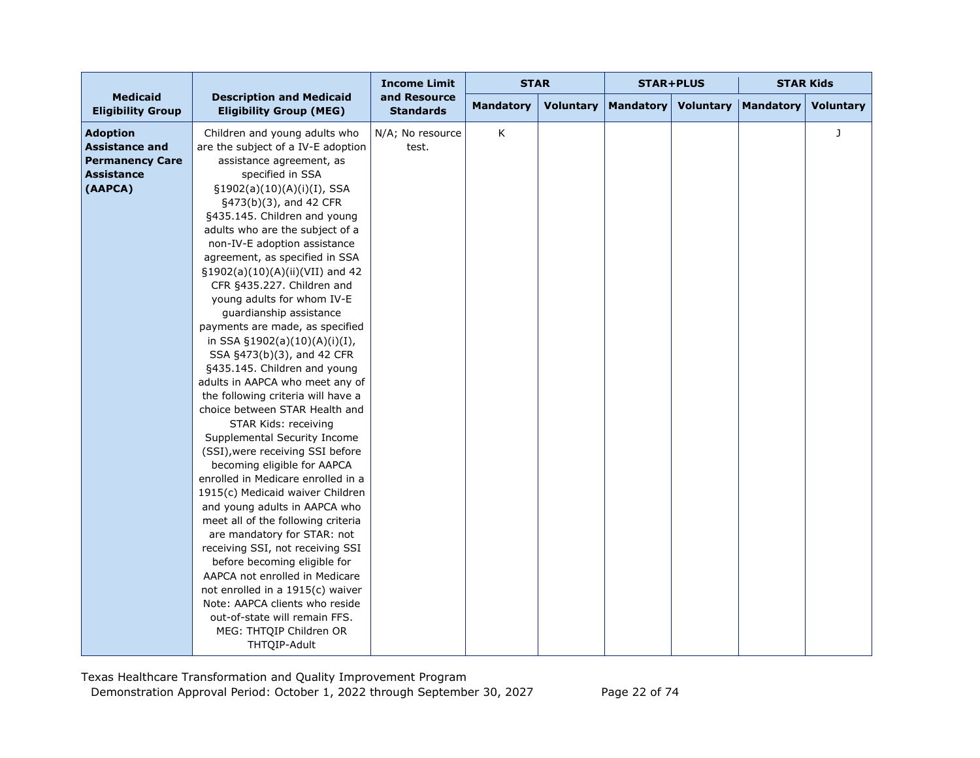|                                                                                                    |                                                                                                                                                                                                             | <b>Income Limit</b>              | <b>STAR</b>      |                  |                  | <b>STAR+PLUS</b> | <b>STAR Kids</b> |                  |
|----------------------------------------------------------------------------------------------------|-------------------------------------------------------------------------------------------------------------------------------------------------------------------------------------------------------------|----------------------------------|------------------|------------------|------------------|------------------|------------------|------------------|
| <b>Medicaid</b><br><b>Eligibility Group</b>                                                        | <b>Description and Medicaid</b><br><b>Eligibility Group (MEG)</b>                                                                                                                                           | and Resource<br><b>Standards</b> | <b>Mandatory</b> | <b>Voluntary</b> | <b>Mandatory</b> | <b>Voluntary</b> | <b>Mandatory</b> | <b>Voluntary</b> |
| <b>Adoption</b><br><b>Assistance and</b><br><b>Permanency Care</b><br><b>Assistance</b><br>(AAPCA) | Children and young adults who<br>are the subject of a IV-E adoption<br>assistance agreement, as<br>specified in SSA<br>§1902(a)(10)(A)(i)(I), SSA                                                           | N/A; No resource<br>test.        | K                |                  |                  |                  |                  | J                |
|                                                                                                    | §473(b)(3), and 42 CFR<br>§435.145. Children and young<br>adults who are the subject of a<br>non-IV-E adoption assistance<br>agreement, as specified in SSA<br>§1902(a)(10)(A)(ii)(VII) and 42              |                                  |                  |                  |                  |                  |                  |                  |
|                                                                                                    | CFR §435.227. Children and<br>young adults for whom IV-E<br>guardianship assistance<br>payments are made, as specified<br>in SSA §1902(a)(10)(A)(i)(I),<br>SSA §473(b)(3), and 42 CFR                       |                                  |                  |                  |                  |                  |                  |                  |
|                                                                                                    | §435.145. Children and young<br>adults in AAPCA who meet any of<br>the following criteria will have a<br>choice between STAR Health and<br>STAR Kids: receiving<br>Supplemental Security Income             |                                  |                  |                  |                  |                  |                  |                  |
|                                                                                                    | (SSI), were receiving SSI before<br>becoming eligible for AAPCA<br>enrolled in Medicare enrolled in a<br>1915(c) Medicaid waiver Children<br>and young adults in AAPCA who                                  |                                  |                  |                  |                  |                  |                  |                  |
|                                                                                                    | meet all of the following criteria<br>are mandatory for STAR: not<br>receiving SSI, not receiving SSI<br>before becoming eligible for<br>AAPCA not enrolled in Medicare<br>not enrolled in a 1915(c) waiver |                                  |                  |                  |                  |                  |                  |                  |
|                                                                                                    | Note: AAPCA clients who reside<br>out-of-state will remain FFS.<br>MEG: THTQIP Children OR<br>THTQIP-Adult                                                                                                  |                                  |                  |                  |                  |                  |                  |                  |

Texas Healthcare Transformation and Quality Improvement Program Demonstration Approval Period: October 1, 2022 through September 30, 2027 Page 22 of 74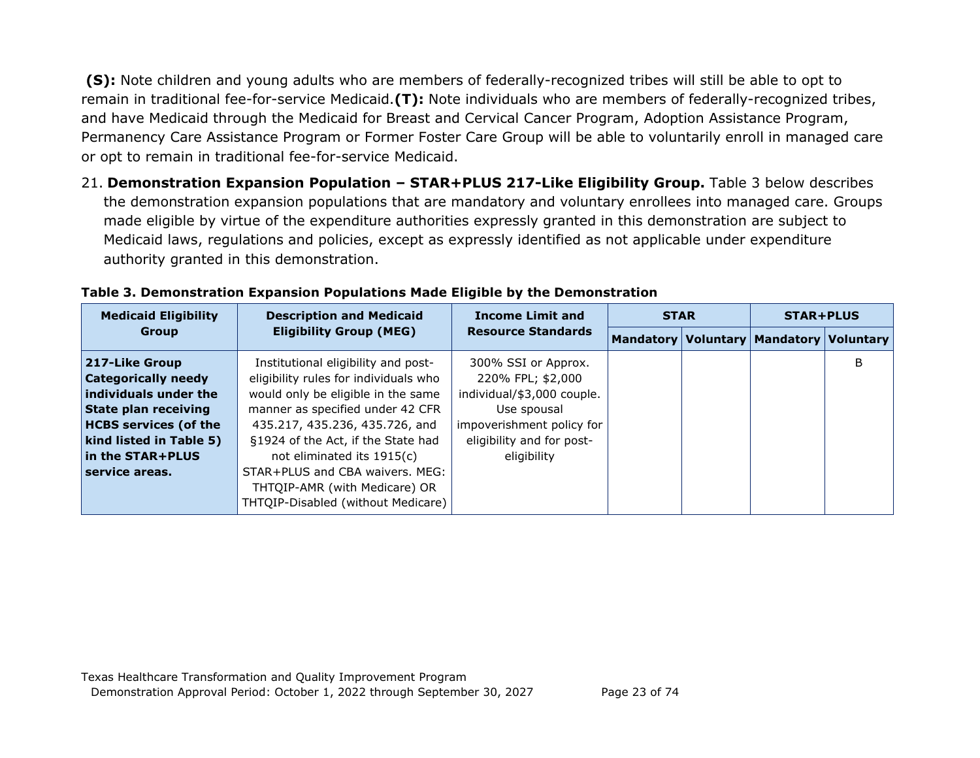**(S):** Note children and young adults who are members of federally-recognized tribes will still be able to opt to remain in traditional fee-for-service Medicaid.**(T):** Note individuals who are members of federally-recognized tribes, and have Medicaid through the Medicaid for Breast and Cervical Cancer Program, Adoption Assistance Program, Permanency Care Assistance Program or Former Foster Care Group will be able to voluntarily enroll in managed care or opt to remain in traditional fee-for-service Medicaid.

21. **Demonstration Expansion Population – STAR+PLUS 217-Like Eligibility Group.** Table 3 below describes the demonstration expansion populations that are mandatory and voluntary enrollees into managed care. Groups made eligible by virtue of the expenditure authorities expressly granted in this demonstration are subject to Medicaid laws, regulations and policies, except as expressly identified as not applicable under expenditure authority granted in this demonstration.

| <b>Medicaid Eligibility</b>  | <b>Description and Medicaid</b>       | <b>Income Limit and</b>    | <b>STAR</b> |  | <b>STAR+PLUS</b>                              |   |
|------------------------------|---------------------------------------|----------------------------|-------------|--|-----------------------------------------------|---|
| <b>Group</b>                 | <b>Eligibility Group (MEG)</b>        | <b>Resource Standards</b>  |             |  | Mandatory   Voluntary   Mandatory   Voluntary |   |
| 217-Like Group               | Institutional eligibility and post-   | 300% SSI or Approx.        |             |  |                                               | B |
| <b>Categorically needy</b>   | eligibility rules for individuals who | 220% FPL; \$2,000          |             |  |                                               |   |
| individuals under the        | would only be eligible in the same    | individual/\$3,000 couple. |             |  |                                               |   |
| <b>State plan receiving</b>  | manner as specified under 42 CFR      | Use spousal                |             |  |                                               |   |
| <b>HCBS services (of the</b> | 435.217, 435.236, 435.726, and        | impoverishment policy for  |             |  |                                               |   |
| kind listed in Table 5)      | §1924 of the Act, if the State had    | eligibility and for post-  |             |  |                                               |   |
| in the STAR+PLUS             | not eliminated its 1915(c)            | eligibility                |             |  |                                               |   |
| service areas.               | STAR+PLUS and CBA waivers. MEG:       |                            |             |  |                                               |   |
|                              | THTQIP-AMR (with Medicare) OR         |                            |             |  |                                               |   |
|                              | THTQIP-Disabled (without Medicare)    |                            |             |  |                                               |   |

| Table 3. Demonstration Expansion Populations Made Eligible by the Demonstration |  |  |  |  |  |  |
|---------------------------------------------------------------------------------|--|--|--|--|--|--|
|---------------------------------------------------------------------------------|--|--|--|--|--|--|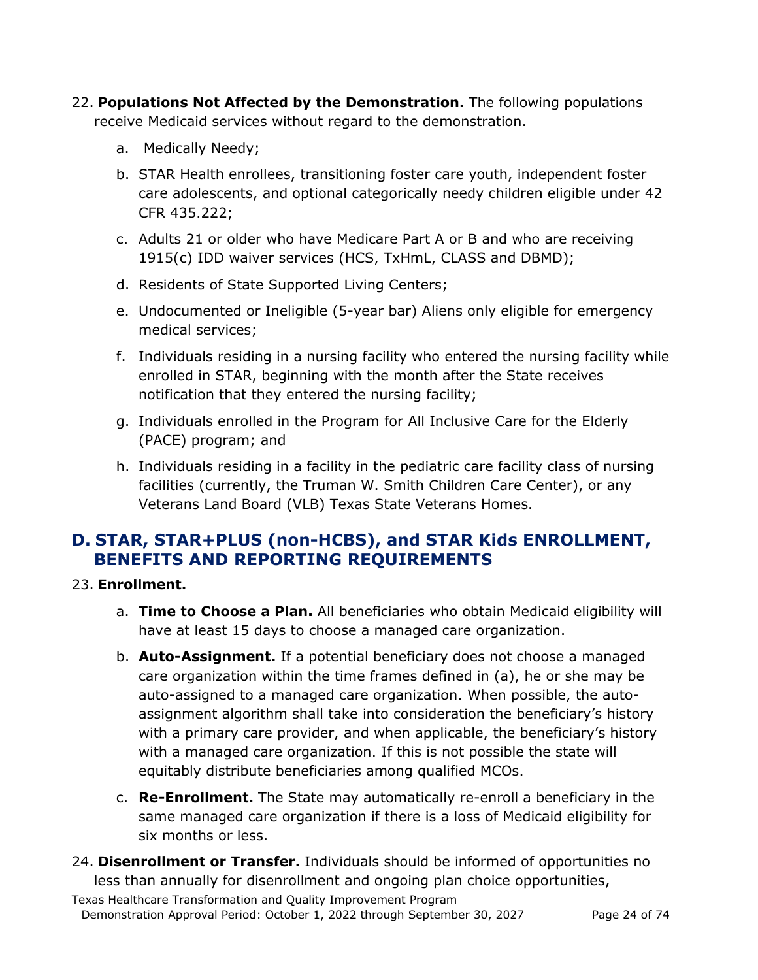- 22. **Populations Not Affected by the Demonstration.** The following populations receive Medicaid services without regard to the demonstration.
	- a. Medically Needy;
	- b. STAR Health enrollees, transitioning foster care youth, independent foster care adolescents, and optional categorically needy children eligible under 42 CFR 435.222;
	- c. Adults 21 or older who have Medicare Part A or B and who are receiving 1915(c) IDD waiver services (HCS, TxHmL, CLASS and DBMD);
	- d. Residents of State Supported Living Centers;
	- e. Undocumented or Ineligible (5-year bar) Aliens only eligible for emergency medical services;
	- f. Individuals residing in a nursing facility who entered the nursing facility while enrolled in STAR, beginning with the month after the State receives notification that they entered the nursing facility;
	- g. Individuals enrolled in the Program for All Inclusive Care for the Elderly (PACE) program; and
	- h. Individuals residing in a facility in the pediatric care facility class of nursing facilities (currently, the Truman W. Smith Children Care Center), or any Veterans Land Board (VLB) Texas State Veterans Homes.

# **D. STAR, STAR+PLUS (non-HCBS), and STAR Kids ENROLLMENT, BENEFITS AND REPORTING REQUIREMENTS**

## 23. **Enrollment.**

- a. **Time to Choose a Plan.** All beneficiaries who obtain Medicaid eligibility will have at least 15 days to choose a managed care organization.
- b. **Auto-Assignment.** If a potential beneficiary does not choose a managed care organization within the time frames defined in (a), he or she may be auto-assigned to a managed care organization. When possible, the autoassignment algorithm shall take into consideration the beneficiary's history with a primary care provider, and when applicable, the beneficiary's history with a managed care organization. If this is not possible the state will equitably distribute beneficiaries among qualified MCOs.
- c. **Re-Enrollment.** The State may automatically re-enroll a beneficiary in the same managed care organization if there is a loss of Medicaid eligibility for six months or less.
- 24. **Disenrollment or Transfer.** Individuals should be informed of opportunities no less than annually for disenrollment and ongoing plan choice opportunities,

Texas Healthcare Transformation and Quality Improvement Program Demonstration Approval Period: October 1, 2022 through September 30, 2027 Page 24 of 74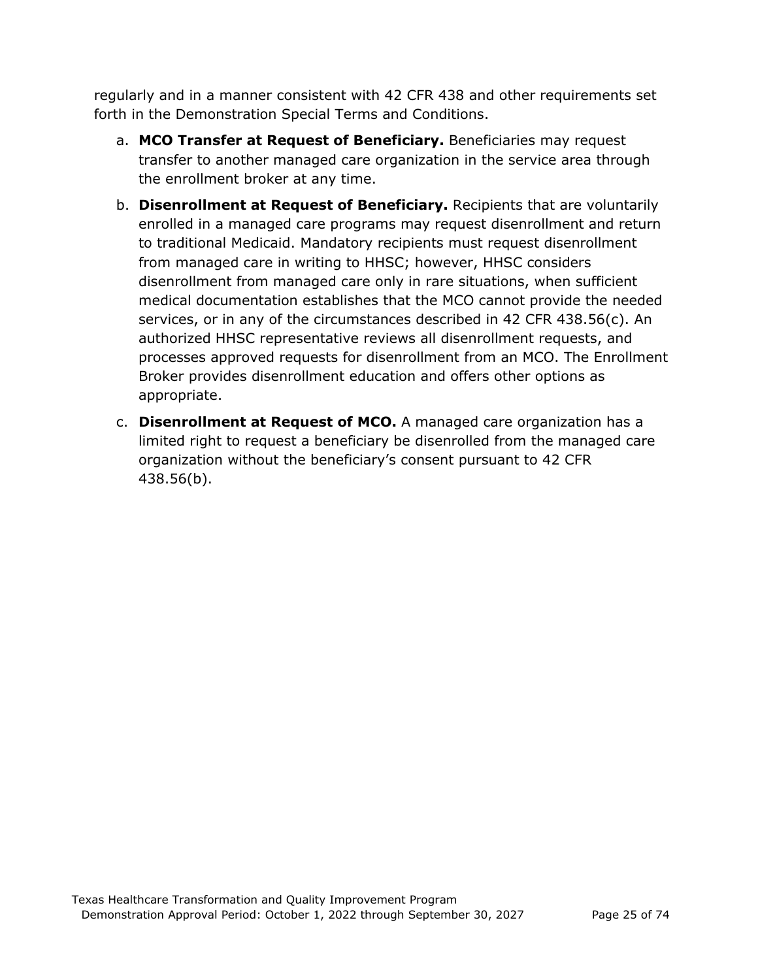regularly and in a manner consistent with 42 CFR 438 and other requirements set forth in the Demonstration Special Terms and Conditions.

- a. **MCO Transfer at Request of Beneficiary.** Beneficiaries may request transfer to another managed care organization in the service area through the enrollment broker at any time.
- b. **Disenrollment at Request of Beneficiary.** Recipients that are voluntarily enrolled in a managed care programs may request disenrollment and return to traditional Medicaid. Mandatory recipients must request disenrollment from managed care in writing to HHSC; however, HHSC considers disenrollment from managed care only in rare situations, when sufficient medical documentation establishes that the MCO cannot provide the needed services, or in any of the circumstances described in 42 CFR 438.56(c). An authorized HHSC representative reviews all disenrollment requests, and processes approved requests for disenrollment from an MCO. The Enrollment Broker provides disenrollment education and offers other options as appropriate.
- c. **Disenrollment at Request of MCO.** A managed care organization has a limited right to request a beneficiary be disenrolled from the managed care organization without the beneficiary's consent pursuant to 42 CFR 438.56(b).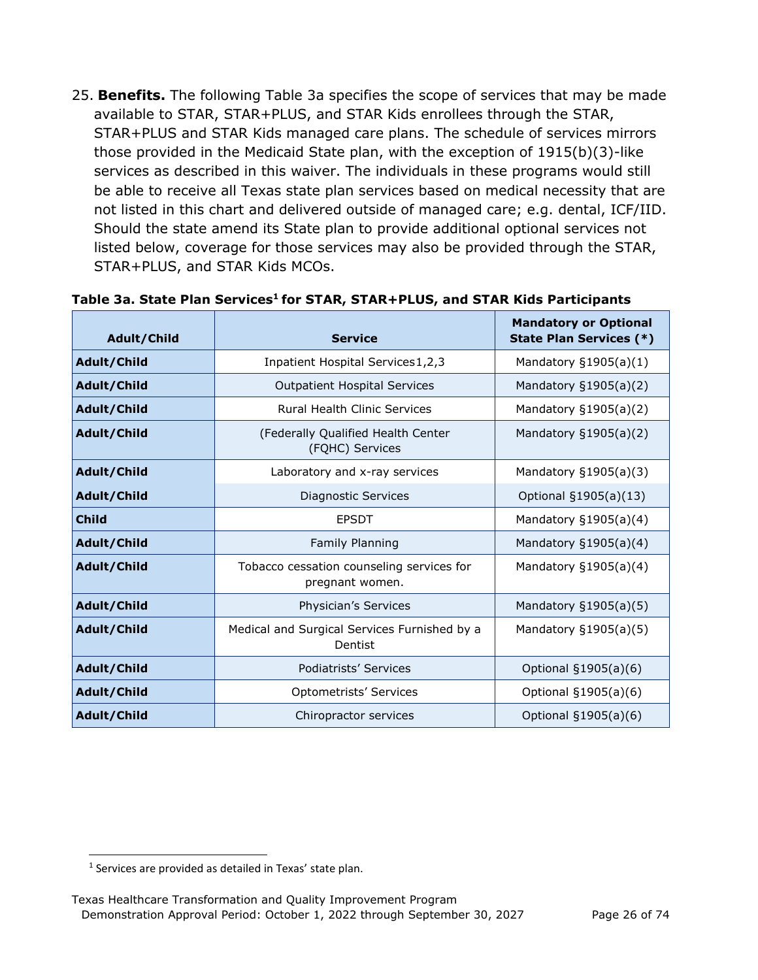25. **Benefits.** The following Table 3a specifies the scope of services that may be made available to STAR, STAR+PLUS, and STAR Kids enrollees through the STAR, STAR+PLUS and STAR Kids managed care plans. The schedule of services mirrors those provided in the Medicaid State plan, with the exception of 1915(b)(3)-like services as described in this waiver. The individuals in these programs would still be able to receive all Texas state plan services based on medical necessity that are not listed in this chart and delivered outside of managed care; e.g. dental, ICF/IID. Should the state amend its State plan to provide additional optional services not listed below, coverage for those services may also be provided through the STAR, STAR+PLUS, and STAR Kids MCOs.

| Adult/Child        | <b>Service</b>                                               | <b>Mandatory or Optional</b><br><b>State Plan Services (*)</b> |
|--------------------|--------------------------------------------------------------|----------------------------------------------------------------|
| Adult/Child        | Inpatient Hospital Services 1, 2, 3                          | Mandatory $§1905(a)(1)$                                        |
| Adult/Child        | <b>Outpatient Hospital Services</b>                          | Mandatory §1905(a)(2)                                          |
| Adult/Child        | <b>Rural Health Clinic Services</b>                          | Mandatory §1905(a)(2)                                          |
| Adult/Child        | (Federally Qualified Health Center<br>(FQHC) Services        | Mandatory $\S1905(a)(2)$                                       |
| Adult/Child        | Laboratory and x-ray services                                | Mandatory §1905(a)(3)                                          |
| Adult/Child        | Diagnostic Services                                          | Optional §1905(a)(13)                                          |
| <b>Child</b>       | <b>EPSDT</b>                                                 | Mandatory §1905(a)(4)                                          |
| Adult/Child        | Family Planning                                              |                                                                |
| Adult/Child        | Tobacco cessation counseling services for<br>pregnant women. |                                                                |
| Adult/Child        | Physician's Services                                         | Mandatory §1905(a)(5)                                          |
| Adult/Child        | Medical and Surgical Services Furnished by a<br>Dentist      | Mandatory §1905(a)(5)                                          |
| Adult/Child        | Podiatrists' Services                                        | Optional §1905(a)(6)                                           |
| <b>Adult/Child</b> | Optometrists' Services                                       | Optional §1905(a)(6)                                           |
| Adult/Child        | Chiropractor services                                        | Optional §1905(a)(6)                                           |

#### Table 3a. State Plan Services<sup>1</sup> for STAR, STAR+PLUS, and STAR Kids Participants

<span id="page-25-0"></span> $1$  Services are provided as detailed in Texas' state plan.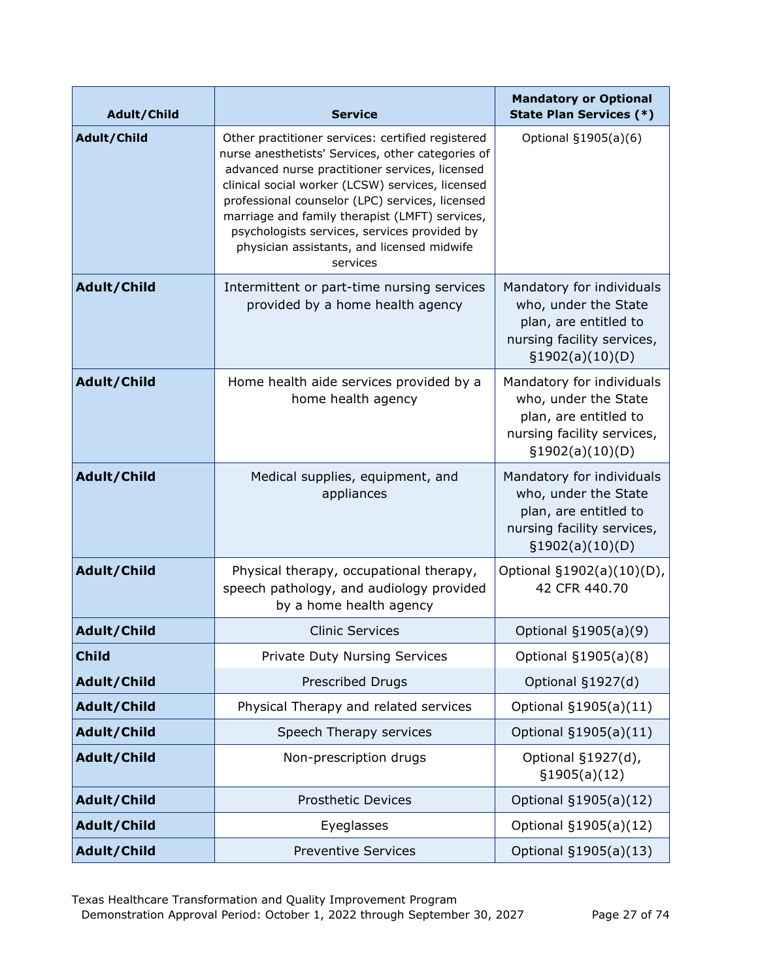| Adult/Child  | <b>Service</b>                                                                                                                                                                                                                                                                                                                                                                                                              | <b>Mandatory or Optional</b><br><b>State Plan Services (*)</b>                                                               |
|--------------|-----------------------------------------------------------------------------------------------------------------------------------------------------------------------------------------------------------------------------------------------------------------------------------------------------------------------------------------------------------------------------------------------------------------------------|------------------------------------------------------------------------------------------------------------------------------|
| Adult/Child  | Other practitioner services: certified registered<br>nurse anesthetists' Services, other categories of<br>advanced nurse practitioner services, licensed<br>clinical social worker (LCSW) services, licensed<br>professional counselor (LPC) services, licensed<br>marriage and family therapist (LMFT) services,<br>psychologists services, services provided by<br>physician assistants, and licensed midwife<br>services | Optional §1905(a)(6)                                                                                                         |
| Adult/Child  | Intermittent or part-time nursing services<br>provided by a home health agency                                                                                                                                                                                                                                                                                                                                              | Mandatory for individuals<br>who, under the State<br>plan, are entitled to<br>nursing facility services,<br>§1902(a)(10)(D)  |
| Adult/Child  | Home health aide services provided by a<br>home health agency                                                                                                                                                                                                                                                                                                                                                               | Mandatory for individuals<br>who, under the State<br>plan, are entitled to<br>nursing facility services,<br>§1902(a)(10)(D)  |
| Adult/Child  | Medical supplies, equipment, and<br>appliances                                                                                                                                                                                                                                                                                                                                                                              | Mandatory for individuals<br>who, under the State<br>plan, are entitled to<br>nursing facility services,<br>\$1902(a)(10)(D) |
| Adult/Child  | Physical therapy, occupational therapy,<br>speech pathology, and audiology provided<br>by a home health agency                                                                                                                                                                                                                                                                                                              |                                                                                                                              |
| Adult/Child  | <b>Clinic Services</b>                                                                                                                                                                                                                                                                                                                                                                                                      | Optional §1905(a)(9)                                                                                                         |
| <b>Child</b> | <b>Private Duty Nursing Services</b>                                                                                                                                                                                                                                                                                                                                                                                        | Optional §1905(a)(8)                                                                                                         |
| Adult/Child  | <b>Prescribed Drugs</b>                                                                                                                                                                                                                                                                                                                                                                                                     | Optional §1927(d)                                                                                                            |
| Adult/Child  | Physical Therapy and related services                                                                                                                                                                                                                                                                                                                                                                                       | Optional §1905(a)(11)                                                                                                        |
| Adult/Child  | Speech Therapy services                                                                                                                                                                                                                                                                                                                                                                                                     | Optional §1905(a)(11)                                                                                                        |
| Adult/Child  | Non-prescription drugs                                                                                                                                                                                                                                                                                                                                                                                                      | Optional §1927(d),<br>§1905(a)(12)                                                                                           |
| Adult/Child  | <b>Prosthetic Devices</b>                                                                                                                                                                                                                                                                                                                                                                                                   | Optional §1905(a)(12)                                                                                                        |
| Adult/Child  | Eyeglasses                                                                                                                                                                                                                                                                                                                                                                                                                  | Optional §1905(a)(12)                                                                                                        |
| Adult/Child  | <b>Preventive Services</b>                                                                                                                                                                                                                                                                                                                                                                                                  | Optional §1905(a)(13)                                                                                                        |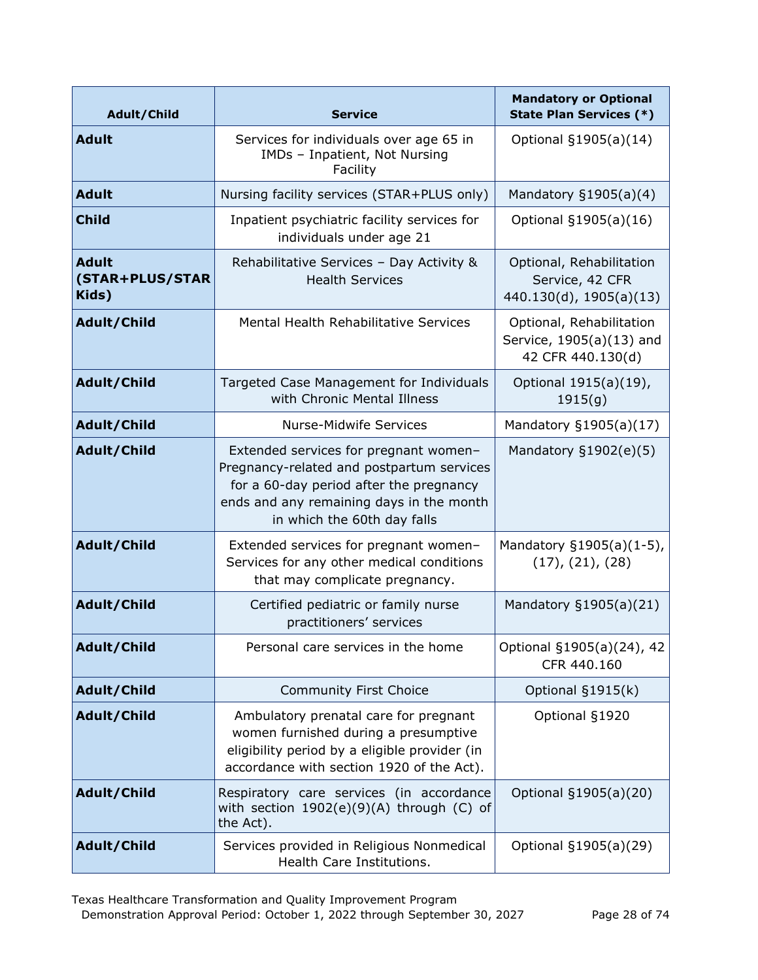| Adult/Child                                                                                                                                                                                                             | <b>Service</b>                                                                                                                                                              | <b>Mandatory or Optional</b><br><b>State Plan Services (*)</b>            |
|-------------------------------------------------------------------------------------------------------------------------------------------------------------------------------------------------------------------------|-----------------------------------------------------------------------------------------------------------------------------------------------------------------------------|---------------------------------------------------------------------------|
| <b>Adult</b>                                                                                                                                                                                                            | Services for individuals over age 65 in<br>IMDs - Inpatient, Not Nursing<br>Facility                                                                                        | Optional §1905(a)(14)                                                     |
| <b>Adult</b>                                                                                                                                                                                                            | Nursing facility services (STAR+PLUS only)                                                                                                                                  | Mandatory $§1905(a)(4)$                                                   |
| <b>Child</b>                                                                                                                                                                                                            | Inpatient psychiatric facility services for<br>individuals under age 21                                                                                                     | Optional §1905(a)(16)                                                     |
| <b>Adult</b><br>(STAR+PLUS/STAR<br>Kids)                                                                                                                                                                                | Rehabilitative Services - Day Activity &<br><b>Health Services</b>                                                                                                          | Optional, Rehabilitation<br>Service, 42 CFR<br>440.130(d), 1905(a)(13)    |
| Adult/Child                                                                                                                                                                                                             | Mental Health Rehabilitative Services                                                                                                                                       | Optional, Rehabilitation<br>Service, 1905(a)(13) and<br>42 CFR 440.130(d) |
| Adult/Child                                                                                                                                                                                                             | Targeted Case Management for Individuals<br>with Chronic Mental Illness                                                                                                     | Optional 1915(a)(19),<br>1915(q)                                          |
| Adult/Child                                                                                                                                                                                                             | <b>Nurse-Midwife Services</b>                                                                                                                                               | Mandatory §1905(a)(17)                                                    |
| Adult/Child<br>Extended services for pregnant women-<br>Pregnancy-related and postpartum services<br>for a 60-day period after the pregnancy<br>ends and any remaining days in the month<br>in which the 60th day falls |                                                                                                                                                                             | Mandatory §1902(e)(5)                                                     |
| Adult/Child<br>Extended services for pregnant women-<br>Services for any other medical conditions<br>that may complicate pregnancy.                                                                                     |                                                                                                                                                                             | Mandatory §1905(a)(1-5),<br>(17), (21), (28)                              |
| Adult/Child                                                                                                                                                                                                             | Certified pediatric or family nurse<br>practitioners' services                                                                                                              | Mandatory §1905(a)(21)                                                    |
| Adult/Child                                                                                                                                                                                                             | Personal care services in the home                                                                                                                                          | Optional §1905(a)(24), 42<br>CFR 440.160                                  |
| Adult/Child                                                                                                                                                                                                             | <b>Community First Choice</b>                                                                                                                                               | Optional §1915(k)                                                         |
| Adult/Child                                                                                                                                                                                                             | Ambulatory prenatal care for pregnant<br>women furnished during a presumptive<br>eligibility period by a eligible provider (in<br>accordance with section 1920 of the Act). | Optional §1920                                                            |
| Adult/Child                                                                                                                                                                                                             | Respiratory care services (in accordance<br>with section $1902(e)(9)(A)$ through (C) of<br>the Act).                                                                        | Optional §1905(a)(20)                                                     |
| Adult/Child                                                                                                                                                                                                             | Services provided in Religious Nonmedical<br>Health Care Institutions.                                                                                                      | Optional §1905(a)(29)                                                     |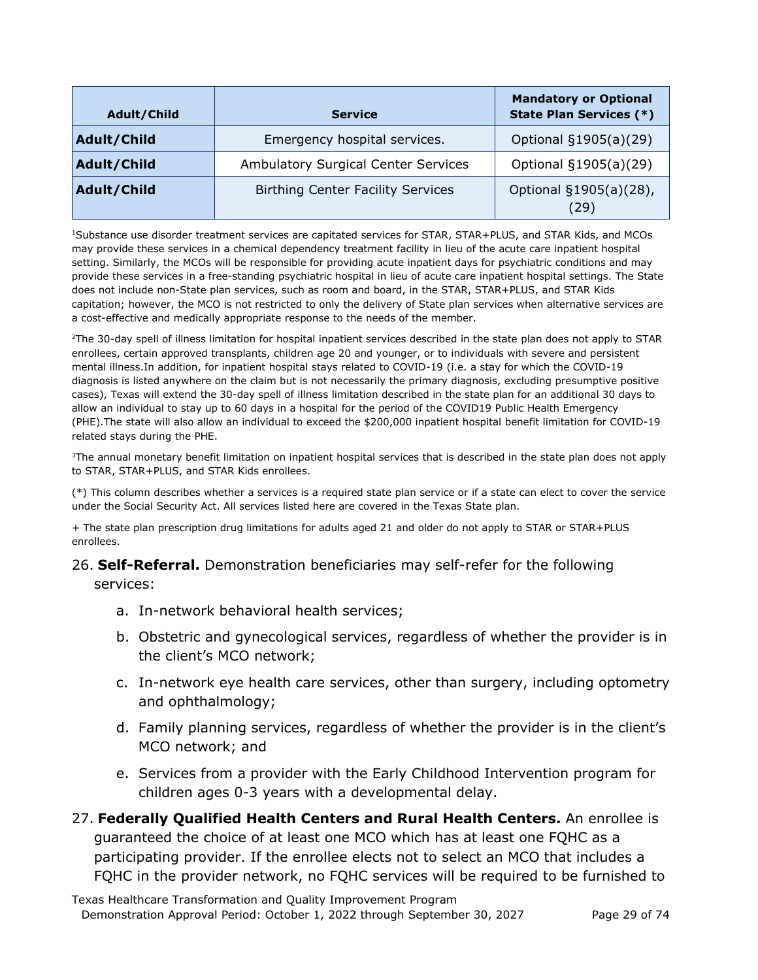| Adult/Child | <b>Service</b>                             | <b>Mandatory or Optional</b><br><b>State Plan Services (*)</b> |
|-------------|--------------------------------------------|----------------------------------------------------------------|
| Adult/Child | Emergency hospital services.               | Optional §1905(a)(29)                                          |
| Adult/Child | <b>Ambulatory Surgical Center Services</b> | Optional §1905(a)(29)                                          |
| Adult/Child | <b>Birthing Center Facility Services</b>   | Optional §1905(a)(28),<br>(29)                                 |

1Substance use disorder treatment services are capitated services for STAR, STAR+PLUS, and STAR Kids, and MCOs may provide these services in a chemical dependency treatment facility in lieu of the acute care inpatient hospital setting. Similarly, the MCOs will be responsible for providing acute inpatient days for psychiatric conditions and may provide these services in a free-standing psychiatric hospital in lieu of acute care inpatient hospital settings. The State does not include non-State plan services, such as room and board, in the STAR, STAR+PLUS, and STAR Kids capitation; however, the MCO is not restricted to only the delivery of State plan services when alternative services are a cost-effective and medically appropriate response to the needs of the member.

<sup>2</sup>The 30-day spell of illness limitation for hospital inpatient services described in the state plan does not apply to STAR enrollees, certain approved transplants, children age 20 and younger, or to individuals with severe and persistent mental illness.In addition, for inpatient hospital stays related to COVID-19 (i.e. a stay for which the COVID-19 diagnosis is listed anywhere on the claim but is not necessarily the primary diagnosis, excluding presumptive positive cases), Texas will extend the 30-day spell of illness limitation described in the state plan for an additional 30 days to allow an individual to stay up to 60 days in a hospital for the period of the COVID19 Public Health Emergency (PHE).The state will also allow an individual to exceed the \$200,000 inpatient hospital benefit limitation for COVID-19 related stays during the PHE.

<sup>3</sup>The annual monetary benefit limitation on inpatient hospital services that is described in the state plan does not apply to STAR, STAR+PLUS, and STAR Kids enrollees.

(\*) This column describes whether a services is a required state plan service or if a state can elect to cover the service under the Social Security Act. All services listed here are covered in the Texas State plan.

+ The state plan prescription drug limitations for adults aged 21 and older do not apply to STAR or STAR+PLUS enrollees.

#### 26. **Self-Referral.** Demonstration beneficiaries may self-refer for the following

services:

- a. In-network behavioral health services;
- b. Obstetric and gynecological services, regardless of whether the provider is in the client's MCO network;
- c. In-network eye health care services, other than surgery, including optometry and ophthalmology;
- d. Family planning services, regardless of whether the provider is in the client's MCO network; and
- e. Services from a provider with the Early Childhood Intervention program for children ages 0-3 years with a developmental delay.
- 27. **Federally Qualified Health Centers and Rural Health Centers.** An enrollee is guaranteed the choice of at least one MCO which has at least one FQHC as a participating provider. If the enrollee elects not to select an MCO that includes a FQHC in the provider network, no FQHC services will be required to be furnished to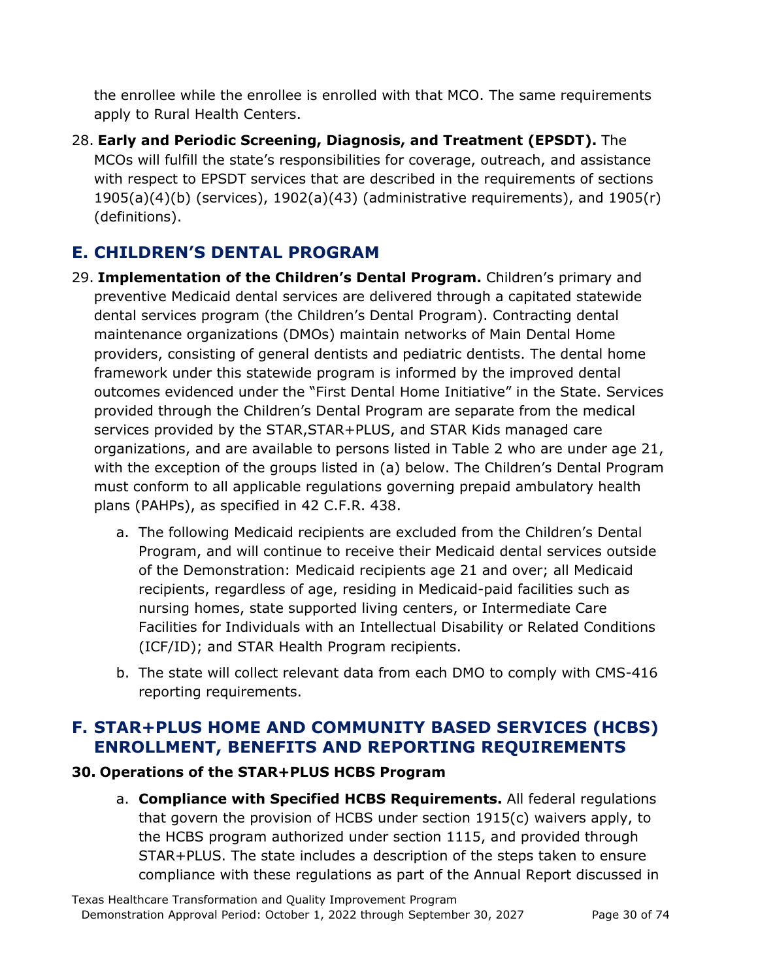the enrollee while the enrollee is enrolled with that MCO. The same requirements apply to Rural Health Centers.

28. **Early and Periodic Screening, Diagnosis, and Treatment (EPSDT).** The MCOs will fulfill the state's responsibilities for coverage, outreach, and assistance with respect to EPSDT services that are described in the requirements of sections  $1905(a)(4)(b)$  (services),  $1902(a)(43)$  (administrative requirements), and  $1905(r)$ (definitions).

# **E. CHILDREN'S DENTAL PROGRAM**

- 29. **Implementation of the Children's Dental Program.** Children's primary and preventive Medicaid dental services are delivered through a capitated statewide dental services program (the Children's Dental Program). Contracting dental maintenance organizations (DMOs) maintain networks of Main Dental Home providers, consisting of general dentists and pediatric dentists. The dental home framework under this statewide program is informed by the improved dental outcomes evidenced under the "First Dental Home Initiative" in the State. Services provided through the Children's Dental Program are separate from the medical services provided by the STAR,STAR+PLUS, and STAR Kids managed care organizations, and are available to persons listed in Table 2 who are under age 21, with the exception of the groups listed in (a) below. The Children's Dental Program must conform to all applicable regulations governing prepaid ambulatory health plans (PAHPs), as specified in 42 C.F.R. 438.
	- a. The following Medicaid recipients are excluded from the Children's Dental Program, and will continue to receive their Medicaid dental services outside of the Demonstration: Medicaid recipients age 21 and over; all Medicaid recipients, regardless of age, residing in Medicaid-paid facilities such as nursing homes, state supported living centers, or Intermediate Care Facilities for Individuals with an Intellectual Disability or Related Conditions (ICF/ID); and STAR Health Program recipients.
	- b. The state will collect relevant data from each DMO to comply with CMS-416 reporting requirements.

# **F. STAR+PLUS HOME AND COMMUNITY BASED SERVICES (HCBS) ENROLLMENT, BENEFITS AND REPORTING REQUIREMENTS**

## **30. Operations of the STAR+PLUS HCBS Program**

a. **Compliance with Specified HCBS Requirements.** All federal regulations that govern the provision of HCBS under section 1915(c) waivers apply, to the HCBS program authorized under section 1115, and provided through STAR+PLUS. The state includes a description of the steps taken to ensure compliance with these regulations as part of the Annual Report discussed in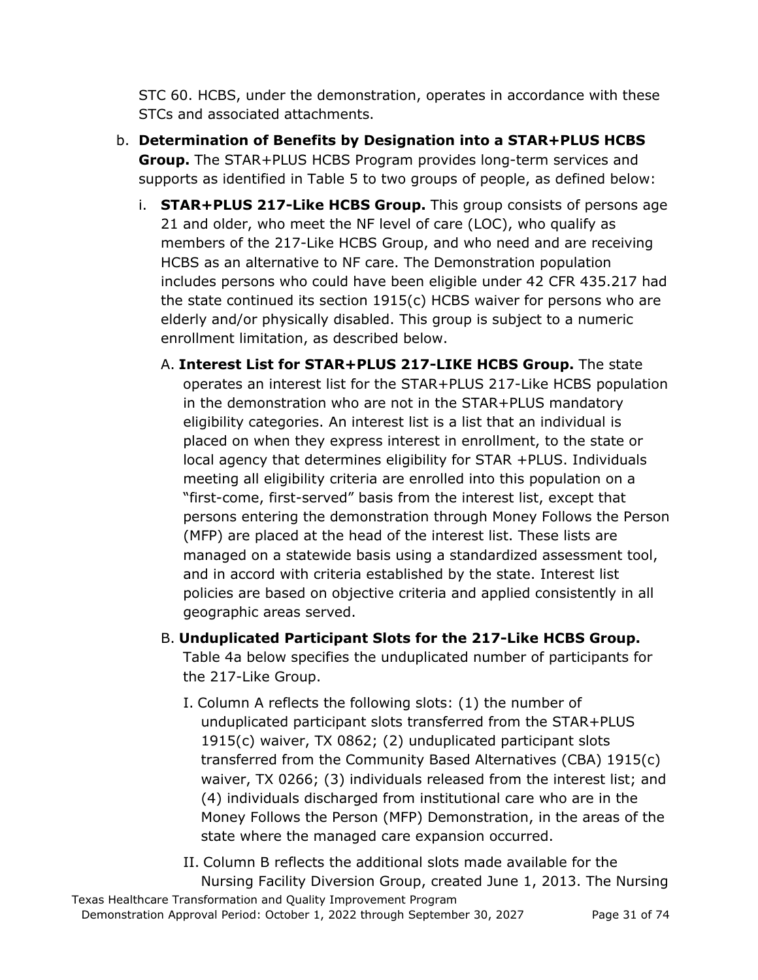STC 60. HCBS, under the demonstration, operates in accordance with these STCs and associated attachments.

- b. **Determination of Benefits by Designation into a STAR+PLUS HCBS Group.** The STAR+PLUS HCBS Program provides long-term services and supports as identified in Table 5 to two groups of people, as defined below:
	- i. **STAR+PLUS 217-Like HCBS Group.** This group consists of persons age 21 and older, who meet the NF level of care (LOC), who qualify as members of the 217-Like HCBS Group, and who need and are receiving HCBS as an alternative to NF care. The Demonstration population includes persons who could have been eligible under 42 CFR 435.217 had the state continued its section 1915(c) HCBS waiver for persons who are elderly and/or physically disabled. This group is subject to a numeric enrollment limitation, as described below.
		- A. **Interest List for STAR+PLUS 217-LIKE HCBS Group.** The state operates an interest list for the STAR+PLUS 217-Like HCBS population in the demonstration who are not in the STAR+PLUS mandatory eligibility categories. An interest list is a list that an individual is placed on when they express interest in enrollment, to the state or local agency that determines eligibility for STAR +PLUS. Individuals meeting all eligibility criteria are enrolled into this population on a "first-come, first-served" basis from the interest list, except that persons entering the demonstration through Money Follows the Person (MFP) are placed at the head of the interest list. These lists are managed on a statewide basis using a standardized assessment tool, and in accord with criteria established by the state. Interest list policies are based on objective criteria and applied consistently in all geographic areas served.
		- B. **Unduplicated Participant Slots for the 217-Like HCBS Group.**  Table 4a below specifies the unduplicated number of participants for the 217-Like Group.
			- I. Column A reflects the following slots: (1) the number of unduplicated participant slots transferred from the STAR+PLUS 1915(c) waiver, TX 0862; (2) unduplicated participant slots transferred from the Community Based Alternatives (CBA) 1915(c) waiver, TX 0266; (3) individuals released from the interest list; and (4) individuals discharged from institutional care who are in the Money Follows the Person (MFP) Demonstration, in the areas of the state where the managed care expansion occurred.
			- II. Column B reflects the additional slots made available for the Nursing Facility Diversion Group, created June 1, 2013. The Nursing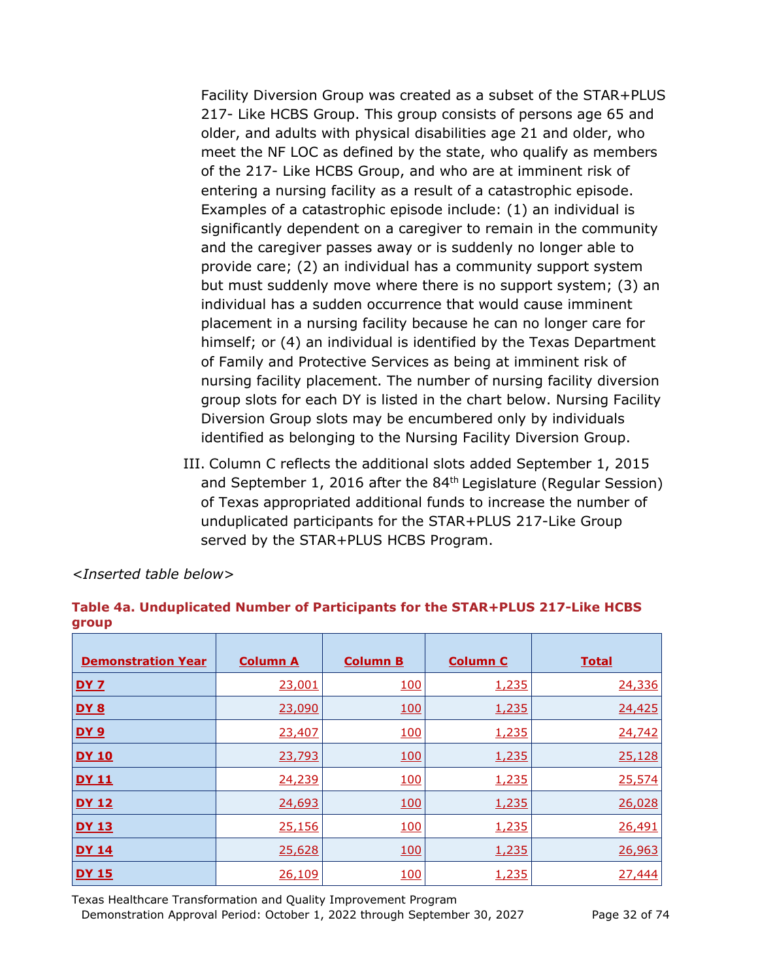Facility Diversion Group was created as a subset of the STAR+PLUS 217- Like HCBS Group. This group consists of persons age 65 and older, and adults with physical disabilities age 21 and older, who meet the NF LOC as defined by the state, who qualify as members of the 217- Like HCBS Group, and who are at imminent risk of entering a nursing facility as a result of a catastrophic episode. Examples of a catastrophic episode include: (1) an individual is significantly dependent on a caregiver to remain in the community and the caregiver passes away or is suddenly no longer able to provide care; (2) an individual has a community support system but must suddenly move where there is no support system; (3) an individual has a sudden occurrence that would cause imminent placement in a nursing facility because he can no longer care for himself; or (4) an individual is identified by the Texas Department of Family and Protective Services as being at imminent risk of nursing facility placement. The number of nursing facility diversion group slots for each DY is listed in the chart below. Nursing Facility Diversion Group slots may be encumbered only by individuals identified as belonging to the Nursing Facility Diversion Group.

III. Column C reflects the additional slots added September 1, 2015 and September 1, 2016 after the 84<sup>th</sup> Legislature (Regular Session) of Texas appropriated additional funds to increase the number of unduplicated participants for the STAR+PLUS 217-Like Group served by the STAR+PLUS HCBS Program.

| <b>Demonstration Year</b> | <b>Column A</b> | <b>Column B</b> | <b>Column C</b> | <b>Total</b> |
|---------------------------|-----------------|-----------------|-----------------|--------------|
| <b>DY 7</b>               | 23,001          | <b>100</b>      | 1,235           | 24,336       |
| <b>DY 8</b>               | 23,090          | 100             | 1,235           | 24,425       |
| <b>DY 9</b>               | 23,407          | 100             | 1,235           | 24,742       |
| <b>DY 10</b>              | 23,793          | <b>100</b>      | 1,235           | 25,128       |
| <b>DY 11</b>              | 24,239          | 100             | 1,235           | 25,574       |
| <b>DY 12</b>              | 24,693          | 100             | 1,235           | 26,028       |
| <b>DY 13</b>              | 25,156          | 100             | 1,235           | 26,491       |
| <b>DY 14</b>              | 25,628          | 100             | 1,235           | 26,963       |
| <b>DY 15</b>              | 26,109          | <u>100</u>      | 1,235           | 27,444       |

#### *<Inserted table below>*

**Table 4a. Unduplicated Number of Participants for the STAR+PLUS 217-Like HCBS group**

Texas Healthcare Transformation and Quality Improvement Program Demonstration Approval Period: October 1, 2022 through September 30, 2027 Page 32 of 74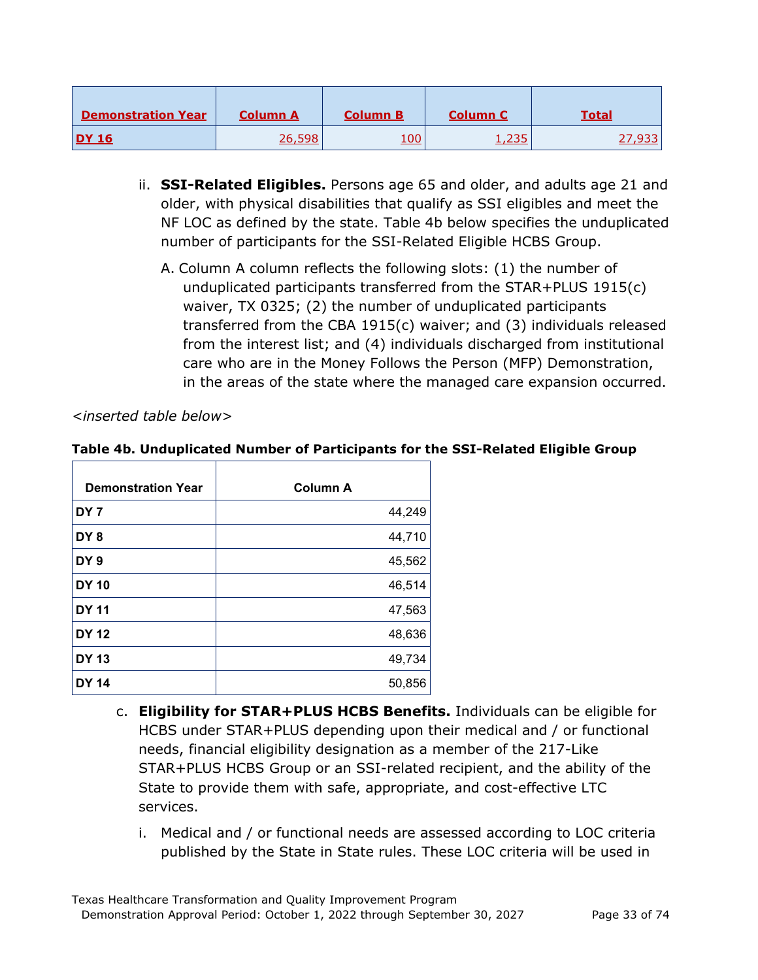| <b>Demonstration Year</b> | <b>Column A</b> | <b>Column B</b> | <b>Column C</b> | Total |
|---------------------------|-----------------|-----------------|-----------------|-------|
| <b>DY 16</b>              | 26,598          | <u> 100</u>     | つつに<br>1,2JJ    |       |

- ii. **SSI-Related Eligibles.** Persons age 65 and older, and adults age 21 and older, with physical disabilities that qualify as SSI eligibles and meet the NF LOC as defined by the state. Table 4b below specifies the unduplicated number of participants for the SSI-Related Eligible HCBS Group.
	- A. Column A column reflects the following slots: (1) the number of unduplicated participants transferred from the STAR+PLUS 1915(c) waiver, TX 0325; (2) the number of unduplicated participants transferred from the CBA 1915(c) waiver; and (3) individuals released from the interest list; and (4) individuals discharged from institutional care who are in the Money Follows the Person (MFP) Demonstration, in the areas of the state where the managed care expansion occurred.

*<inserted table below>*

## **Table 4b. Unduplicated Number of Participants for the SSI-Related Eligible Group**

| <b>Demonstration Year</b> | <b>Column A</b> |
|---------------------------|-----------------|
| DY <sub>7</sub>           | 44,249          |
| DY <sub>8</sub>           | 44,710          |
| DY <sub>9</sub>           | 45,562          |
| <b>DY 10</b>              | 46,514          |
| <b>DY 11</b>              | 47,563          |
| <b>DY 12</b>              | 48,636          |
| <b>DY 13</b>              | 49,734          |
| <b>DY 14</b>              | 50,856          |

- c. **Eligibility for STAR+PLUS HCBS Benefits.** Individuals can be eligible for HCBS under STAR+PLUS depending upon their medical and / or functional needs, financial eligibility designation as a member of the 217-Like STAR+PLUS HCBS Group or an SSI-related recipient, and the ability of the State to provide them with safe, appropriate, and cost-effective LTC services.
	- i. Medical and / or functional needs are assessed according to LOC criteria published by the State in State rules. These LOC criteria will be used in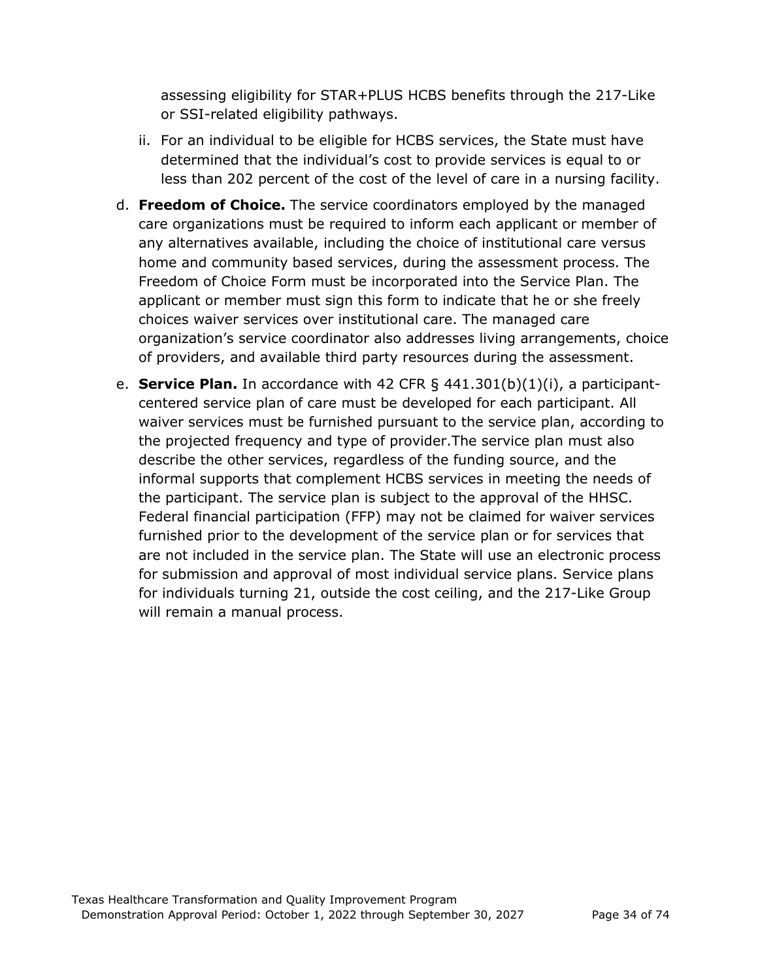assessing eligibility for STAR+PLUS HCBS benefits through the 217-Like or SSI-related eligibility pathways.

- ii. For an individual to be eligible for HCBS services, the State must have determined that the individual's cost to provide services is equal to or less than 202 percent of the cost of the level of care in a nursing facility.
- d. **Freedom of Choice.** The service coordinators employed by the managed care organizations must be required to inform each applicant or member of any alternatives available, including the choice of institutional care versus home and community based services, during the assessment process. The Freedom of Choice Form must be incorporated into the Service Plan. The applicant or member must sign this form to indicate that he or she freely choices waiver services over institutional care. The managed care organization's service coordinator also addresses living arrangements, choice of providers, and available third party resources during the assessment.
- e. **Service Plan.** In accordance with 42 CFR § 441.301(b)(1)(i), a participantcentered service plan of care must be developed for each participant. All waiver services must be furnished pursuant to the service plan, according to the projected frequency and type of provider.The service plan must also describe the other services, regardless of the funding source, and the informal supports that complement HCBS services in meeting the needs of the participant. The service plan is subject to the approval of the HHSC. Federal financial participation (FFP) may not be claimed for waiver services furnished prior to the development of the service plan or for services that are not included in the service plan. The State will use an electronic process for submission and approval of most individual service plans. Service plans for individuals turning 21, outside the cost ceiling, and the 217-Like Group will remain a manual process.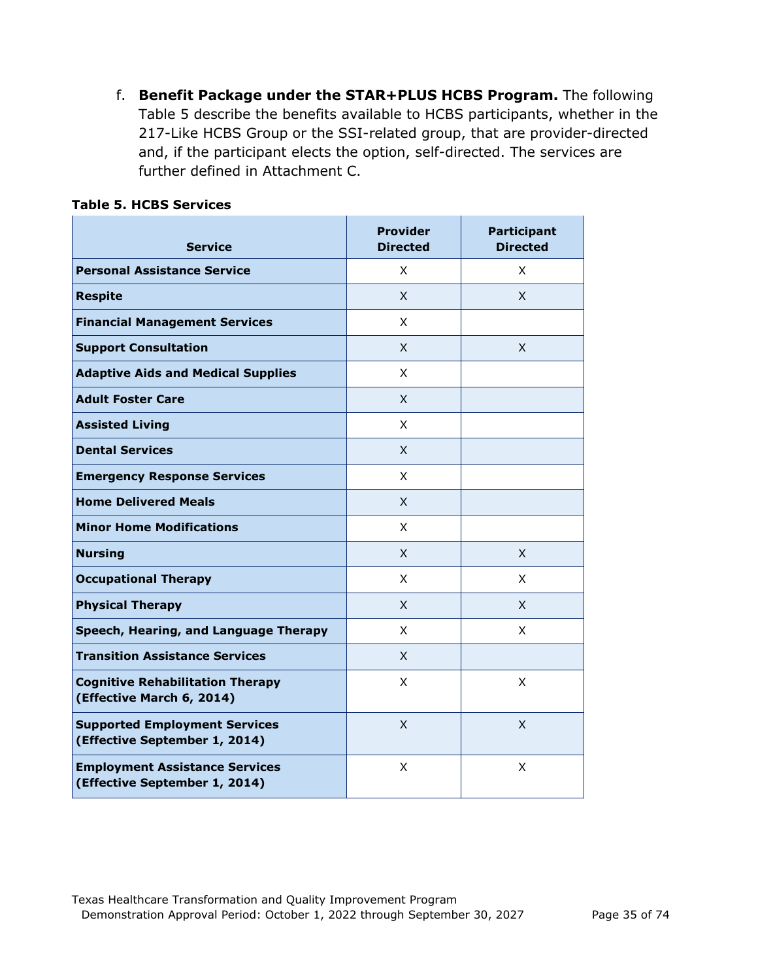f. **Benefit Package under the STAR+PLUS HCBS Program.** The following Table 5 describe the benefits available to HCBS participants, whether in the 217-Like HCBS Group or the SSI-related group, that are provider-directed and, if the participant elects the option, self-directed. The services are further defined in Attachment C.

| <b>Service</b>                                                         | <b>Provider</b><br><b>Directed</b> | <b>Participant</b><br><b>Directed</b> |
|------------------------------------------------------------------------|------------------------------------|---------------------------------------|
| <b>Personal Assistance Service</b>                                     | X                                  | X                                     |
| <b>Respite</b>                                                         | X.                                 | X.                                    |
| <b>Financial Management Services</b>                                   | X                                  |                                       |
| <b>Support Consultation</b>                                            | X                                  | X                                     |
| <b>Adaptive Aids and Medical Supplies</b>                              | X                                  |                                       |
| <b>Adult Foster Care</b>                                               | X                                  |                                       |
| <b>Assisted Living</b>                                                 | X                                  |                                       |
| <b>Dental Services</b>                                                 | X                                  |                                       |
| <b>Emergency Response Services</b>                                     | X                                  |                                       |
| <b>Home Delivered Meals</b>                                            | X                                  |                                       |
| <b>Minor Home Modifications</b>                                        | X                                  |                                       |
| <b>Nursing</b>                                                         | X                                  | X                                     |
| <b>Occupational Therapy</b>                                            | X                                  | X                                     |
| <b>Physical Therapy</b>                                                | X                                  | X                                     |
| Speech, Hearing, and Language Therapy                                  | X                                  | X                                     |
| <b>Transition Assistance Services</b>                                  | X                                  |                                       |
| <b>Cognitive Rehabilitation Therapy</b><br>(Effective March 6, 2014)   | X                                  | X                                     |
| <b>Supported Employment Services</b><br>(Effective September 1, 2014)  | X                                  | $\overline{X}$                        |
| <b>Employment Assistance Services</b><br>(Effective September 1, 2014) | X                                  | X                                     |

### **Table 5. HCBS Services**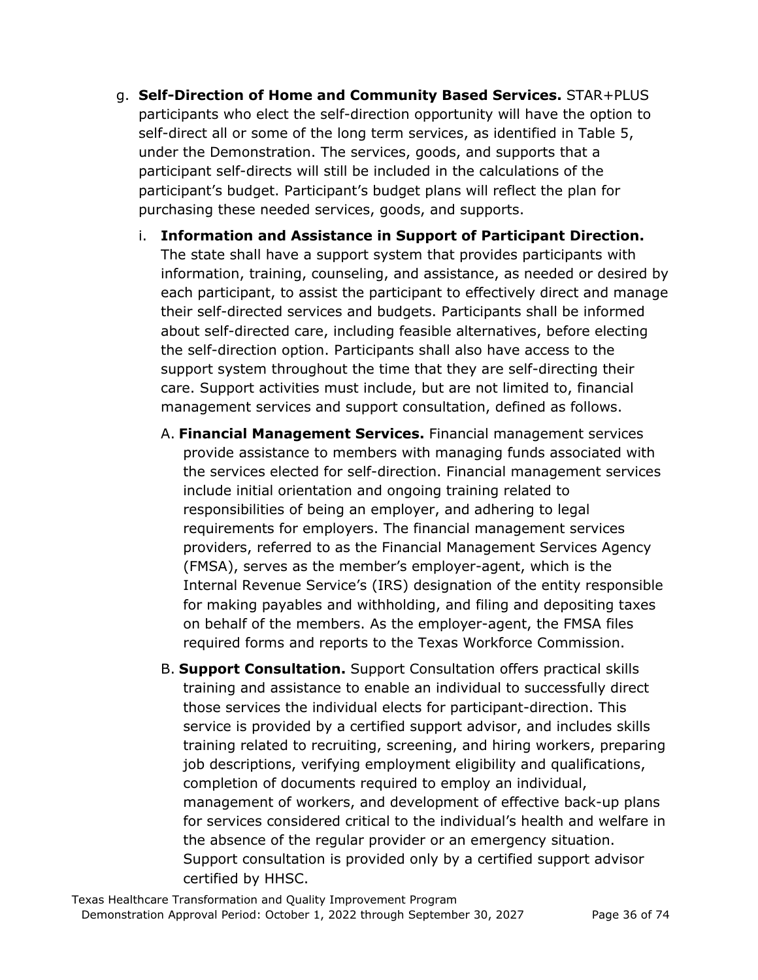- g. **Self-Direction of Home and Community Based Services.** STAR+PLUS participants who elect the self-direction opportunity will have the option to self-direct all or some of the long term services, as identified in Table 5, under the Demonstration. The services, goods, and supports that a participant self-directs will still be included in the calculations of the participant's budget. Participant's budget plans will reflect the plan for purchasing these needed services, goods, and supports.
	- i. **Information and Assistance in Support of Participant Direction.**  The state shall have a support system that provides participants with information, training, counseling, and assistance, as needed or desired by each participant, to assist the participant to effectively direct and manage their self-directed services and budgets. Participants shall be informed about self-directed care, including feasible alternatives, before electing the self-direction option. Participants shall also have access to the support system throughout the time that they are self-directing their care. Support activities must include, but are not limited to, financial management services and support consultation, defined as follows.
		- A. **Financial Management Services.** Financial management services provide assistance to members with managing funds associated with the services elected for self-direction. Financial management services include initial orientation and ongoing training related to responsibilities of being an employer, and adhering to legal requirements for employers. The financial management services providers, referred to as the Financial Management Services Agency (FMSA), serves as the member's employer-agent, which is the Internal Revenue Service's (IRS) designation of the entity responsible for making payables and withholding, and filing and depositing taxes on behalf of the members. As the employer-agent, the FMSA files required forms and reports to the Texas Workforce Commission.
		- B. **Support Consultation.** Support Consultation offers practical skills training and assistance to enable an individual to successfully direct those services the individual elects for participant-direction. This service is provided by a certified support advisor, and includes skills training related to recruiting, screening, and hiring workers, preparing job descriptions, verifying employment eligibility and qualifications, completion of documents required to employ an individual, management of workers, and development of effective back-up plans for services considered critical to the individual's health and welfare in the absence of the regular provider or an emergency situation. Support consultation is provided only by a certified support advisor certified by HHSC.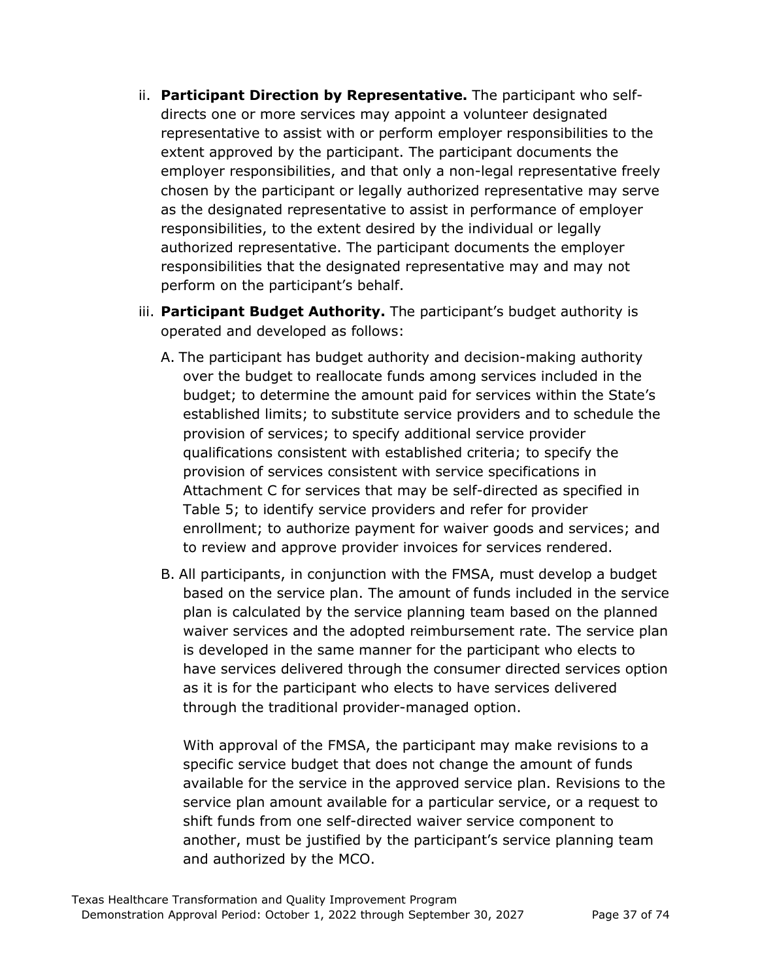- ii. **Participant Direction by Representative.** The participant who selfdirects one or more services may appoint a volunteer designated representative to assist with or perform employer responsibilities to the extent approved by the participant. The participant documents the employer responsibilities, and that only a non-legal representative freely chosen by the participant or legally authorized representative may serve as the designated representative to assist in performance of employer responsibilities, to the extent desired by the individual or legally authorized representative. The participant documents the employer responsibilities that the designated representative may and may not perform on the participant's behalf.
- iii. **Participant Budget Authority.** The participant's budget authority is operated and developed as follows:
	- A. The participant has budget authority and decision-making authority over the budget to reallocate funds among services included in the budget; to determine the amount paid for services within the State's established limits; to substitute service providers and to schedule the provision of services; to specify additional service provider qualifications consistent with established criteria; to specify the provision of services consistent with service specifications in Attachment C for services that may be self-directed as specified in Table 5; to identify service providers and refer for provider enrollment; to authorize payment for waiver goods and services; and to review and approve provider invoices for services rendered.
	- B. All participants, in conjunction with the FMSA, must develop a budget based on the service plan. The amount of funds included in the service plan is calculated by the service planning team based on the planned waiver services and the adopted reimbursement rate. The service plan is developed in the same manner for the participant who elects to have services delivered through the consumer directed services option as it is for the participant who elects to have services delivered through the traditional provider-managed option.

With approval of the FMSA, the participant may make revisions to a specific service budget that does not change the amount of funds available for the service in the approved service plan. Revisions to the service plan amount available for a particular service, or a request to shift funds from one self-directed waiver service component to another, must be justified by the participant's service planning team and authorized by the MCO.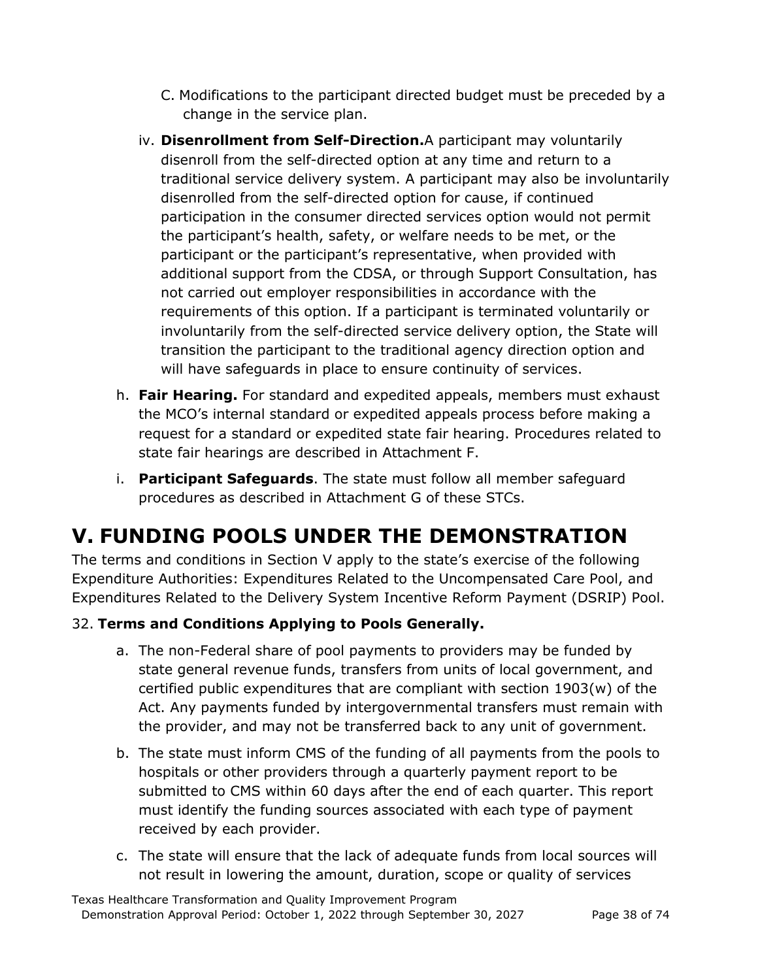- C. Modifications to the participant directed budget must be preceded by a change in the service plan.
- iv. **Disenrollment from Self-Direction.**A participant may voluntarily disenroll from the self-directed option at any time and return to a traditional service delivery system. A participant may also be involuntarily disenrolled from the self-directed option for cause, if continued participation in the consumer directed services option would not permit the participant's health, safety, or welfare needs to be met, or the participant or the participant's representative, when provided with additional support from the CDSA, or through Support Consultation, has not carried out employer responsibilities in accordance with the requirements of this option. If a participant is terminated voluntarily or involuntarily from the self-directed service delivery option, the State will transition the participant to the traditional agency direction option and will have safeguards in place to ensure continuity of services.
- h. **Fair Hearing.** For standard and expedited appeals, members must exhaust the MCO's internal standard or expedited appeals process before making a request for a standard or expedited state fair hearing. Procedures related to state fair hearings are described in Attachment F.
- i. **Participant Safeguards**. The state must follow all member safeguard procedures as described in Attachment G of these STCs.

## **V. FUNDING POOLS UNDER THE DEMONSTRATION**

The terms and conditions in Section V apply to the state's exercise of the following Expenditure Authorities: Expenditures Related to the Uncompensated Care Pool, and Expenditures Related to the Delivery System Incentive Reform Payment (DSRIP) Pool.

### 32. **Terms and Conditions Applying to Pools Generally.**

- a. The non-Federal share of pool payments to providers may be funded by state general revenue funds, transfers from units of local government, and certified public expenditures that are compliant with section 1903(w) of the Act. Any payments funded by intergovernmental transfers must remain with the provider, and may not be transferred back to any unit of government.
- b. The state must inform CMS of the funding of all payments from the pools to hospitals or other providers through a quarterly payment report to be submitted to CMS within 60 days after the end of each quarter. This report must identify the funding sources associated with each type of payment received by each provider.
- c. The state will ensure that the lack of adequate funds from local sources will not result in lowering the amount, duration, scope or quality of services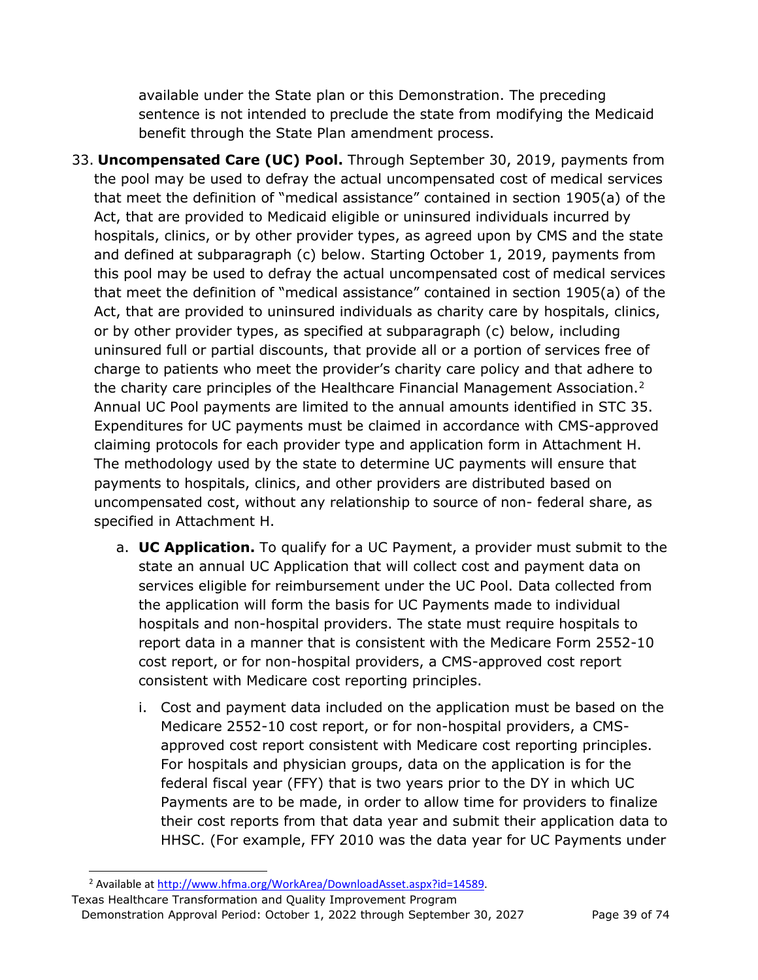available under the State plan or this Demonstration. The preceding sentence is not intended to preclude the state from modifying the Medicaid benefit through the State Plan amendment process.

- 33. **Uncompensated Care (UC) Pool.** Through September 30, 2019, payments from the pool may be used to defray the actual uncompensated cost of medical services that meet the definition of "medical assistance" contained in section 1905(a) of the Act, that are provided to Medicaid eligible or uninsured individuals incurred by hospitals, clinics, or by other provider types, as agreed upon by CMS and the state and defined at subparagraph (c) below. Starting October 1, 2019, payments from this pool may be used to defray the actual uncompensated cost of medical services that meet the definition of "medical assistance" contained in section 1905(a) of the Act, that are provided to uninsured individuals as charity care by hospitals, clinics, or by other provider types, as specified at subparagraph (c) below, including uninsured full or partial discounts, that provide all or a portion of services free of charge to patients who meet the provider's charity care policy and that adhere to the charity care principles of the Healthcare Financial Management Association.<sup>[2](#page-38-0)</sup> Annual UC Pool payments are limited to the annual amounts identified in STC 35. Expenditures for UC payments must be claimed in accordance with CMS-approved claiming protocols for each provider type and application form in Attachment H. The methodology used by the state to determine UC payments will ensure that payments to hospitals, clinics, and other providers are distributed based on uncompensated cost, without any relationship to source of non- federal share, as specified in Attachment H.
	- a. **UC Application.** To qualify for a UC Payment, a provider must submit to the state an annual UC Application that will collect cost and payment data on services eligible for reimbursement under the UC Pool. Data collected from the application will form the basis for UC Payments made to individual hospitals and non-hospital providers. The state must require hospitals to report data in a manner that is consistent with the Medicare Form 2552-10 cost report, or for non-hospital providers, a CMS-approved cost report consistent with Medicare cost reporting principles.
		- i. Cost and payment data included on the application must be based on the Medicare 2552-10 cost report, or for non-hospital providers, a CMSapproved cost report consistent with Medicare cost reporting principles. For hospitals and physician groups, data on the application is for the federal fiscal year (FFY) that is two years prior to the DY in which UC Payments are to be made, in order to allow time for providers to finalize their cost reports from that data year and submit their application data to HHSC. (For example, FFY 2010 was the data year for UC Payments under

<sup>&</sup>lt;sup>2</sup> Available at [http://www.hfma.org/WorkArea/DownloadAsset.aspx?id=14589.](http://www.hfma.org/WorkArea/DownloadAsset.aspx?id=14589)

<span id="page-38-0"></span>Texas Healthcare Transformation and Quality Improvement Program Demonstration Approval Period: October 1, 2022 through September 30, 2027 Page 39 of 74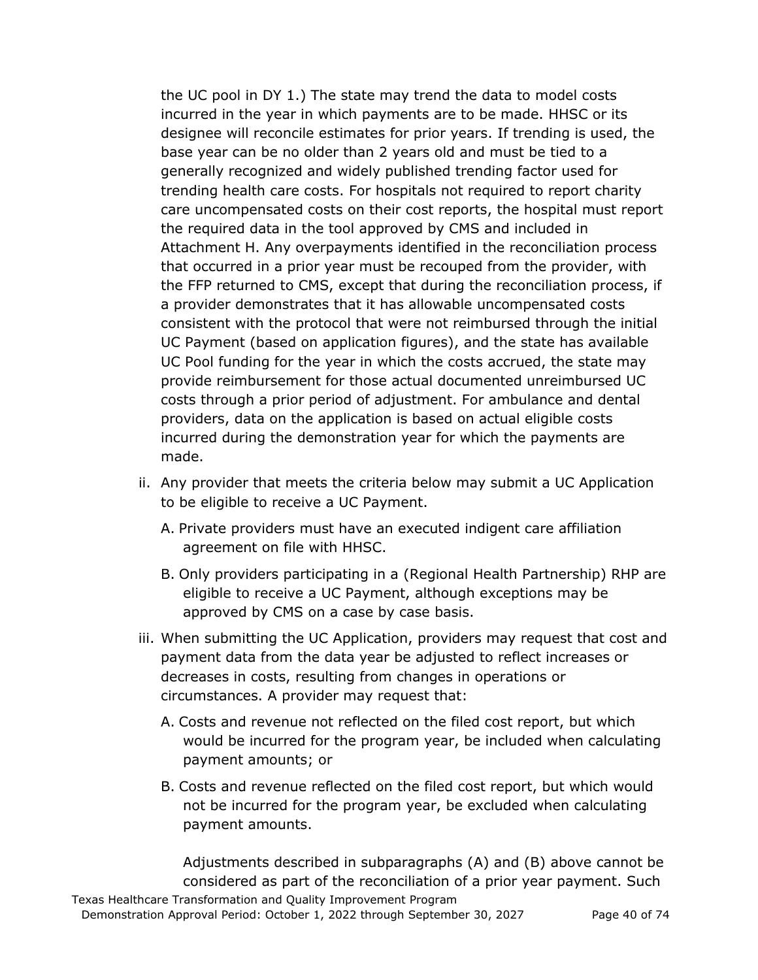the UC pool in DY 1.) The state may trend the data to model costs incurred in the year in which payments are to be made. HHSC or its designee will reconcile estimates for prior years. If trending is used, the base year can be no older than 2 years old and must be tied to a generally recognized and widely published trending factor used for trending health care costs. For hospitals not required to report charity care uncompensated costs on their cost reports, the hospital must report the required data in the tool approved by CMS and included in Attachment H. Any overpayments identified in the reconciliation process that occurred in a prior year must be recouped from the provider, with the FFP returned to CMS, except that during the reconciliation process, if a provider demonstrates that it has allowable uncompensated costs consistent with the protocol that were not reimbursed through the initial UC Payment (based on application figures), and the state has available UC Pool funding for the year in which the costs accrued, the state may provide reimbursement for those actual documented unreimbursed UC costs through a prior period of adjustment. For ambulance and dental providers, data on the application is based on actual eligible costs incurred during the demonstration year for which the payments are made.

- ii. Any provider that meets the criteria below may submit a UC Application to be eligible to receive a UC Payment.
	- A. Private providers must have an executed indigent care affiliation agreement on file with HHSC.
	- B. Only providers participating in a (Regional Health Partnership) RHP are eligible to receive a UC Payment, although exceptions may be approved by CMS on a case by case basis.
- iii. When submitting the UC Application, providers may request that cost and payment data from the data year be adjusted to reflect increases or decreases in costs, resulting from changes in operations or circumstances. A provider may request that:
	- A. Costs and revenue not reflected on the filed cost report, but which would be incurred for the program year, be included when calculating payment amounts; or
	- B. Costs and revenue reflected on the filed cost report, but which would not be incurred for the program year, be excluded when calculating payment amounts.

Texas Healthcare Transformation and Quality Improvement Program Adjustments described in subparagraphs (A) and (B) above cannot be considered as part of the reconciliation of a prior year payment. Such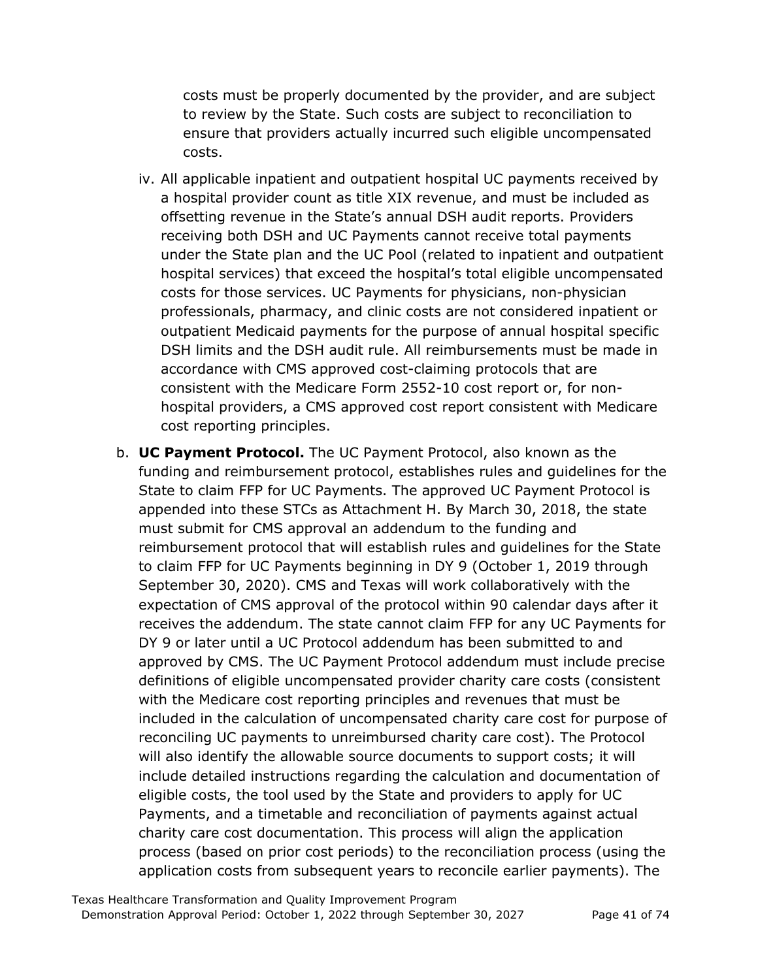costs must be properly documented by the provider, and are subject to review by the State. Such costs are subject to reconciliation to ensure that providers actually incurred such eligible uncompensated costs.

- iv. All applicable inpatient and outpatient hospital UC payments received by a hospital provider count as title XIX revenue, and must be included as offsetting revenue in the State's annual DSH audit reports. Providers receiving both DSH and UC Payments cannot receive total payments under the State plan and the UC Pool (related to inpatient and outpatient hospital services) that exceed the hospital's total eligible uncompensated costs for those services. UC Payments for physicians, non-physician professionals, pharmacy, and clinic costs are not considered inpatient or outpatient Medicaid payments for the purpose of annual hospital specific DSH limits and the DSH audit rule. All reimbursements must be made in accordance with CMS approved cost-claiming protocols that are consistent with the Medicare Form 2552-10 cost report or, for nonhospital providers, a CMS approved cost report consistent with Medicare cost reporting principles.
- b. **UC Payment Protocol.** The UC Payment Protocol, also known as the funding and reimbursement protocol, establishes rules and guidelines for the State to claim FFP for UC Payments. The approved UC Payment Protocol is appended into these STCs as Attachment H. By March 30, 2018, the state must submit for CMS approval an addendum to the funding and reimbursement protocol that will establish rules and guidelines for the State to claim FFP for UC Payments beginning in DY 9 (October 1, 2019 through September 30, 2020). CMS and Texas will work collaboratively with the expectation of CMS approval of the protocol within 90 calendar days after it receives the addendum. The state cannot claim FFP for any UC Payments for DY 9 or later until a UC Protocol addendum has been submitted to and approved by CMS. The UC Payment Protocol addendum must include precise definitions of eligible uncompensated provider charity care costs (consistent with the Medicare cost reporting principles and revenues that must be included in the calculation of uncompensated charity care cost for purpose of reconciling UC payments to unreimbursed charity care cost). The Protocol will also identify the allowable source documents to support costs; it will include detailed instructions regarding the calculation and documentation of eligible costs, the tool used by the State and providers to apply for UC Payments, and a timetable and reconciliation of payments against actual charity care cost documentation. This process will align the application process (based on prior cost periods) to the reconciliation process (using the application costs from subsequent years to reconcile earlier payments). The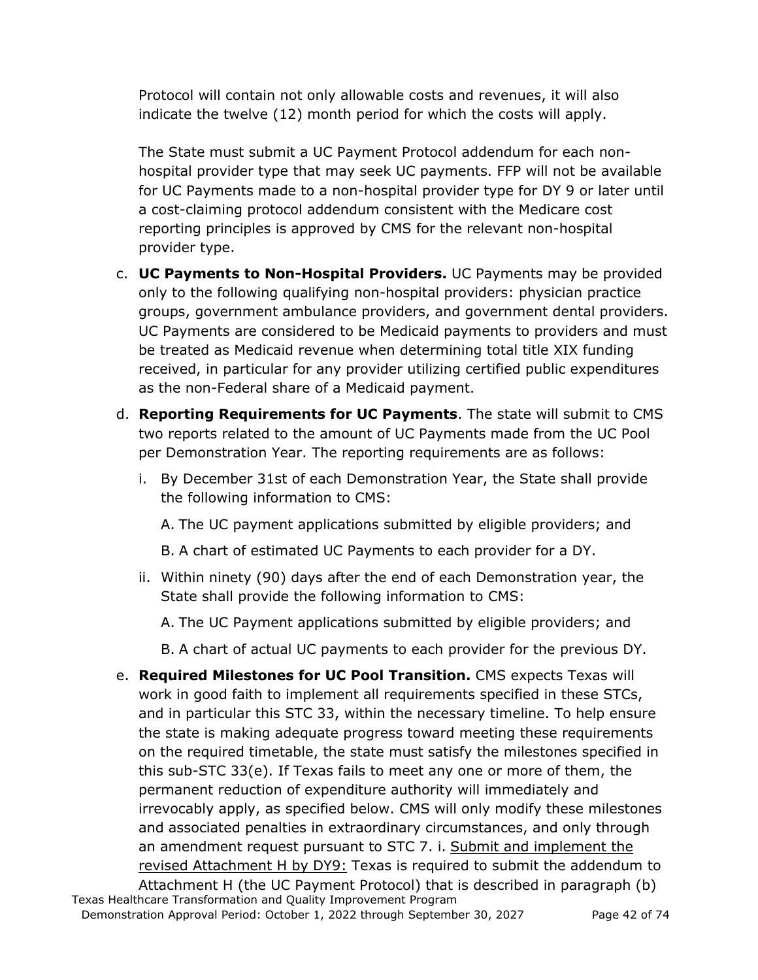Protocol will contain not only allowable costs and revenues, it will also indicate the twelve (12) month period for which the costs will apply.

The State must submit a UC Payment Protocol addendum for each nonhospital provider type that may seek UC payments. FFP will not be available for UC Payments made to a non-hospital provider type for DY 9 or later until a cost-claiming protocol addendum consistent with the Medicare cost reporting principles is approved by CMS for the relevant non-hospital provider type.

- c. **UC Payments to Non-Hospital Providers.** UC Payments may be provided only to the following qualifying non-hospital providers: physician practice groups, government ambulance providers, and government dental providers. UC Payments are considered to be Medicaid payments to providers and must be treated as Medicaid revenue when determining total title XIX funding received, in particular for any provider utilizing certified public expenditures as the non-Federal share of a Medicaid payment.
- d. **Reporting Requirements for UC Payments**. The state will submit to CMS two reports related to the amount of UC Payments made from the UC Pool per Demonstration Year. The reporting requirements are as follows:
	- i. By December 31st of each Demonstration Year, the State shall provide the following information to CMS:

A. The UC payment applications submitted by eligible providers; and

B. A chart of estimated UC Payments to each provider for a DY.

ii. Within ninety (90) days after the end of each Demonstration year, the State shall provide the following information to CMS:

A. The UC Payment applications submitted by eligible providers; and

B. A chart of actual UC payments to each provider for the previous DY.

e. **Required Milestones for UC Pool Transition.** CMS expects Texas will work in good faith to implement all requirements specified in these STCs, and in particular this STC 33, within the necessary timeline. To help ensure the state is making adequate progress toward meeting these requirements on the required timetable, the state must satisfy the milestones specified in this sub-STC 33(e). If Texas fails to meet any one or more of them, the permanent reduction of expenditure authority will immediately and irrevocably apply, as specified below. CMS will only modify these milestones and associated penalties in extraordinary circumstances, and only through an amendment request pursuant to STC 7. i. Submit and implement the revised Attachment H by DY9: Texas is required to submit the addendum to Attachment H (the UC Payment Protocol) that is described in paragraph (b)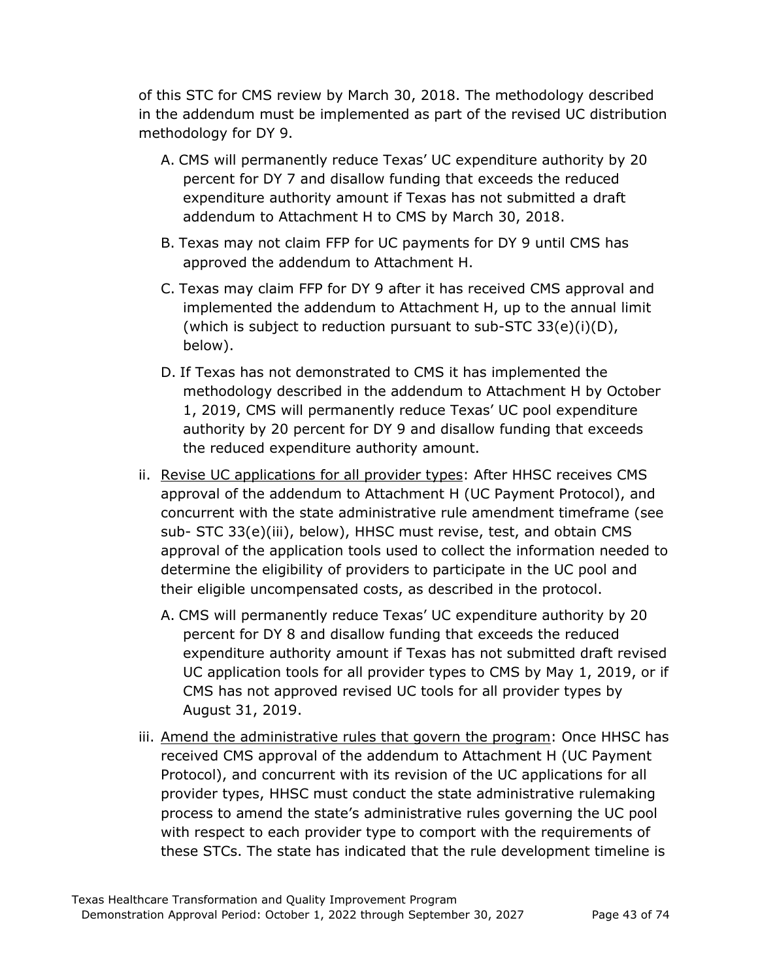of this STC for CMS review by March 30, 2018. The methodology described in the addendum must be implemented as part of the revised UC distribution methodology for DY 9.

- A. CMS will permanently reduce Texas' UC expenditure authority by 20 percent for DY 7 and disallow funding that exceeds the reduced expenditure authority amount if Texas has not submitted a draft addendum to Attachment H to CMS by March 30, 2018.
- B. Texas may not claim FFP for UC payments for DY 9 until CMS has approved the addendum to Attachment H.
- C. Texas may claim FFP for DY 9 after it has received CMS approval and implemented the addendum to Attachment H, up to the annual limit (which is subject to reduction pursuant to sub-STC 33(e)(i)(D), below).
- D. If Texas has not demonstrated to CMS it has implemented the methodology described in the addendum to Attachment H by October 1, 2019, CMS will permanently reduce Texas' UC pool expenditure authority by 20 percent for DY 9 and disallow funding that exceeds the reduced expenditure authority amount.
- ii. Revise UC applications for all provider types: After HHSC receives CMS approval of the addendum to Attachment H (UC Payment Protocol), and concurrent with the state administrative rule amendment timeframe (see sub- STC 33(e)(iii), below), HHSC must revise, test, and obtain CMS approval of the application tools used to collect the information needed to determine the eligibility of providers to participate in the UC pool and their eligible uncompensated costs, as described in the protocol.
	- A. CMS will permanently reduce Texas' UC expenditure authority by 20 percent for DY 8 and disallow funding that exceeds the reduced expenditure authority amount if Texas has not submitted draft revised UC application tools for all provider types to CMS by May 1, 2019, or if CMS has not approved revised UC tools for all provider types by August 31, 2019.
- iii. Amend the administrative rules that govern the program: Once HHSC has received CMS approval of the addendum to Attachment H (UC Payment Protocol), and concurrent with its revision of the UC applications for all provider types, HHSC must conduct the state administrative rulemaking process to amend the state's administrative rules governing the UC pool with respect to each provider type to comport with the requirements of these STCs. The state has indicated that the rule development timeline is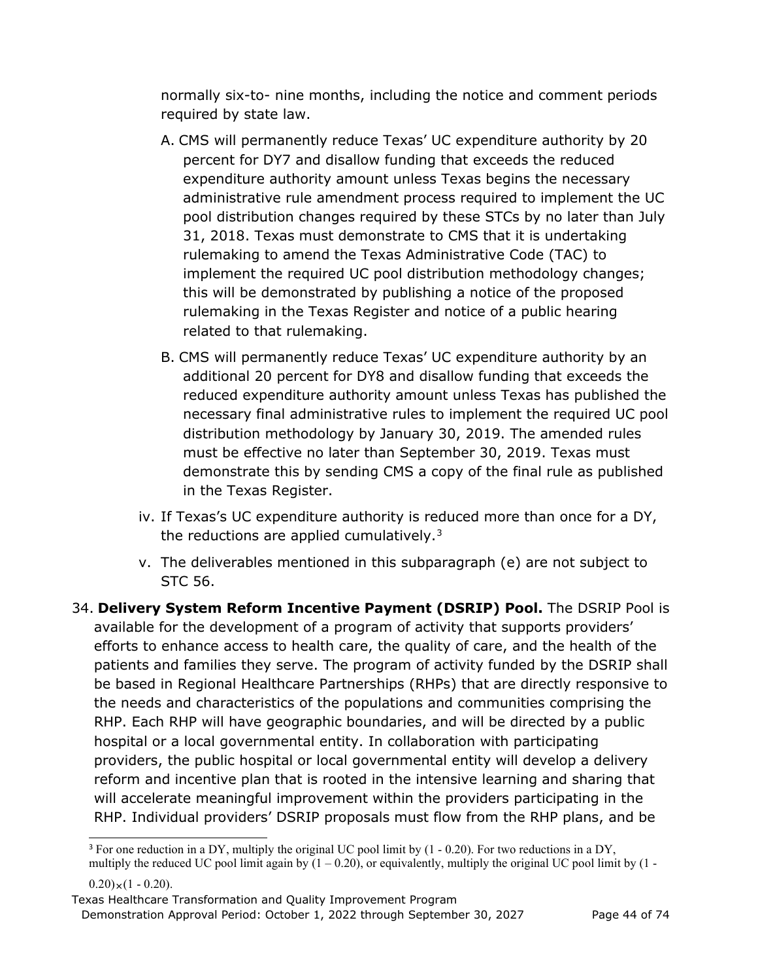normally six-to- nine months, including the notice and comment periods required by state law.

- A. CMS will permanently reduce Texas' UC expenditure authority by 20 percent for DY7 and disallow funding that exceeds the reduced expenditure authority amount unless Texas begins the necessary administrative rule amendment process required to implement the UC pool distribution changes required by these STCs by no later than July 31, 2018. Texas must demonstrate to CMS that it is undertaking rulemaking to amend the Texas Administrative Code (TAC) to implement the required UC pool distribution methodology changes; this will be demonstrated by publishing a notice of the proposed rulemaking in the Texas Register and notice of a public hearing related to that rulemaking.
- B. CMS will permanently reduce Texas' UC expenditure authority by an additional 20 percent for DY8 and disallow funding that exceeds the reduced expenditure authority amount unless Texas has published the necessary final administrative rules to implement the required UC pool distribution methodology by January 30, 2019. The amended rules must be effective no later than September 30, 2019. Texas must demonstrate this by sending CMS a copy of the final rule as published in the Texas Register.
- iv. If Texas's UC expenditure authority is reduced more than once for a DY, the reductions are applied cumulatively. $3$
- v. The deliverables mentioned in this subparagraph (e) are not subject to STC 56.
- 34. **Delivery System Reform Incentive Payment (DSRIP) Pool.** The DSRIP Pool is available for the development of a program of activity that supports providers' efforts to enhance access to health care, the quality of care, and the health of the patients and families they serve. The program of activity funded by the DSRIP shall be based in Regional Healthcare Partnerships (RHPs) that are directly responsive to the needs and characteristics of the populations and communities comprising the RHP. Each RHP will have geographic boundaries, and will be directed by a public hospital or a local governmental entity. In collaboration with participating providers, the public hospital or local governmental entity will develop a delivery reform and incentive plan that is rooted in the intensive learning and sharing that will accelerate meaningful improvement within the providers participating in the RHP. Individual providers' DSRIP proposals must flow from the RHP plans, and be

<span id="page-43-0"></span><sup>&</sup>lt;sup>3</sup> For one reduction in a DY, multiply the original UC pool limit by  $(1 - 0.20)$ . For two reductions in a DY, multiply the reduced UC pool limit again by  $(1 - 0.20)$ , or equivalently, multiply the original UC pool limit by  $(1 -$ 

 $(0.20) \times (1 - 0.20)$ .

Texas Healthcare Transformation and Quality Improvement Program Demonstration Approval Period: October 1, 2022 through September 30, 2027 Page 44 of 74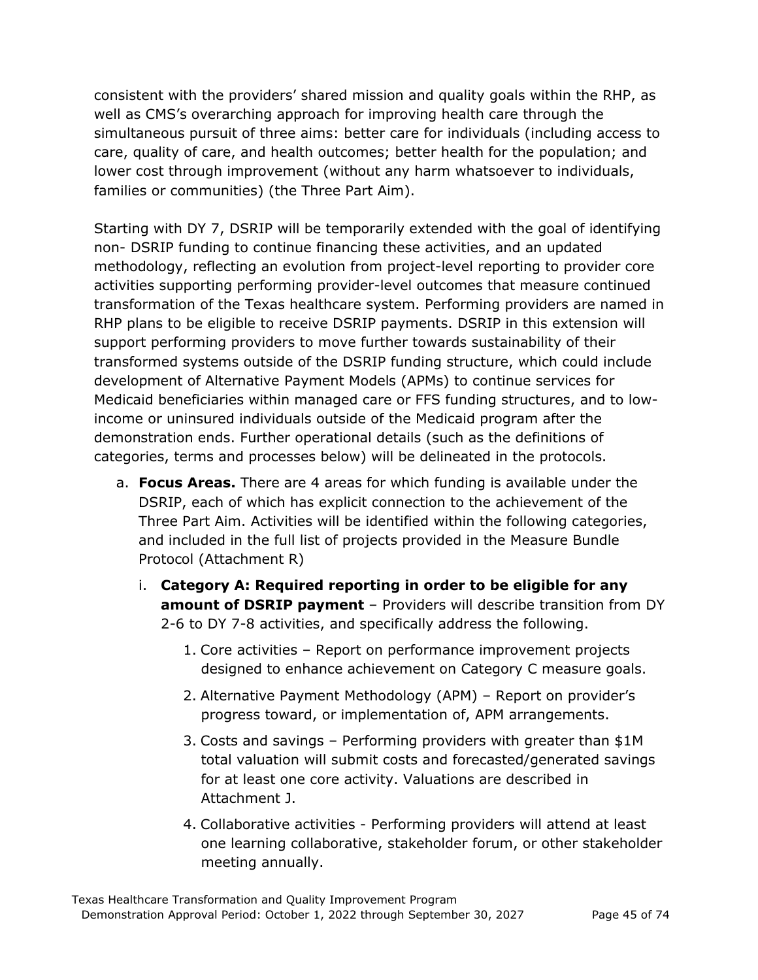consistent with the providers' shared mission and quality goals within the RHP, as well as CMS's overarching approach for improving health care through the simultaneous pursuit of three aims: better care for individuals (including access to care, quality of care, and health outcomes; better health for the population; and lower cost through improvement (without any harm whatsoever to individuals, families or communities) (the Three Part Aim).

Starting with DY 7, DSRIP will be temporarily extended with the goal of identifying non- DSRIP funding to continue financing these activities, and an updated methodology, reflecting an evolution from project-level reporting to provider core activities supporting performing provider-level outcomes that measure continued transformation of the Texas healthcare system. Performing providers are named in RHP plans to be eligible to receive DSRIP payments. DSRIP in this extension will support performing providers to move further towards sustainability of their transformed systems outside of the DSRIP funding structure, which could include development of Alternative Payment Models (APMs) to continue services for Medicaid beneficiaries within managed care or FFS funding structures, and to lowincome or uninsured individuals outside of the Medicaid program after the demonstration ends. Further operational details (such as the definitions of categories, terms and processes below) will be delineated in the protocols.

- a. **Focus Areas.** There are 4 areas for which funding is available under the DSRIP, each of which has explicit connection to the achievement of the Three Part Aim. Activities will be identified within the following categories, and included in the full list of projects provided in the Measure Bundle Protocol (Attachment R)
	- i. **Category A: Required reporting in order to be eligible for any amount of DSRIP payment** – Providers will describe transition from DY 2-6 to DY 7-8 activities, and specifically address the following.
		- 1. Core activities Report on performance improvement projects designed to enhance achievement on Category C measure goals.
		- 2. Alternative Payment Methodology (APM) Report on provider's progress toward, or implementation of, APM arrangements.
		- 3. Costs and savings Performing providers with greater than \$1M total valuation will submit costs and forecasted/generated savings for at least one core activity. Valuations are described in Attachment J.
		- 4. Collaborative activities Performing providers will attend at least one learning collaborative, stakeholder forum, or other stakeholder meeting annually.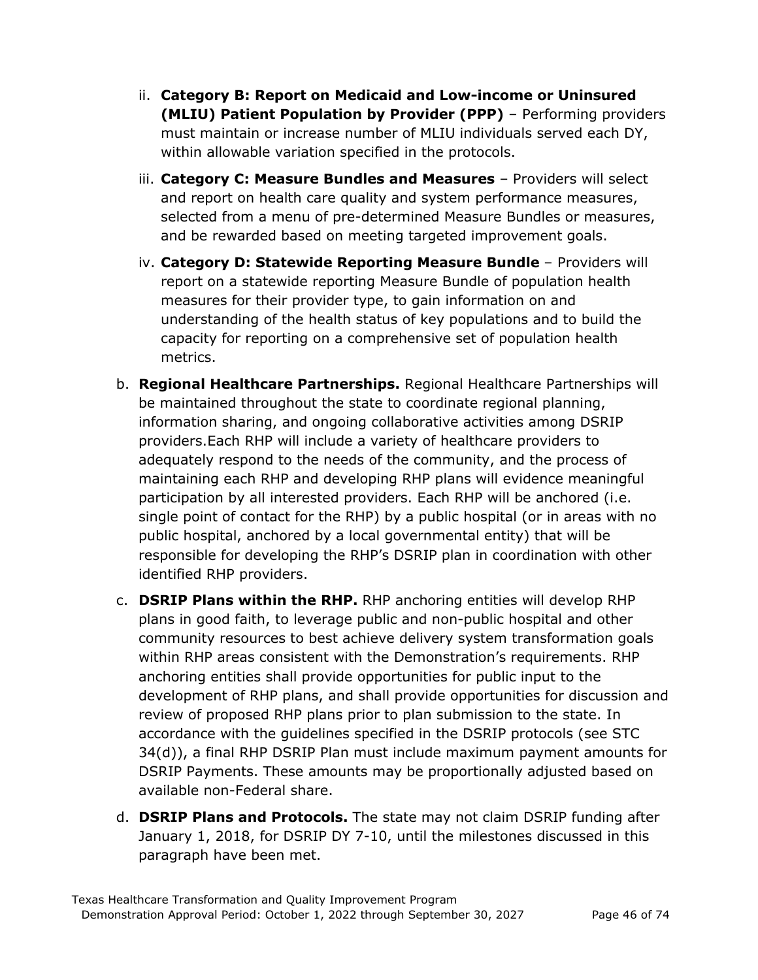- ii. **Category B: Report on Medicaid and Low-income or Uninsured (MLIU) Patient Population by Provider (PPP)** – Performing providers must maintain or increase number of MLIU individuals served each DY, within allowable variation specified in the protocols.
- iii. **Category C: Measure Bundles and Measures**  Providers will select and report on health care quality and system performance measures, selected from a menu of pre-determined Measure Bundles or measures, and be rewarded based on meeting targeted improvement goals.
- iv. **Category D: Statewide Reporting Measure Bundle**  Providers will report on a statewide reporting Measure Bundle of population health measures for their provider type, to gain information on and understanding of the health status of key populations and to build the capacity for reporting on a comprehensive set of population health metrics.
- b. **Regional Healthcare Partnerships.** Regional Healthcare Partnerships will be maintained throughout the state to coordinate regional planning, information sharing, and ongoing collaborative activities among DSRIP providers.Each RHP will include a variety of healthcare providers to adequately respond to the needs of the community, and the process of maintaining each RHP and developing RHP plans will evidence meaningful participation by all interested providers. Each RHP will be anchored (i.e. single point of contact for the RHP) by a public hospital (or in areas with no public hospital, anchored by a local governmental entity) that will be responsible for developing the RHP's DSRIP plan in coordination with other identified RHP providers.
- c. **DSRIP Plans within the RHP.** RHP anchoring entities will develop RHP plans in good faith, to leverage public and non-public hospital and other community resources to best achieve delivery system transformation goals within RHP areas consistent with the Demonstration's requirements. RHP anchoring entities shall provide opportunities for public input to the development of RHP plans, and shall provide opportunities for discussion and review of proposed RHP plans prior to plan submission to the state. In accordance with the guidelines specified in the DSRIP protocols (see STC 34(d)), a final RHP DSRIP Plan must include maximum payment amounts for DSRIP Payments. These amounts may be proportionally adjusted based on available non-Federal share.
- d. **DSRIP Plans and Protocols.** The state may not claim DSRIP funding after January 1, 2018, for DSRIP DY 7-10, until the milestones discussed in this paragraph have been met.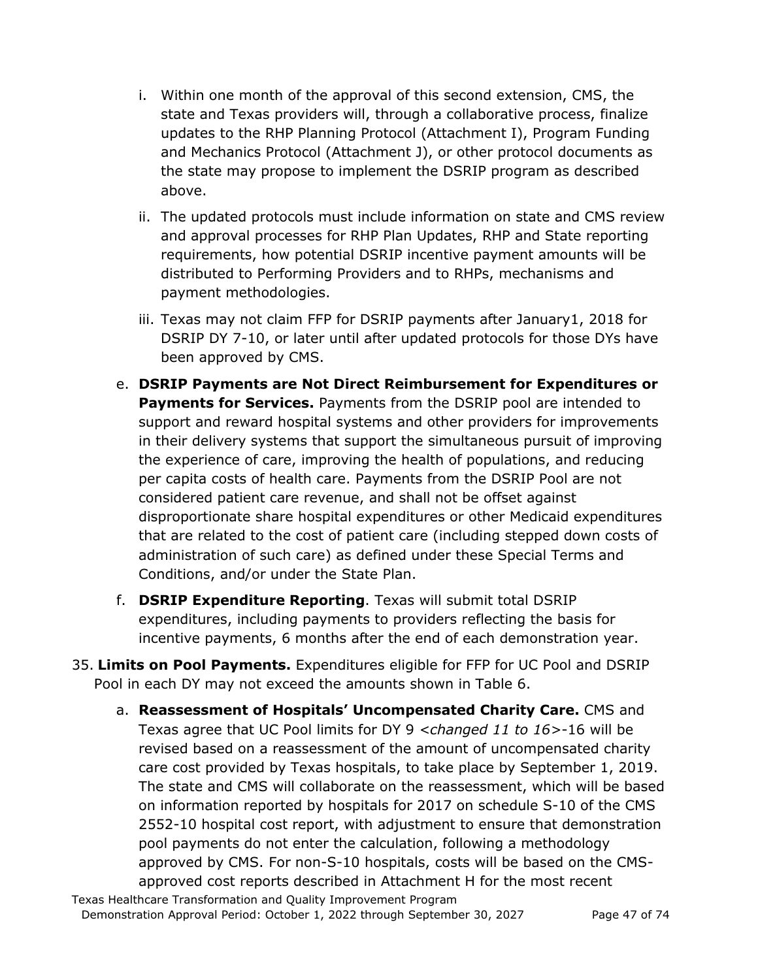- i. Within one month of the approval of this second extension, CMS, the state and Texas providers will, through a collaborative process, finalize updates to the RHP Planning Protocol (Attachment I), Program Funding and Mechanics Protocol (Attachment J), or other protocol documents as the state may propose to implement the DSRIP program as described above.
- ii. The updated protocols must include information on state and CMS review and approval processes for RHP Plan Updates, RHP and State reporting requirements, how potential DSRIP incentive payment amounts will be distributed to Performing Providers and to RHPs, mechanisms and payment methodologies.
- iii. Texas may not claim FFP for DSRIP payments after January1, 2018 for DSRIP DY 7-10, or later until after updated protocols for those DYs have been approved by CMS.
- e. **DSRIP Payments are Not Direct Reimbursement for Expenditures or Payments for Services.** Payments from the DSRIP pool are intended to support and reward hospital systems and other providers for improvements in their delivery systems that support the simultaneous pursuit of improving the experience of care, improving the health of populations, and reducing per capita costs of health care. Payments from the DSRIP Pool are not considered patient care revenue, and shall not be offset against disproportionate share hospital expenditures or other Medicaid expenditures that are related to the cost of patient care (including stepped down costs of administration of such care) as defined under these Special Terms and Conditions, and/or under the State Plan.
- f. **DSRIP Expenditure Reporting**. Texas will submit total DSRIP expenditures, including payments to providers reflecting the basis for incentive payments, 6 months after the end of each demonstration year.
- 35. **Limits on Pool Payments.** Expenditures eligible for FFP for UC Pool and DSRIP Pool in each DY may not exceed the amounts shown in Table 6.
	- a. **Reassessment of Hospitals' Uncompensated Charity Care.** CMS and Texas agree that UC Pool limits for DY 9 *<changed 11 to 16>*-16 will be revised based on a reassessment of the amount of uncompensated charity care cost provided by Texas hospitals, to take place by September 1, 2019. The state and CMS will collaborate on the reassessment, which will be based on information reported by hospitals for 2017 on schedule S-10 of the CMS 2552-10 hospital cost report, with adjustment to ensure that demonstration pool payments do not enter the calculation, following a methodology approved by CMS. For non-S-10 hospitals, costs will be based on the CMSapproved cost reports described in Attachment H for the most recent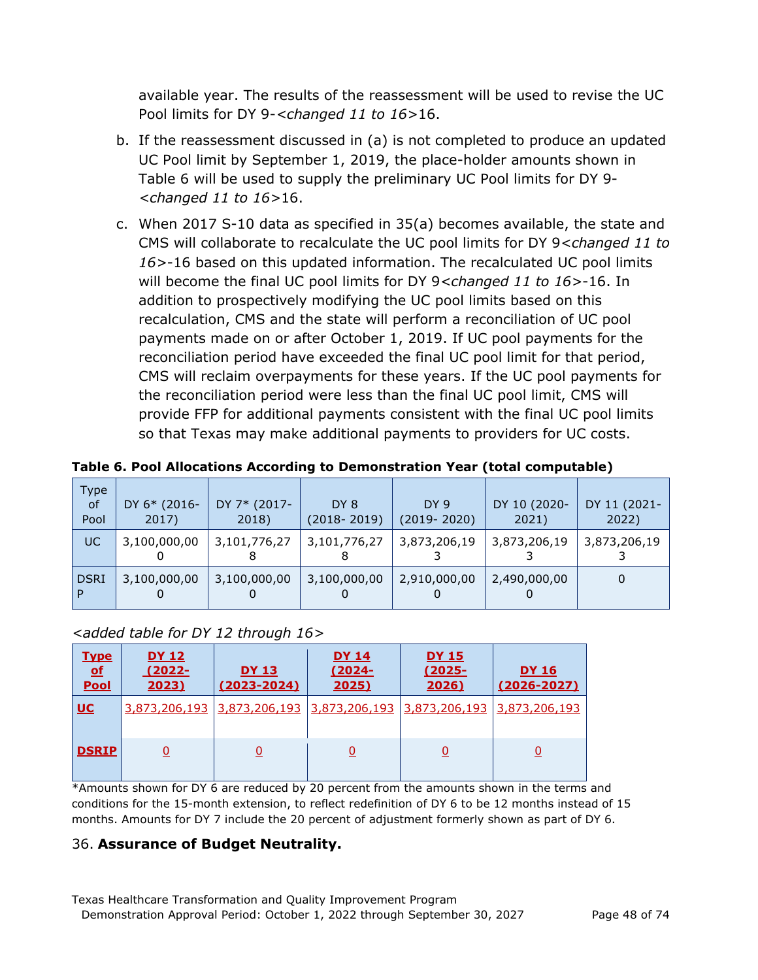available year. The results of the reassessment will be used to revise the UC Pool limits for DY 9-*<changed 11 to 16>*16.

- b. If the reassessment discussed in (a) is not completed to produce an updated UC Pool limit by September 1, 2019, the place-holder amounts shown in Table 6 will be used to supply the preliminary UC Pool limits for DY 9- *<changed 11 to 16>*16.
- c. When 2017 S-10 data as specified in 35(a) becomes available, the state and CMS will collaborate to recalculate the UC pool limits for DY 9*<changed 11 to 16>*-16 based on this updated information. The recalculated UC pool limits will become the final UC pool limits for DY 9*<changed 11 to 16>*-16. In addition to prospectively modifying the UC pool limits based on this recalculation, CMS and the state will perform a reconciliation of UC pool payments made on or after October 1, 2019. If UC pool payments for the reconciliation period have exceeded the final UC pool limit for that period, CMS will reclaim overpayments for these years. If the UC pool payments for the reconciliation period were less than the final UC pool limit, CMS will provide FFP for additional payments consistent with the final UC pool limits so that Texas may make additional payments to providers for UC costs.

| Type<br><b>of</b><br>Pool | DY 6* (2016-<br>2017) | DY 7* (2017-<br>2018) | DY 8<br>$(2018 - 2019)$ | DY 9<br>$(2019 - 2020)$ | DY 10 (2020-<br>2021) | DY 11 (2021-<br>2022) |
|---------------------------|-----------------------|-----------------------|-------------------------|-------------------------|-----------------------|-----------------------|
| UC                        | 3,100,000,00          | 3,101,776,27          | 3,101,776,27            | 3,873,206,19            | 3,873,206,19          | 3,873,206,19          |
| <b>DSRI</b>               | 3,100,000,00          | 3,100,000,00          | 3,100,000,00            | 2,910,000,00            | 2,490,000,00          | 0                     |

**Table 6. Pool Allocations According to Demonstration Year (total computable)** 

#### *<added table for DY 12 through 16>*

| <u>Type</u><br>p<br><u>Pool</u> | <u>DY 12</u><br>$(2022 -$<br>2023) | <u>DY 13</u><br>$(2023 - 2024)$ | DY 14<br>$(2024 -$<br>2025) | <u>DY 15</u><br>$(2025 -$<br>2026)                                    | <b>DY 16</b><br>$(2026 - 2027)$ |
|---------------------------------|------------------------------------|---------------------------------|-----------------------------|-----------------------------------------------------------------------|---------------------------------|
| <u>UC</u>                       |                                    |                                 |                             | 3,873,206,193 3,873,206,193 3,873,206,193 3,873,206,193 3,873,206,193 |                                 |
| <b>DSRIP</b>                    |                                    | <u>0</u>                        | <u>0</u>                    | <u>0</u>                                                              |                                 |

\*Amounts shown for DY 6 are reduced by 20 percent from the amounts shown in the terms and conditions for the 15-month extension, to reflect redefinition of DY 6 to be 12 months instead of 15 months. Amounts for DY 7 include the 20 percent of adjustment formerly shown as part of DY 6.

#### 36. **Assurance of Budget Neutrality.**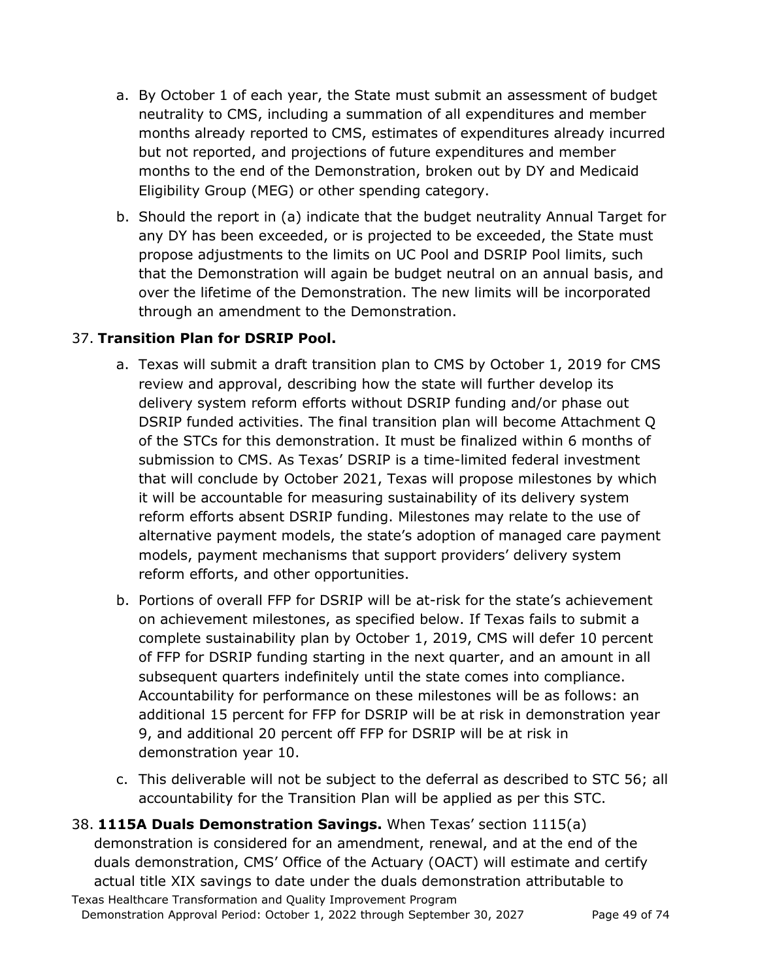- a. By October 1 of each year, the State must submit an assessment of budget neutrality to CMS, including a summation of all expenditures and member months already reported to CMS, estimates of expenditures already incurred but not reported, and projections of future expenditures and member months to the end of the Demonstration, broken out by DY and Medicaid Eligibility Group (MEG) or other spending category.
- b. Should the report in (a) indicate that the budget neutrality Annual Target for any DY has been exceeded, or is projected to be exceeded, the State must propose adjustments to the limits on UC Pool and DSRIP Pool limits, such that the Demonstration will again be budget neutral on an annual basis, and over the lifetime of the Demonstration. The new limits will be incorporated through an amendment to the Demonstration.

### 37. **Transition Plan for DSRIP Pool.**

- a. Texas will submit a draft transition plan to CMS by October 1, 2019 for CMS review and approval, describing how the state will further develop its delivery system reform efforts without DSRIP funding and/or phase out DSRIP funded activities. The final transition plan will become Attachment Q of the STCs for this demonstration. It must be finalized within 6 months of submission to CMS. As Texas' DSRIP is a time-limited federal investment that will conclude by October 2021, Texas will propose milestones by which it will be accountable for measuring sustainability of its delivery system reform efforts absent DSRIP funding. Milestones may relate to the use of alternative payment models, the state's adoption of managed care payment models, payment mechanisms that support providers' delivery system reform efforts, and other opportunities.
- b. Portions of overall FFP for DSRIP will be at-risk for the state's achievement on achievement milestones, as specified below. If Texas fails to submit a complete sustainability plan by October 1, 2019, CMS will defer 10 percent of FFP for DSRIP funding starting in the next quarter, and an amount in all subsequent quarters indefinitely until the state comes into compliance. Accountability for performance on these milestones will be as follows: an additional 15 percent for FFP for DSRIP will be at risk in demonstration year 9, and additional 20 percent off FFP for DSRIP will be at risk in demonstration year 10.
- c. This deliverable will not be subject to the deferral as described to STC 56; all accountability for the Transition Plan will be applied as per this STC.
- Texas Healthcare Transformation and Quality Improvement Program 38. **1115A Duals Demonstration Savings.** When Texas' section 1115(a) demonstration is considered for an amendment, renewal, and at the end of the duals demonstration, CMS' Office of the Actuary (OACT) will estimate and certify actual title XIX savings to date under the duals demonstration attributable to

Demonstration Approval Period: October 1, 2022 through September 30, 2027 Page 49 of 74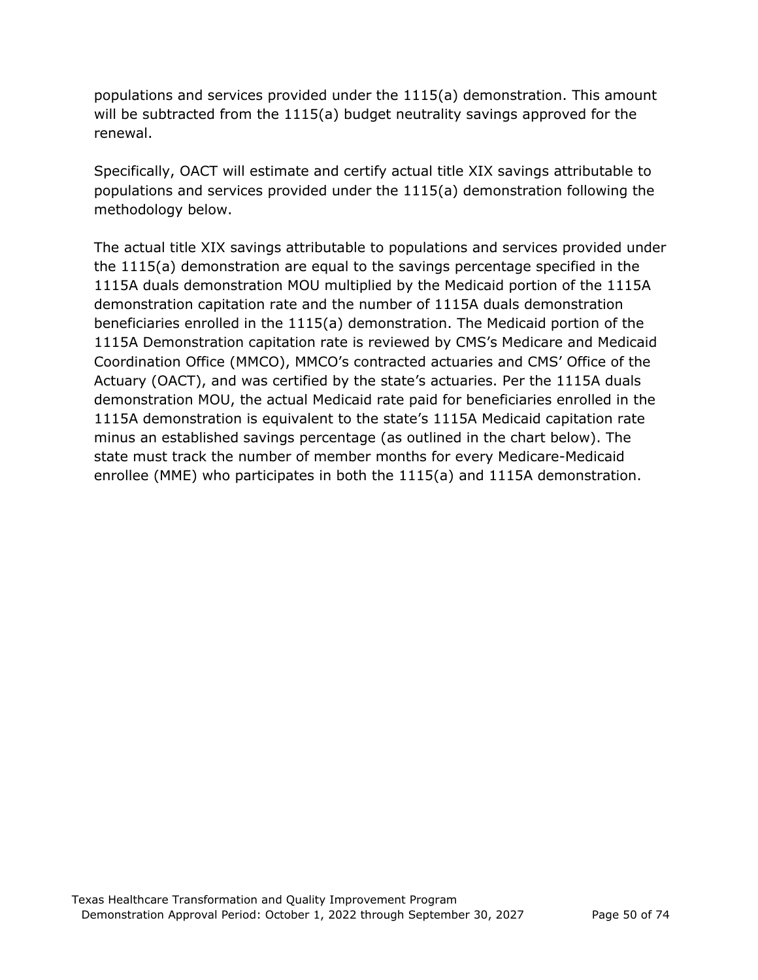populations and services provided under the 1115(a) demonstration. This amount will be subtracted from the 1115(a) budget neutrality savings approved for the renewal.

Specifically, OACT will estimate and certify actual title XIX savings attributable to populations and services provided under the 1115(a) demonstration following the methodology below.

The actual title XIX savings attributable to populations and services provided under the 1115(a) demonstration are equal to the savings percentage specified in the 1115A duals demonstration MOU multiplied by the Medicaid portion of the 1115A demonstration capitation rate and the number of 1115A duals demonstration beneficiaries enrolled in the 1115(a) demonstration. The Medicaid portion of the 1115A Demonstration capitation rate is reviewed by CMS's Medicare and Medicaid Coordination Office (MMCO), MMCO's contracted actuaries and CMS' Office of the Actuary (OACT), and was certified by the state's actuaries. Per the 1115A duals demonstration MOU, the actual Medicaid rate paid for beneficiaries enrolled in the 1115A demonstration is equivalent to the state's 1115A Medicaid capitation rate minus an established savings percentage (as outlined in the chart below). The state must track the number of member months for every Medicare-Medicaid enrollee (MME) who participates in both the 1115(a) and 1115A demonstration.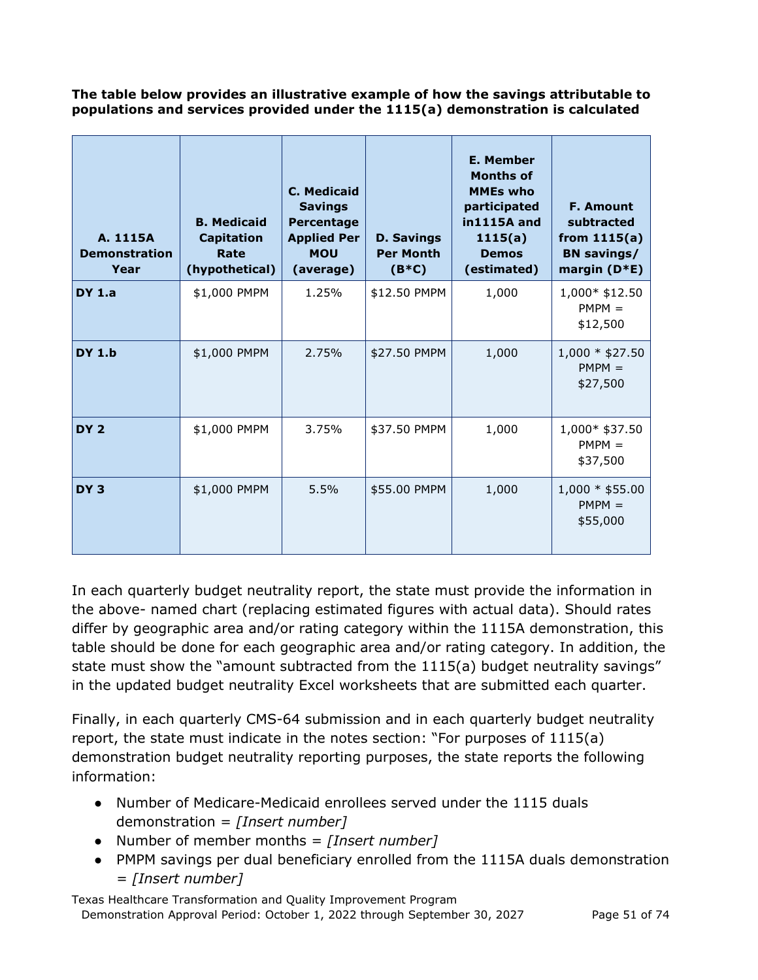**The table below provides an illustrative example of how the savings attributable to populations and services provided under the 1115(a) demonstration is calculated**

| A. 1115A<br><b>Demonstration</b><br>Year | <b>B. Medicaid</b><br><b>Capitation</b><br>Rate<br>(hypothetical) | C. Medicaid<br><b>Savings</b><br>Percentage<br><b>Applied Per</b><br><b>MOU</b><br>(average) | <b>D. Savings</b><br><b>Per Month</b><br>$(B*C)$ | <b>E. Member</b><br><b>Months of</b><br><b>MMEs who</b><br>participated<br>in1115A and<br>1115(a)<br><b>Demos</b><br>(estimated) | <b>F. Amount</b><br>subtracted<br>from $1115(a)$<br><b>BN</b> savings/<br>margin $(D*E)$ |
|------------------------------------------|-------------------------------------------------------------------|----------------------------------------------------------------------------------------------|--------------------------------------------------|----------------------------------------------------------------------------------------------------------------------------------|------------------------------------------------------------------------------------------|
| <b>DY 1.a</b>                            | \$1,000 PMPM                                                      | 1.25%                                                                                        | \$12.50 PMPM                                     | 1,000                                                                                                                            | 1,000* \$12.50<br>$PMPM =$<br>\$12,500                                                   |
| <b>DY 1.b</b>                            | \$1,000 PMPM                                                      | 2.75%                                                                                        | \$27.50 PMPM                                     | 1,000                                                                                                                            | $1,000 * $27.50$<br>$PMPM =$<br>\$27,500                                                 |
| DY <sub>2</sub>                          | \$1,000 PMPM                                                      | 3.75%                                                                                        | \$37.50 PMPM                                     | 1,000                                                                                                                            | 1,000* \$37.50<br>$PMPM =$<br>\$37,500                                                   |
| DY <sub>3</sub>                          | \$1,000 PMPM                                                      | 5.5%                                                                                         | \$55.00 PMPM                                     | 1,000                                                                                                                            | $1,000 * $55.00$<br>$PMPM =$<br>\$55,000                                                 |

In each quarterly budget neutrality report, the state must provide the information in the above- named chart (replacing estimated figures with actual data). Should rates differ by geographic area and/or rating category within the 1115A demonstration, this table should be done for each geographic area and/or rating category. In addition, the state must show the "amount subtracted from the 1115(a) budget neutrality savings" in the updated budget neutrality Excel worksheets that are submitted each quarter.

Finally, in each quarterly CMS-64 submission and in each quarterly budget neutrality report, the state must indicate in the notes section: "For purposes of 1115(a) demonstration budget neutrality reporting purposes, the state reports the following information:

- Number of Medicare-Medicaid enrollees served under the 1115 duals demonstration = *[Insert number]*
- Number of member months = *[Insert number]*
- PMPM savings per dual beneficiary enrolled from the 1115A duals demonstration = *[Insert number]*

Texas Healthcare Transformation and Quality Improvement Program Demonstration Approval Period: October 1, 2022 through September 30, 2027 Page 51 of 74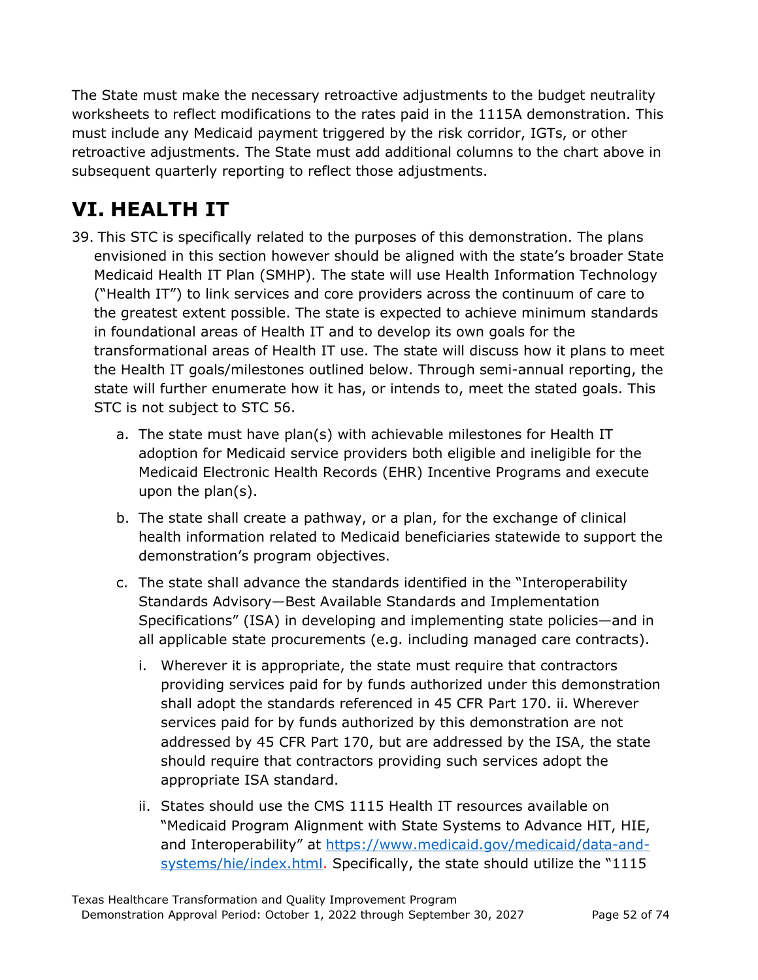The State must make the necessary retroactive adjustments to the budget neutrality worksheets to reflect modifications to the rates paid in the 1115A demonstration. This must include any Medicaid payment triggered by the risk corridor, IGTs, or other retroactive adjustments. The State must add additional columns to the chart above in subsequent quarterly reporting to reflect those adjustments.

# **VI. HEALTH IT**

- 39. This STC is specifically related to the purposes of this demonstration. The plans envisioned in this section however should be aligned with the state's broader State Medicaid Health IT Plan (SMHP). The state will use Health Information Technology ("Health IT") to link services and core providers across the continuum of care to the greatest extent possible. The state is expected to achieve minimum standards in foundational areas of Health IT and to develop its own goals for the transformational areas of Health IT use. The state will discuss how it plans to meet the Health IT goals/milestones outlined below. Through semi-annual reporting, the state will further enumerate how it has, or intends to, meet the stated goals. This STC is not subject to STC 56.
	- a. The state must have plan(s) with achievable milestones for Health IT adoption for Medicaid service providers both eligible and ineligible for the Medicaid Electronic Health Records (EHR) Incentive Programs and execute upon the plan(s).
	- b. The state shall create a pathway, or a plan, for the exchange of clinical health information related to Medicaid beneficiaries statewide to support the demonstration's program objectives.
	- c. The state shall advance the standards identified in the "Interoperability Standards Advisory—Best Available Standards and Implementation Specifications" (ISA) in developing and implementing state policies—and in all applicable state procurements (e.g. including managed care contracts).
		- i. Wherever it is appropriate, the state must require that contractors providing services paid for by funds authorized under this demonstration shall adopt the standards referenced in 45 CFR Part 170. ii. Wherever services paid for by funds authorized by this demonstration are not addressed by 45 CFR Part 170, but are addressed by the ISA, the state should require that contractors providing such services adopt the appropriate ISA standard.
		- ii. States should use the CMS 1115 Health IT resources available on "Medicaid Program Alignment with State Systems to Advance HIT, HIE, and Interoperability" at [https://www.medicaid.gov/medicaid/data-and](https://www.medicaid.gov/medicaid/data-and-systems/hie/index.html)[systems/hie/index.html.](https://www.medicaid.gov/medicaid/data-and-systems/hie/index.html) Specifically, the state should utilize the "1115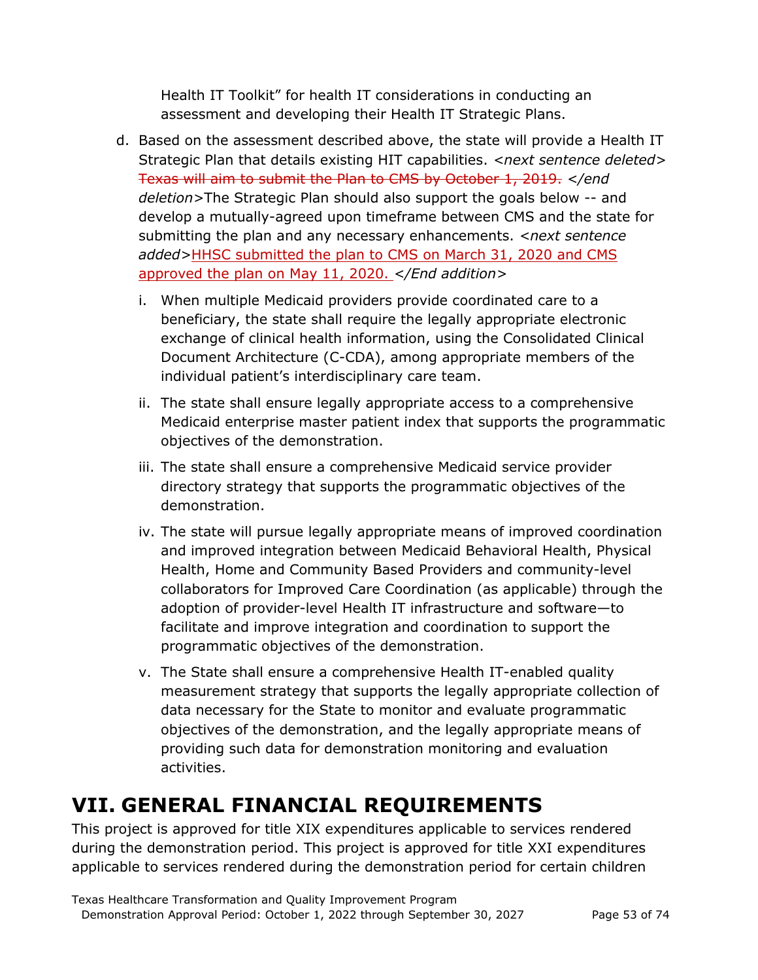Health IT Toolkit" for health IT considerations in conducting an assessment and developing their Health IT Strategic Plans.

- d. Based on the assessment described above, the state will provide a Health IT Strategic Plan that details existing HIT capabilities. <*next sentence deleted*> Texas will aim to submit the Plan to CMS by October 1, 2019. *</end deletion>*The Strategic Plan should also support the goals below -- and develop a mutually-agreed upon timeframe between CMS and the state for submitting the plan and any necessary enhancements. *<next sentence added>*HHSC submitted the plan to CMS on March 31, 2020 and CMS approved the plan on May 11, 2020. *</End addition>*
	- i. When multiple Medicaid providers provide coordinated care to a beneficiary, the state shall require the legally appropriate electronic exchange of clinical health information, using the Consolidated Clinical Document Architecture (C-CDA), among appropriate members of the individual patient's interdisciplinary care team.
	- ii. The state shall ensure legally appropriate access to a comprehensive Medicaid enterprise master patient index that supports the programmatic objectives of the demonstration.
	- iii. The state shall ensure a comprehensive Medicaid service provider directory strategy that supports the programmatic objectives of the demonstration.
	- iv. The state will pursue legally appropriate means of improved coordination and improved integration between Medicaid Behavioral Health, Physical Health, Home and Community Based Providers and community-level collaborators for Improved Care Coordination (as applicable) through the adoption of provider-level Health IT infrastructure and software—to facilitate and improve integration and coordination to support the programmatic objectives of the demonstration.
	- v. The State shall ensure a comprehensive Health IT-enabled quality measurement strategy that supports the legally appropriate collection of data necessary for the State to monitor and evaluate programmatic objectives of the demonstration, and the legally appropriate means of providing such data for demonstration monitoring and evaluation activities.

## **VII. GENERAL FINANCIAL REQUIREMENTS**

This project is approved for title XIX expenditures applicable to services rendered during the demonstration period. This project is approved for title XXI expenditures applicable to services rendered during the demonstration period for certain children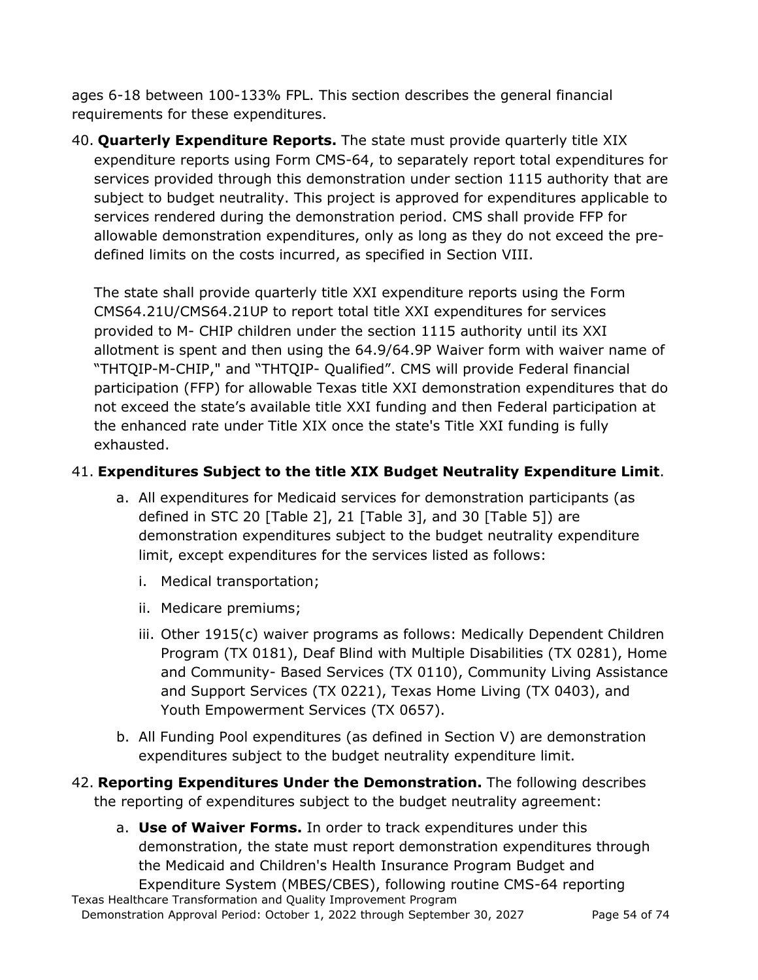ages 6-18 between 100-133% FPL. This section describes the general financial requirements for these expenditures.

40. **Quarterly Expenditure Reports.** The state must provide quarterly title XIX expenditure reports using Form CMS-64, to separately report total expenditures for services provided through this demonstration under section 1115 authority that are subject to budget neutrality. This project is approved for expenditures applicable to services rendered during the demonstration period. CMS shall provide FFP for allowable demonstration expenditures, only as long as they do not exceed the predefined limits on the costs incurred, as specified in Section VIII.

The state shall provide quarterly title XXI expenditure reports using the Form CMS64.21U/CMS64.21UP to report total title XXI expenditures for services provided to M- CHIP children under the section 1115 authority until its XXI allotment is spent and then using the 64.9/64.9P Waiver form with waiver name of "THTQIP-M-CHIP," and "THTQIP- Qualified". CMS will provide Federal financial participation (FFP) for allowable Texas title XXI demonstration expenditures that do not exceed the state's available title XXI funding and then Federal participation at the enhanced rate under Title XIX once the state's Title XXI funding is fully exhausted.

### 41. **Expenditures Subject to the title XIX Budget Neutrality Expenditure Limit**.

- a. All expenditures for Medicaid services for demonstration participants (as defined in STC 20 [Table 2], 21 [Table 3], and 30 [Table 5]) are demonstration expenditures subject to the budget neutrality expenditure limit, except expenditures for the services listed as follows:
	- i. Medical transportation;
	- ii. Medicare premiums;
	- iii. Other 1915(c) waiver programs as follows: Medically Dependent Children Program (TX 0181), Deaf Blind with Multiple Disabilities (TX 0281), Home and Community- Based Services (TX 0110), Community Living Assistance and Support Services (TX 0221), Texas Home Living (TX 0403), and Youth Empowerment Services (TX 0657).
- b. All Funding Pool expenditures (as defined in Section V) are demonstration expenditures subject to the budget neutrality expenditure limit.
- 42. **Reporting Expenditures Under the Demonstration.** The following describes the reporting of expenditures subject to the budget neutrality agreement:
- Texas Healthcare Transformation and Quality Improvement Program a. **Use of Waiver Forms.** In order to track expenditures under this demonstration, the state must report demonstration expenditures through the Medicaid and Children's Health Insurance Program Budget and Expenditure System (MBES/CBES), following routine CMS-64 reporting

Demonstration Approval Period: October 1, 2022 through September 30, 2027 Page 54 of 74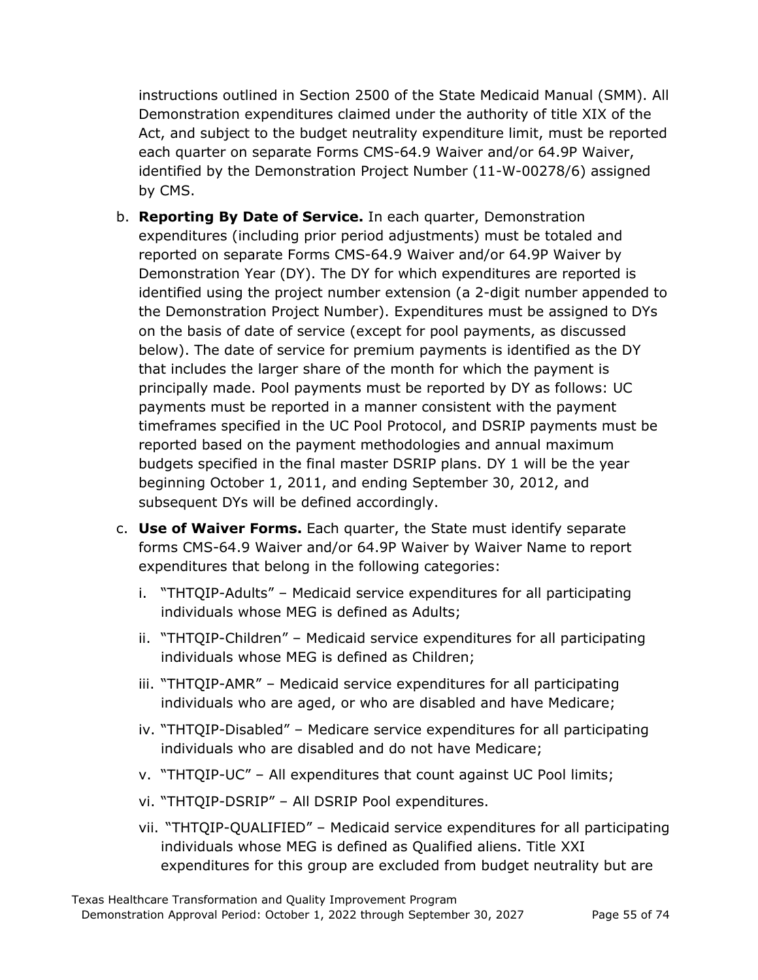instructions outlined in Section 2500 of the State Medicaid Manual (SMM). All Demonstration expenditures claimed under the authority of title XIX of the Act, and subject to the budget neutrality expenditure limit, must be reported each quarter on separate Forms CMS-64.9 Waiver and/or 64.9P Waiver, identified by the Demonstration Project Number (11-W-00278/6) assigned by CMS.

- b. **Reporting By Date of Service.** In each quarter, Demonstration expenditures (including prior period adjustments) must be totaled and reported on separate Forms CMS-64.9 Waiver and/or 64.9P Waiver by Demonstration Year (DY). The DY for which expenditures are reported is identified using the project number extension (a 2-digit number appended to the Demonstration Project Number). Expenditures must be assigned to DYs on the basis of date of service (except for pool payments, as discussed below). The date of service for premium payments is identified as the DY that includes the larger share of the month for which the payment is principally made. Pool payments must be reported by DY as follows: UC payments must be reported in a manner consistent with the payment timeframes specified in the UC Pool Protocol, and DSRIP payments must be reported based on the payment methodologies and annual maximum budgets specified in the final master DSRIP plans. DY 1 will be the year beginning October 1, 2011, and ending September 30, 2012, and subsequent DYs will be defined accordingly.
- c. **Use of Waiver Forms.** Each quarter, the State must identify separate forms CMS-64.9 Waiver and/or 64.9P Waiver by Waiver Name to report expenditures that belong in the following categories:
	- i. "THTQIP-Adults" Medicaid service expenditures for all participating individuals whose MEG is defined as Adults;
	- ii. "THTQIP-Children" Medicaid service expenditures for all participating individuals whose MEG is defined as Children;
	- iii. "THTQIP-AMR" Medicaid service expenditures for all participating individuals who are aged, or who are disabled and have Medicare;
	- iv. "THTQIP-Disabled" Medicare service expenditures for all participating individuals who are disabled and do not have Medicare;
	- v. "THTQIP-UC" All expenditures that count against UC Pool limits;
	- vi. "THTQIP-DSRIP" All DSRIP Pool expenditures.
	- vii. "THTQIP-QUALIFIED" Medicaid service expenditures for all participating individuals whose MEG is defined as Qualified aliens. Title XXI expenditures for this group are excluded from budget neutrality but are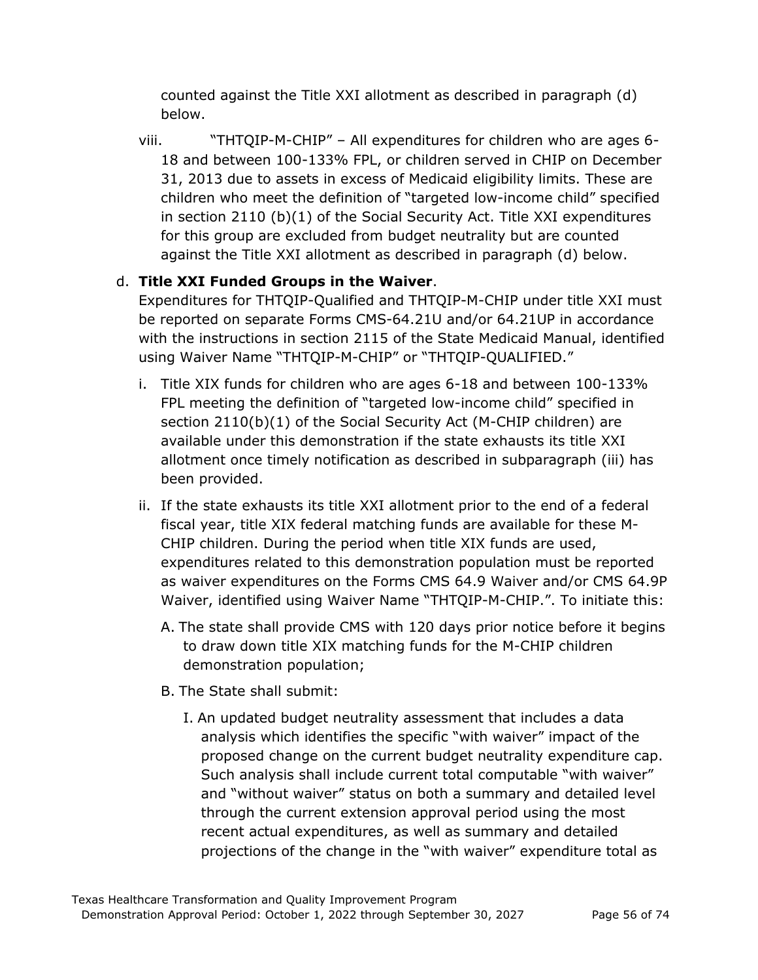counted against the Title XXI allotment as described in paragraph (d) below.

viii. "THTQIP-M-CHIP" – All expenditures for children who are ages 6- 18 and between 100-133% FPL, or children served in CHIP on December 31, 2013 due to assets in excess of Medicaid eligibility limits. These are children who meet the definition of "targeted low-income child" specified in section 2110 (b)(1) of the Social Security Act. Title XXI expenditures for this group are excluded from budget neutrality but are counted against the Title XXI allotment as described in paragraph (d) below.

### d. **Title XXI Funded Groups in the Waiver**.

Expenditures for THTQIP-Qualified and THTQIP-M-CHIP under title XXI must be reported on separate Forms CMS-64.21U and/or 64.21UP in accordance with the instructions in section 2115 of the State Medicaid Manual, identified using Waiver Name "THTQIP-M-CHIP" or "THTQIP-QUALIFIED."

- i. Title XIX funds for children who are ages 6-18 and between 100-133% FPL meeting the definition of "targeted low-income child" specified in section 2110(b)(1) of the Social Security Act (M-CHIP children) are available under this demonstration if the state exhausts its title XXI allotment once timely notification as described in subparagraph (iii) has been provided.
- ii. If the state exhausts its title XXI allotment prior to the end of a federal fiscal year, title XIX federal matching funds are available for these M-CHIP children. During the period when title XIX funds are used, expenditures related to this demonstration population must be reported as waiver expenditures on the Forms CMS 64.9 Waiver and/or CMS 64.9P Waiver, identified using Waiver Name "THTQIP-M-CHIP.". To initiate this:
	- A. The state shall provide CMS with 120 days prior notice before it begins to draw down title XIX matching funds for the M-CHIP children demonstration population;
	- B. The State shall submit:
		- I. An updated budget neutrality assessment that includes a data analysis which identifies the specific "with waiver" impact of the proposed change on the current budget neutrality expenditure cap. Such analysis shall include current total computable "with waiver" and "without waiver" status on both a summary and detailed level through the current extension approval period using the most recent actual expenditures, as well as summary and detailed projections of the change in the "with waiver" expenditure total as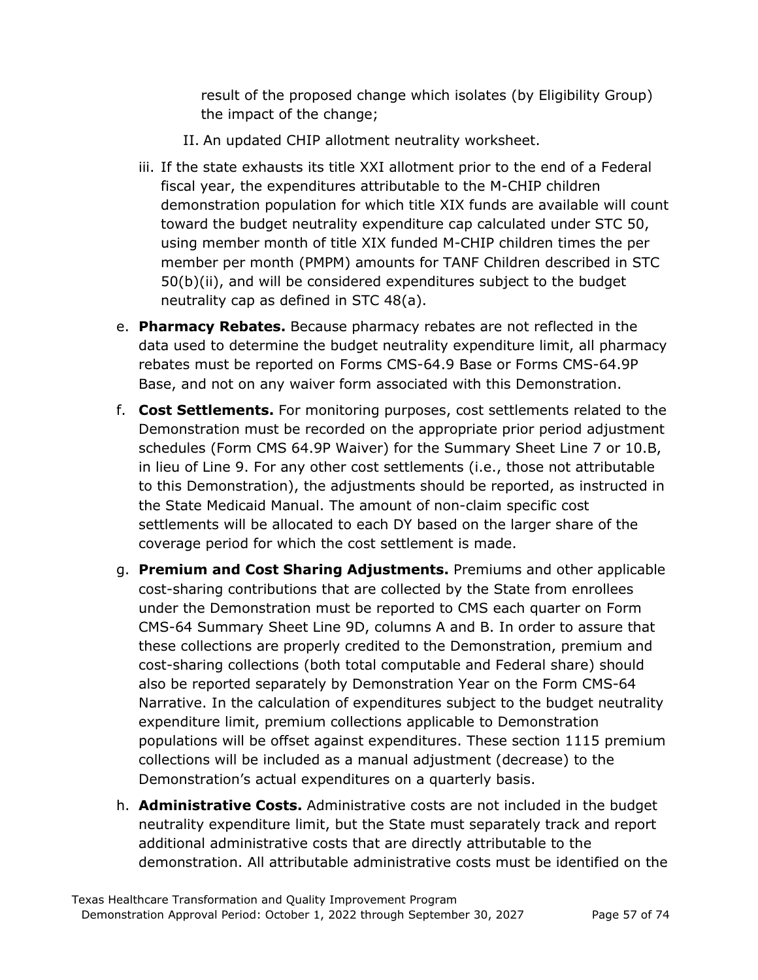result of the proposed change which isolates (by Eligibility Group) the impact of the change;

- II. An updated CHIP allotment neutrality worksheet.
- iii. If the state exhausts its title XXI allotment prior to the end of a Federal fiscal year, the expenditures attributable to the M-CHIP children demonstration population for which title XIX funds are available will count toward the budget neutrality expenditure cap calculated under STC 50, using member month of title XIX funded M-CHIP children times the per member per month (PMPM) amounts for TANF Children described in STC 50(b)(ii), and will be considered expenditures subject to the budget neutrality cap as defined in STC 48(a).
- e. **Pharmacy Rebates.** Because pharmacy rebates are not reflected in the data used to determine the budget neutrality expenditure limit, all pharmacy rebates must be reported on Forms CMS-64.9 Base or Forms CMS-64.9P Base, and not on any waiver form associated with this Demonstration.
- f. **Cost Settlements.** For monitoring purposes, cost settlements related to the Demonstration must be recorded on the appropriate prior period adjustment schedules (Form CMS 64.9P Waiver) for the Summary Sheet Line 7 or 10.B, in lieu of Line 9. For any other cost settlements (i.e., those not attributable to this Demonstration), the adjustments should be reported, as instructed in the State Medicaid Manual. The amount of non-claim specific cost settlements will be allocated to each DY based on the larger share of the coverage period for which the cost settlement is made.
- g. **Premium and Cost Sharing Adjustments.** Premiums and other applicable cost-sharing contributions that are collected by the State from enrollees under the Demonstration must be reported to CMS each quarter on Form CMS-64 Summary Sheet Line 9D, columns A and B. In order to assure that these collections are properly credited to the Demonstration, premium and cost-sharing collections (both total computable and Federal share) should also be reported separately by Demonstration Year on the Form CMS-64 Narrative. In the calculation of expenditures subject to the budget neutrality expenditure limit, premium collections applicable to Demonstration populations will be offset against expenditures. These section 1115 premium collections will be included as a manual adjustment (decrease) to the Demonstration's actual expenditures on a quarterly basis.
- h. **Administrative Costs.** Administrative costs are not included in the budget neutrality expenditure limit, but the State must separately track and report additional administrative costs that are directly attributable to the demonstration. All attributable administrative costs must be identified on the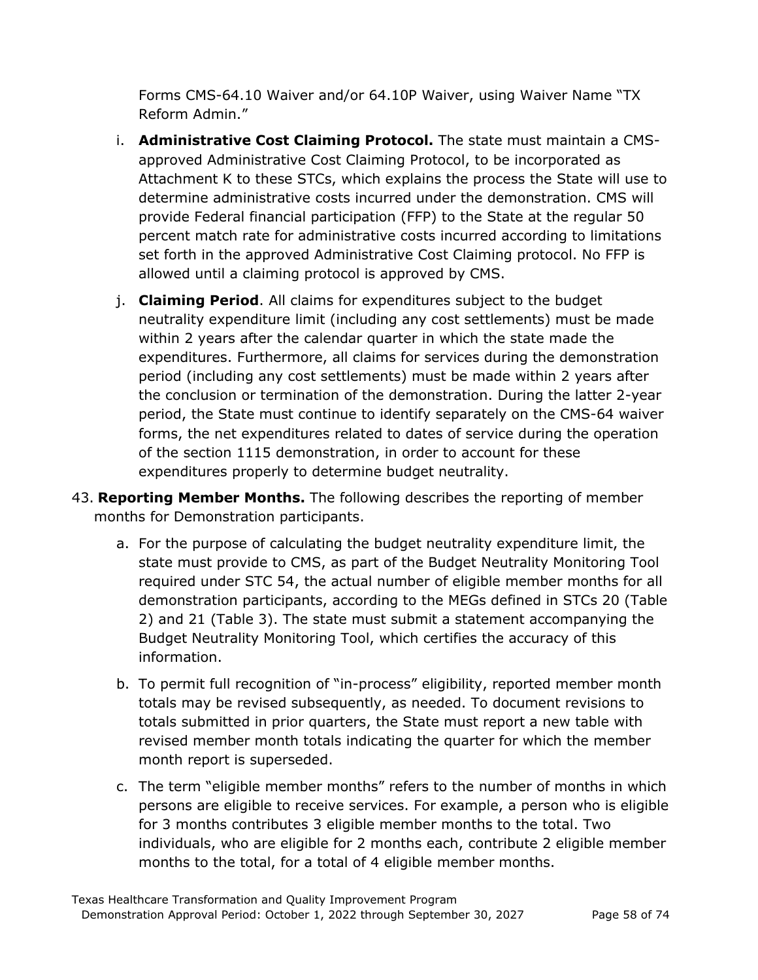Forms CMS-64.10 Waiver and/or 64.10P Waiver, using Waiver Name "TX Reform Admin."

- i. **Administrative Cost Claiming Protocol.** The state must maintain a CMSapproved Administrative Cost Claiming Protocol, to be incorporated as Attachment K to these STCs, which explains the process the State will use to determine administrative costs incurred under the demonstration. CMS will provide Federal financial participation (FFP) to the State at the regular 50 percent match rate for administrative costs incurred according to limitations set forth in the approved Administrative Cost Claiming protocol. No FFP is allowed until a claiming protocol is approved by CMS.
- j. **Claiming Period**. All claims for expenditures subject to the budget neutrality expenditure limit (including any cost settlements) must be made within 2 years after the calendar quarter in which the state made the expenditures. Furthermore, all claims for services during the demonstration period (including any cost settlements) must be made within 2 years after the conclusion or termination of the demonstration. During the latter 2-year period, the State must continue to identify separately on the CMS-64 waiver forms, the net expenditures related to dates of service during the operation of the section 1115 demonstration, in order to account for these expenditures properly to determine budget neutrality.
- 43. **Reporting Member Months.** The following describes the reporting of member months for Demonstration participants.
	- a. For the purpose of calculating the budget neutrality expenditure limit, the state must provide to CMS, as part of the Budget Neutrality Monitoring Tool required under STC 54, the actual number of eligible member months for all demonstration participants, according to the MEGs defined in STCs 20 (Table 2) and 21 (Table 3). The state must submit a statement accompanying the Budget Neutrality Monitoring Tool, which certifies the accuracy of this information.
	- b. To permit full recognition of "in-process" eligibility, reported member month totals may be revised subsequently, as needed. To document revisions to totals submitted in prior quarters, the State must report a new table with revised member month totals indicating the quarter for which the member month report is superseded.
	- c. The term "eligible member months" refers to the number of months in which persons are eligible to receive services. For example, a person who is eligible for 3 months contributes 3 eligible member months to the total. Two individuals, who are eligible for 2 months each, contribute 2 eligible member months to the total, for a total of 4 eligible member months.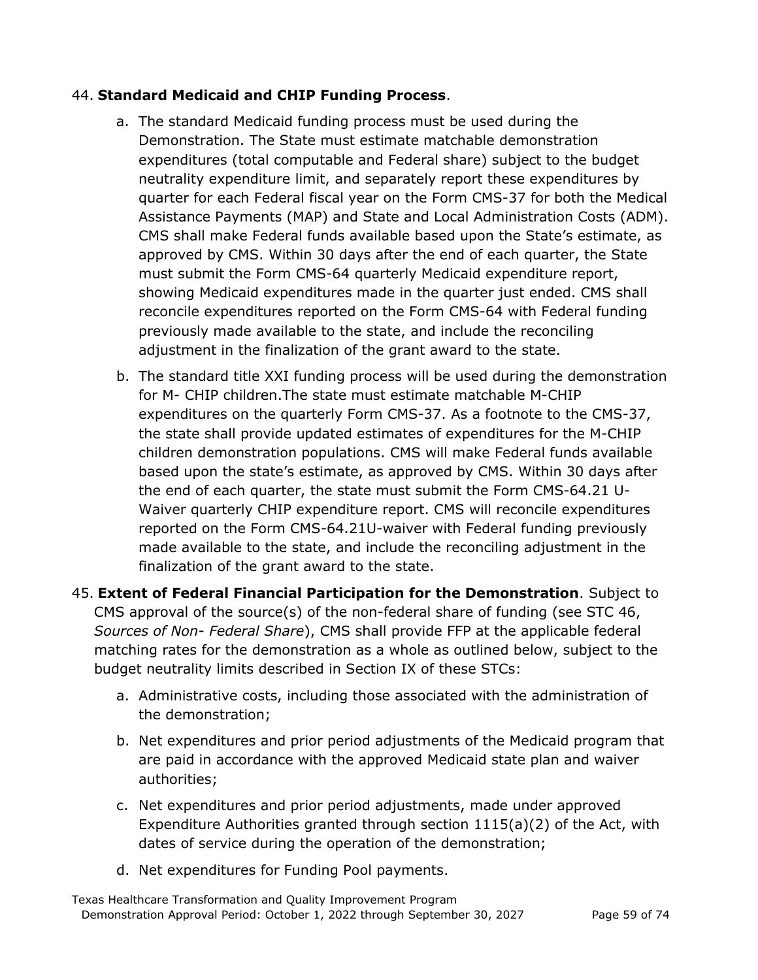### 44. **Standard Medicaid and CHIP Funding Process**.

- a. The standard Medicaid funding process must be used during the Demonstration. The State must estimate matchable demonstration expenditures (total computable and Federal share) subject to the budget neutrality expenditure limit, and separately report these expenditures by quarter for each Federal fiscal year on the Form CMS-37 for both the Medical Assistance Payments (MAP) and State and Local Administration Costs (ADM). CMS shall make Federal funds available based upon the State's estimate, as approved by CMS. Within 30 days after the end of each quarter, the State must submit the Form CMS-64 quarterly Medicaid expenditure report, showing Medicaid expenditures made in the quarter just ended. CMS shall reconcile expenditures reported on the Form CMS-64 with Federal funding previously made available to the state, and include the reconciling adjustment in the finalization of the grant award to the state.
- b. The standard title XXI funding process will be used during the demonstration for M- CHIP children.The state must estimate matchable M-CHIP expenditures on the quarterly Form CMS-37. As a footnote to the CMS-37, the state shall provide updated estimates of expenditures for the M-CHIP children demonstration populations. CMS will make Federal funds available based upon the state's estimate, as approved by CMS. Within 30 days after the end of each quarter, the state must submit the Form CMS-64.21 U-Waiver quarterly CHIP expenditure report. CMS will reconcile expenditures reported on the Form CMS-64.21U-waiver with Federal funding previously made available to the state, and include the reconciling adjustment in the finalization of the grant award to the state.
- 45. **Extent of Federal Financial Participation for the Demonstration**. Subject to CMS approval of the source(s) of the non-federal share of funding (see STC 46, *Sources of Non- Federal Share*), CMS shall provide FFP at the applicable federal matching rates for the demonstration as a whole as outlined below, subject to the budget neutrality limits described in Section IX of these STCs:
	- a. Administrative costs, including those associated with the administration of the demonstration;
	- b. Net expenditures and prior period adjustments of the Medicaid program that are paid in accordance with the approved Medicaid state plan and waiver authorities;
	- c. Net expenditures and prior period adjustments, made under approved Expenditure Authorities granted through section 1115(a)(2) of the Act, with dates of service during the operation of the demonstration;
	- d. Net expenditures for Funding Pool payments.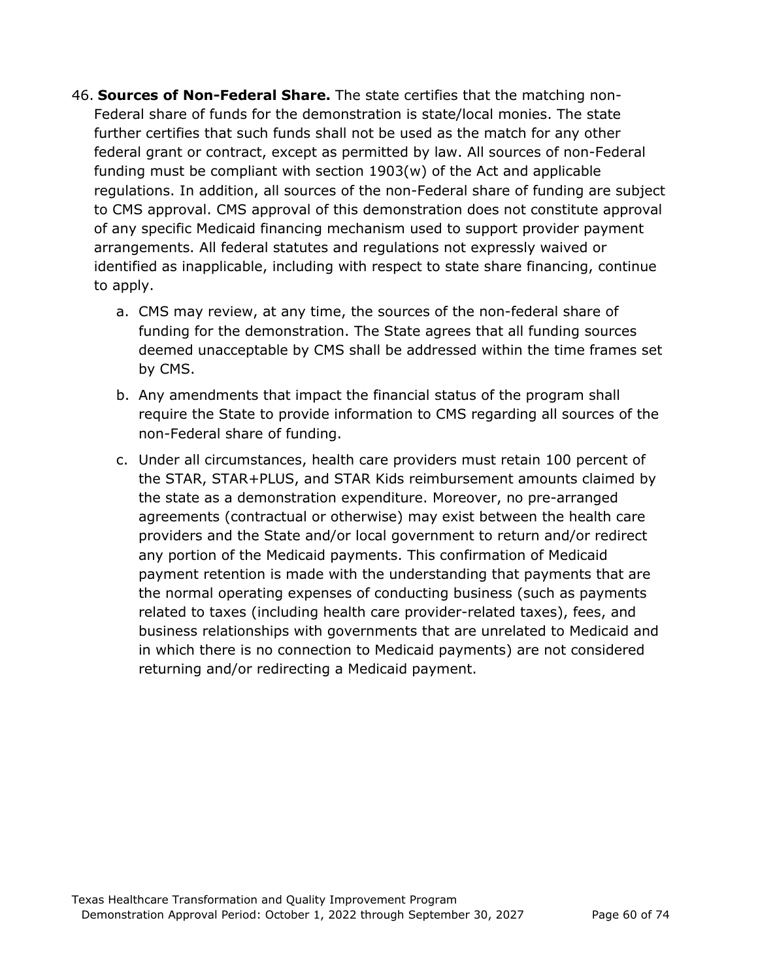- 46. **Sources of Non-Federal Share.** The state certifies that the matching non-Federal share of funds for the demonstration is state/local monies. The state further certifies that such funds shall not be used as the match for any other federal grant or contract, except as permitted by law. All sources of non-Federal funding must be compliant with section 1903(w) of the Act and applicable regulations. In addition, all sources of the non-Federal share of funding are subject to CMS approval. CMS approval of this demonstration does not constitute approval of any specific Medicaid financing mechanism used to support provider payment arrangements. All federal statutes and regulations not expressly waived or identified as inapplicable, including with respect to state share financing, continue to apply.
	- a. CMS may review, at any time, the sources of the non-federal share of funding for the demonstration. The State agrees that all funding sources deemed unacceptable by CMS shall be addressed within the time frames set by CMS.
	- b. Any amendments that impact the financial status of the program shall require the State to provide information to CMS regarding all sources of the non-Federal share of funding.
	- c. Under all circumstances, health care providers must retain 100 percent of the STAR, STAR+PLUS, and STAR Kids reimbursement amounts claimed by the state as a demonstration expenditure. Moreover, no pre-arranged agreements (contractual or otherwise) may exist between the health care providers and the State and/or local government to return and/or redirect any portion of the Medicaid payments. This confirmation of Medicaid payment retention is made with the understanding that payments that are the normal operating expenses of conducting business (such as payments related to taxes (including health care provider-related taxes), fees, and business relationships with governments that are unrelated to Medicaid and in which there is no connection to Medicaid payments) are not considered returning and/or redirecting a Medicaid payment.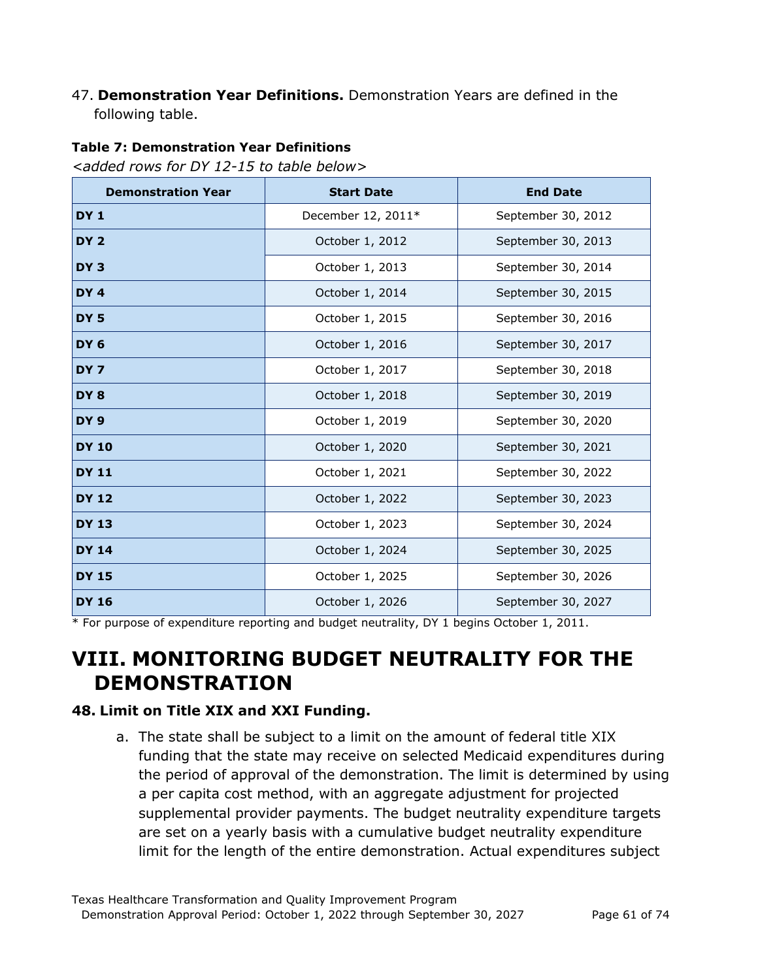#### 47. **Demonstration Year Definitions.** Demonstration Years are defined in the following table.

#### **Table 7: Demonstration Year Definitions**

*<added rows for DY 12-15 to table below>*

| <b>Demonstration Year</b> | <b>Start Date</b>  | <b>End Date</b>    |  |
|---------------------------|--------------------|--------------------|--|
| <b>DY1</b>                | December 12, 2011* | September 30, 2012 |  |
| DY <sub>2</sub>           | October 1, 2012    | September 30, 2013 |  |
| DY <sub>3</sub>           | October 1, 2013    | September 30, 2014 |  |
| DY <sub>4</sub>           | October 1, 2014    | September 30, 2015 |  |
| DY <sub>5</sub>           | October 1, 2015    | September 30, 2016 |  |
| DY <sub>6</sub>           | October 1, 2016    | September 30, 2017 |  |
| DY <sub>7</sub>           | October 1, 2017    | September 30, 2018 |  |
| DY <sub>8</sub>           | October 1, 2018    | September 30, 2019 |  |
| DY <sub>9</sub>           | October 1, 2019    | September 30, 2020 |  |
| <b>DY 10</b>              | October 1, 2020    | September 30, 2021 |  |
| <b>DY 11</b>              | October 1, 2021    | September 30, 2022 |  |
| <b>DY 12</b>              | October 1, 2022    | September 30, 2023 |  |
| <b>DY 13</b>              | October 1, 2023    | September 30, 2024 |  |
| <b>DY 14</b>              | October 1, 2024    | September 30, 2025 |  |
| <b>DY 15</b>              | October 1, 2025    | September 30, 2026 |  |
| <b>DY 16</b>              | October 1, 2026    | September 30, 2027 |  |

\* For purpose of expenditure reporting and budget neutrality, DY 1 begins October 1, 2011.

## **VIII. MONITORING BUDGET NEUTRALITY FOR THE DEMONSTRATION**

#### **48. Limit on Title XIX and XXI Funding.**

a. The state shall be subject to a limit on the amount of federal title XIX funding that the state may receive on selected Medicaid expenditures during the period of approval of the demonstration. The limit is determined by using a per capita cost method, with an aggregate adjustment for projected supplemental provider payments. The budget neutrality expenditure targets are set on a yearly basis with a cumulative budget neutrality expenditure limit for the length of the entire demonstration. Actual expenditures subject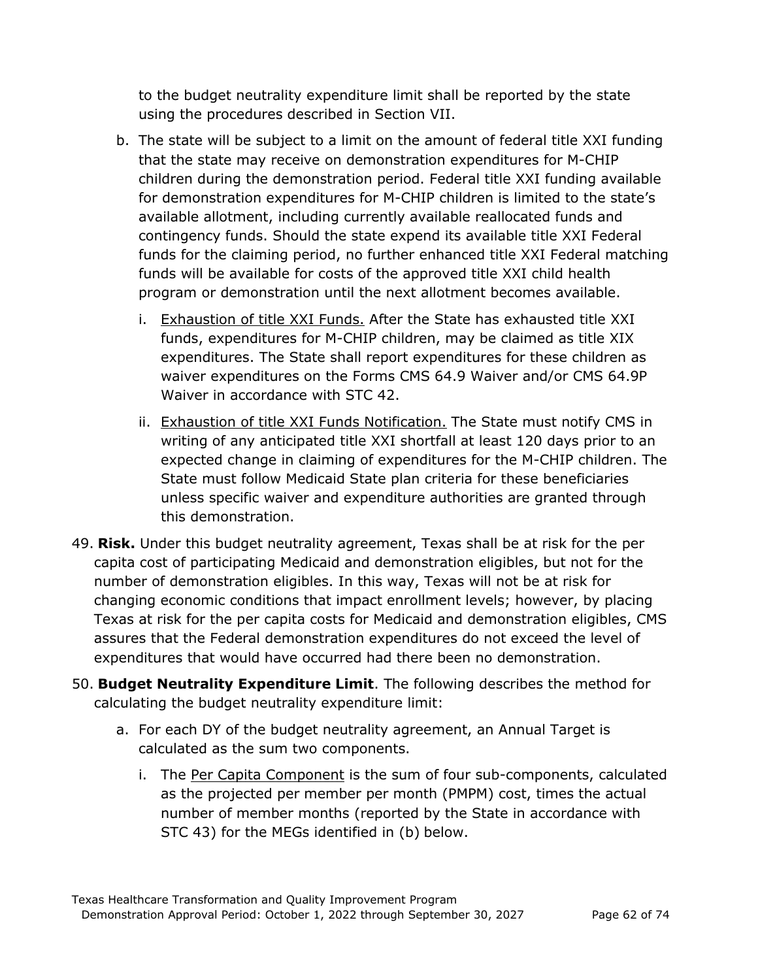to the budget neutrality expenditure limit shall be reported by the state using the procedures described in Section VII.

- b. The state will be subject to a limit on the amount of federal title XXI funding that the state may receive on demonstration expenditures for M-CHIP children during the demonstration period. Federal title XXI funding available for demonstration expenditures for M-CHIP children is limited to the state's available allotment, including currently available reallocated funds and contingency funds. Should the state expend its available title XXI Federal funds for the claiming period, no further enhanced title XXI Federal matching funds will be available for costs of the approved title XXI child health program or demonstration until the next allotment becomes available.
	- i. Exhaustion of title XXI Funds. After the State has exhausted title XXI funds, expenditures for M-CHIP children, may be claimed as title XIX expenditures. The State shall report expenditures for these children as waiver expenditures on the Forms CMS 64.9 Waiver and/or CMS 64.9P Waiver in accordance with STC 42.
	- ii. Exhaustion of title XXI Funds Notification. The State must notify CMS in writing of any anticipated title XXI shortfall at least 120 days prior to an expected change in claiming of expenditures for the M-CHIP children. The State must follow Medicaid State plan criteria for these beneficiaries unless specific waiver and expenditure authorities are granted through this demonstration.
- 49. **Risk.** Under this budget neutrality agreement, Texas shall be at risk for the per capita cost of participating Medicaid and demonstration eligibles, but not for the number of demonstration eligibles. In this way, Texas will not be at risk for changing economic conditions that impact enrollment levels; however, by placing Texas at risk for the per capita costs for Medicaid and demonstration eligibles, CMS assures that the Federal demonstration expenditures do not exceed the level of expenditures that would have occurred had there been no demonstration.
- 50. **Budget Neutrality Expenditure Limit**. The following describes the method for calculating the budget neutrality expenditure limit:
	- a. For each DY of the budget neutrality agreement, an Annual Target is calculated as the sum two components.
		- i. The Per Capita Component is the sum of four sub-components, calculated as the projected per member per month (PMPM) cost, times the actual number of member months (reported by the State in accordance with STC 43) for the MEGs identified in (b) below.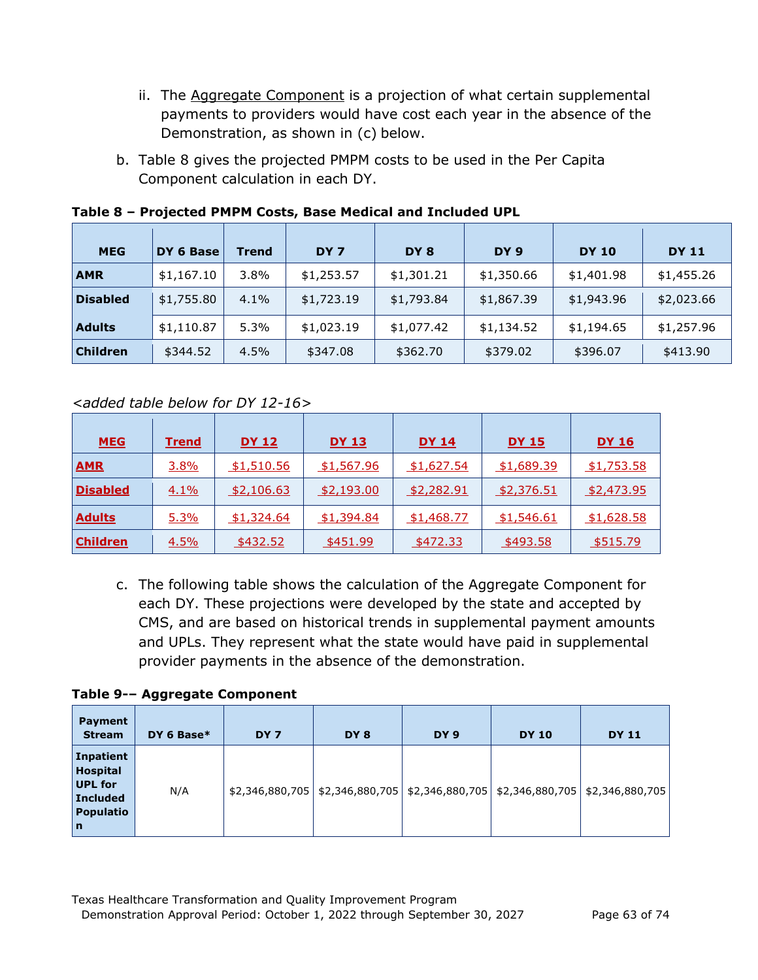- ii. The **Aggregate Component** is a projection of what certain supplemental payments to providers would have cost each year in the absence of the Demonstration, as shown in (c) below.
- b. Table 8 gives the projected PMPM costs to be used in the Per Capita Component calculation in each DY.

| <b>MEG</b>      | DY 6 Base  | <b>Trend</b> | DY <sub>7</sub> | DY <sub>8</sub> | DY <sub>9</sub> | <b>DY 10</b> | <b>DY 11</b> |
|-----------------|------------|--------------|-----------------|-----------------|-----------------|--------------|--------------|
| <b>AMR</b>      | \$1,167.10 | $3.8\%$      | \$1,253.57      | \$1,301.21      | \$1,350.66      | \$1,401.98   | \$1,455.26   |
| <b>Disabled</b> | \$1,755.80 | 4.1%         | \$1,723.19      | \$1,793.84      | \$1,867.39      | \$1,943.96   | \$2,023.66   |
| <b>Adults</b>   | \$1,110.87 | 5.3%         | \$1,023.19      | \$1,077.42      | \$1,134.52      | \$1,194.65   | \$1,257.96   |
| <b>Children</b> | \$344.52   | 4.5%         | \$347.08        | \$362.70        | \$379.02        | \$396.07     | \$413.90     |

**Table 8 – Projected PMPM Costs, Base Medical and Included UPL** 

### *<added table below for DY 12-16>*

| <b>MEG</b>      | <b>Trend</b> | <u>DY 12</u>      | <b>DY 13</b> | <b>DY 14</b> | <u>DY 15</u> | <b>DY 16</b> |
|-----------------|--------------|-------------------|--------------|--------------|--------------|--------------|
| <b>AMR</b>      | 3.8%         | \$1,510.56        | \$1,567.96   | \$1,627.54   | \$1,689.39   | \$1,753.58   |
| <b>Disabled</b> | 4.1%         | <u>\$2,106.63</u> | \$2,193.00   | \$2,282.91   | \$2,376.51   | \$2,473.95   |
| <b>Adults</b>   | 5.3%         | \$1,324.64        | \$1,394.84   | \$1,468.77   | \$1,546.61   | \$1,628.58   |
| <b>Children</b> | 4.5%         | \$432.52          | \$451.99     | \$472.33     | \$493.58     | \$515.79     |

c. The following table shows the calculation of the Aggregate Component for each DY. These projections were developed by the state and accepted by CMS, and are based on historical trends in supplemental payment amounts and UPLs. They represent what the state would have paid in supplemental provider payments in the absence of the demonstration.

#### **Table 9-– Aggregate Component**

| Payment<br><b>Stream</b>                                                                                    | DY 6 Base $*$ | DY <sub>7</sub> | DY <sub>8</sub> | DY <sub>9</sub> | <b>DY 10</b> | <b>DY 11</b>                                                                            |
|-------------------------------------------------------------------------------------------------------------|---------------|-----------------|-----------------|-----------------|--------------|-----------------------------------------------------------------------------------------|
| <b>Inpatient</b><br><b>Hospital</b><br><b>UPL for</b><br><b>Included</b><br><b>Populatio</b><br>$\mathbf n$ | N/A           |                 |                 |                 |              | \$2,346,880,705   \$2,346,880,705   \$2,346,880,705   \$2,346,880,705   \$2,346,880,705 |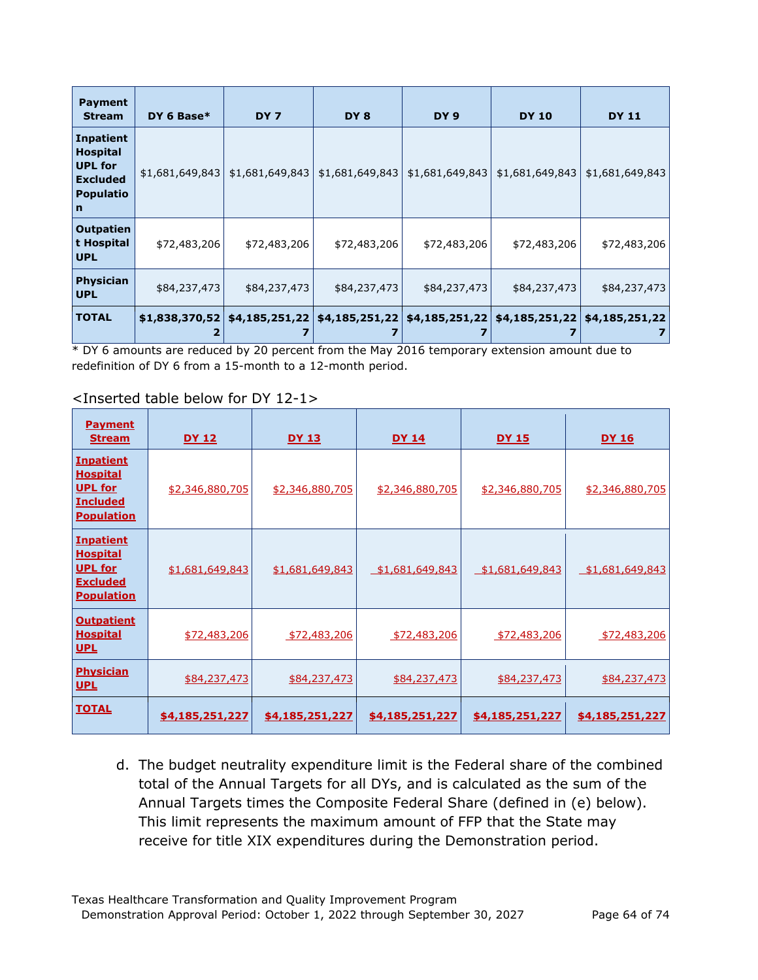| <b>Payment</b><br><b>Stream</b>                                                                   | DY 6 Base $*$   | DY <sub>7</sub> | DY 8            | DY 9            | <b>DY 10</b>                            | <b>DY 11</b>    |
|---------------------------------------------------------------------------------------------------|-----------------|-----------------|-----------------|-----------------|-----------------------------------------|-----------------|
| <b>Inpatient</b><br><b>Hospital</b><br><b>UPL for</b><br><b>Excluded</b><br><b>Populatio</b><br>n | \$1,681,649,843 | \$1,681,649,843 | \$1,681,649,843 | \$1,681,649,843 | \$1,681,649,843                         | \$1,681,649,843 |
| <b>Outpatien</b><br>t Hospital<br><b>UPL</b>                                                      | \$72,483,206    | \$72,483,206    | \$72,483,206    | \$72,483,206    | \$72,483,206                            | \$72,483,206    |
| <b>Physician</b><br><b>UPL</b>                                                                    | \$84,237,473    | \$84,237,473    | \$84,237,473    | \$84,237,473    | \$84,237,473                            | \$84,237,473    |
| <b>TOTAL</b>                                                                                      | \$1,838,370,52  | \$4,185,251,22  | \$4,185,251,22  |                 | $$4,185,251,22 \mid $4,185,251,22 \mid$ | \$4,185,251,22  |

\* DY 6 amounts are reduced by 20 percent from the May 2016 temporary extension amount due to redefinition of DY 6 from a 15-month to a 12-month period.

| <b>Payment</b><br><b>Stream</b>                                                               | <u>DY 12</u>    | <u>DY 13</u>    | <u>DY 14</u>           | <u>DY 15</u>    | <u>DY 16</u>    |
|-----------------------------------------------------------------------------------------------|-----------------|-----------------|------------------------|-----------------|-----------------|
| <b>Inpatient</b><br><b>Hospital</b><br><b>UPL for</b><br><b>Included</b><br><b>Population</b> | \$2,346,880,705 | \$2,346,880,705 | \$2,346,880,705        | \$2,346,880,705 | \$2,346,880,705 |
| <b>Inpatient</b><br><b>Hospital</b><br><b>UPL for</b><br><b>Excluded</b><br><b>Population</b> | \$1,681,649,843 | \$1,681,649,843 | <u>\$1,681,649,843</u> | \$1,681,649,843 | \$1,681,649,843 |
| <b>Outpatient</b><br><b>Hospital</b><br><u>UPL</u>                                            | \$72,483,206    | \$72,483,206    | \$72,483,206           | \$72,483,206    | \$72,483,206    |
| <b>Physician</b><br><b>UPL</b>                                                                | \$84,237,473    | \$84,237,473    | \$84,237,473           | \$84,237,473    | \$84,237,473    |
| <b>TOTAL</b>                                                                                  | \$4,185,251,227 | \$4,185,251,227 | \$4,185,251,227        | \$4,185,251,227 | \$4,185,251,227 |

<Inserted table below for DY 12-1>

d. The budget neutrality expenditure limit is the Federal share of the combined total of the Annual Targets for all DYs, and is calculated as the sum of the Annual Targets times the Composite Federal Share (defined in (e) below). This limit represents the maximum amount of FFP that the State may receive for title XIX expenditures during the Demonstration period.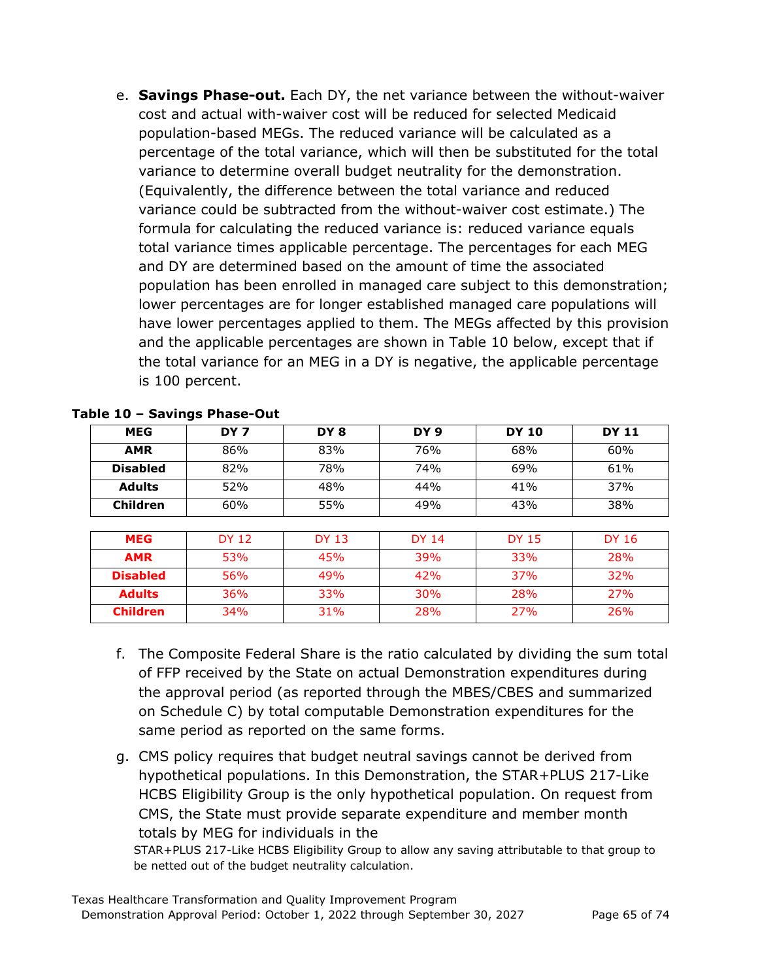e. **Savings Phase-out.** Each DY, the net variance between the without-waiver cost and actual with-waiver cost will be reduced for selected Medicaid population-based MEGs. The reduced variance will be calculated as a percentage of the total variance, which will then be substituted for the total variance to determine overall budget neutrality for the demonstration. (Equivalently, the difference between the total variance and reduced variance could be subtracted from the without-waiver cost estimate.) The formula for calculating the reduced variance is: reduced variance equals total variance times applicable percentage. The percentages for each MEG and DY are determined based on the amount of time the associated population has been enrolled in managed care subject to this demonstration; lower percentages are for longer established managed care populations will have lower percentages applied to them. The MEGs affected by this provision and the applicable percentages are shown in Table 10 below, except that if the total variance for an MEG in a DY is negative, the applicable percentage is 100 percent.

| <b>MEG</b>      | DY 7         | DY 8         | DY 9         | <b>DY 10</b> | <b>DY 11</b> |
|-----------------|--------------|--------------|--------------|--------------|--------------|
| <b>AMR</b>      | 86%          | 83%          | 76%          | 68%          | 60%          |
| <b>Disabled</b> | 82%          | 78%          | 74%          | 69%          | 61%          |
| <b>Adults</b>   | 52%          | 48%          | 44%          | 41%          | 37%          |
| <b>Children</b> | 60%          | 55%          | 49%          | 43%          | 38%          |
|                 |              |              |              |              |              |
| <b>MEG</b>      | <b>DY 12</b> | <b>DY 13</b> | <b>DY 14</b> | <b>DY 15</b> | <b>DY 16</b> |
| <b>AMR</b>      | 53%          | 45%          | 39%          | 33%          | 28%          |
| <b>Disabled</b> | 56%          | 49%          | 42%          | <b>37%</b>   | 32%          |
| <b>Adults</b>   | 36%          | 33%          | <b>30%</b>   | 28%          | <b>27%</b>   |
| <b>Children</b> | 34%          | 31%          | 28%          | 27%          | 26%          |

#### **Table 10 – Savings Phase-Out**

- f. The Composite Federal Share is the ratio calculated by dividing the sum total of FFP received by the State on actual Demonstration expenditures during the approval period (as reported through the MBES/CBES and summarized on Schedule C) by total computable Demonstration expenditures for the same period as reported on the same forms.
- g. CMS policy requires that budget neutral savings cannot be derived from hypothetical populations. In this Demonstration, the STAR+PLUS 217-Like HCBS Eligibility Group is the only hypothetical population. On request from CMS, the State must provide separate expenditure and member month totals by MEG for individuals in the

STAR+PLUS 217-Like HCBS Eligibility Group to allow any saving attributable to that group to be netted out of the budget neutrality calculation.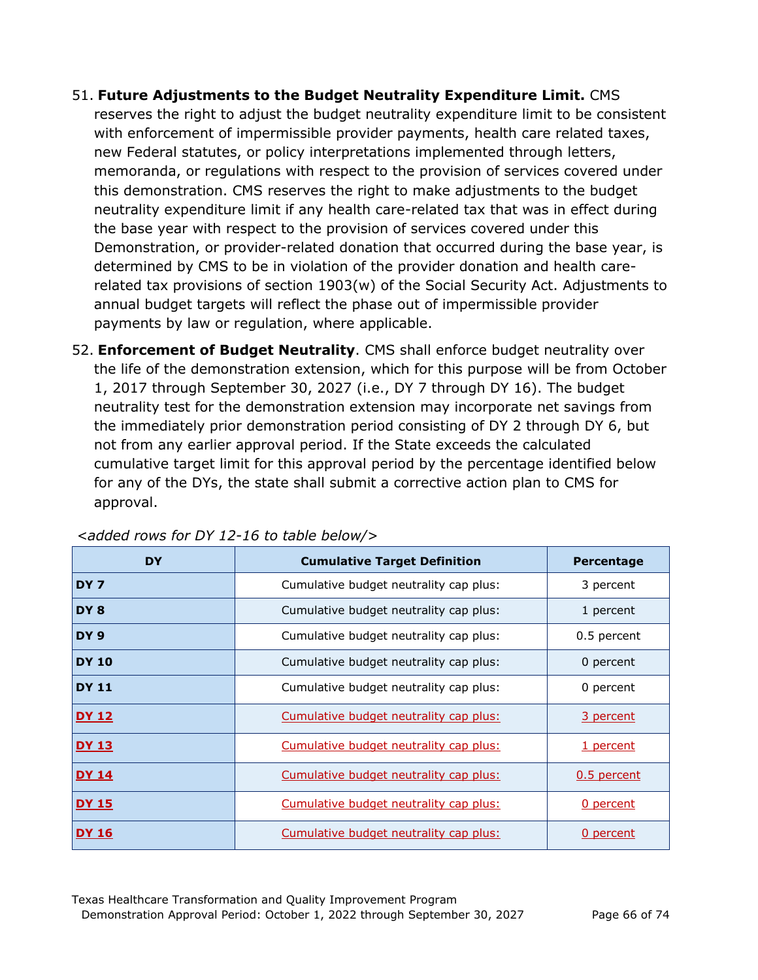- 51. **Future Adjustments to the Budget Neutrality Expenditure Limit.** CMS reserves the right to adjust the budget neutrality expenditure limit to be consistent with enforcement of impermissible provider payments, health care related taxes, new Federal statutes, or policy interpretations implemented through letters, memoranda, or regulations with respect to the provision of services covered under this demonstration. CMS reserves the right to make adjustments to the budget neutrality expenditure limit if any health care-related tax that was in effect during the base year with respect to the provision of services covered under this Demonstration, or provider-related donation that occurred during the base year, is determined by CMS to be in violation of the provider donation and health carerelated tax provisions of section 1903(w) of the Social Security Act. Adjustments to annual budget targets will reflect the phase out of impermissible provider payments by law or regulation, where applicable.
- 52. **Enforcement of Budget Neutrality**. CMS shall enforce budget neutrality over the life of the demonstration extension, which for this purpose will be from October 1, 2017 through September 30, 2027 (i.e., DY 7 through DY 16). The budget neutrality test for the demonstration extension may incorporate net savings from the immediately prior demonstration period consisting of DY 2 through DY 6, but not from any earlier approval period. If the State exceeds the calculated cumulative target limit for this approval period by the percentage identified below for any of the DYs, the state shall submit a corrective action plan to CMS for approval.

| <b>DY</b>       | <b>Cumulative Target Definition</b>           | Percentage       |
|-----------------|-----------------------------------------------|------------------|
| DY <sub>7</sub> | Cumulative budget neutrality cap plus:        | 3 percent        |
| DY <sub>8</sub> | Cumulative budget neutrality cap plus:        | 1 percent        |
| DY <sub>9</sub> | Cumulative budget neutrality cap plus:        | 0.5 percent      |
| <b>DY 10</b>    | Cumulative budget neutrality cap plus:        | 0 percent        |
| <b>DY 11</b>    | Cumulative budget neutrality cap plus:        | 0 percent        |
| <u>DY 12</u>    | Cumulative budget neutrality cap plus:        | 3 percent        |
| <b>DY 13</b>    | <u>Cumulative budget neutrality cap plus:</u> | <u>1 percent</u> |
| <b>DY 14</b>    | Cumulative budget neutrality cap plus:        | 0.5 percent      |
| <u>DY 15</u>    | Cumulative budget neutrality cap plus:        | 0 percent        |
| <u>DY 16</u>    | Cumulative budget neutrality cap plus:        | 0 percent        |

*<added rows for DY 12-16 to table below/>*

Texas Healthcare Transformation and Quality Improvement Program Demonstration Approval Period: October 1, 2022 through September 30, 2027 Page 66 of 74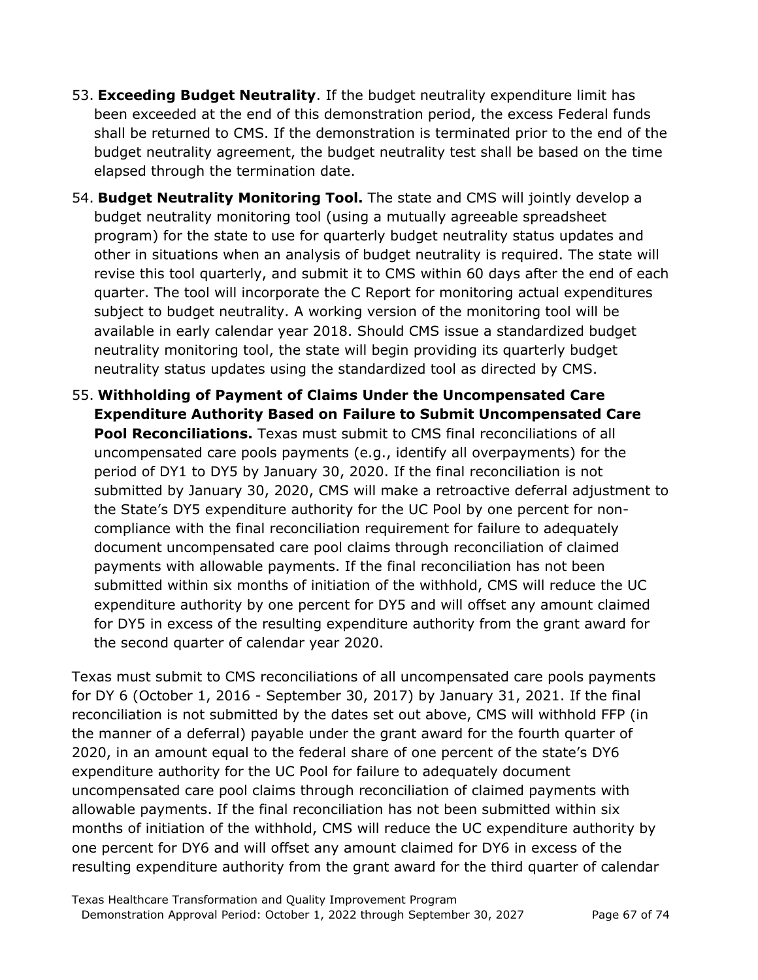- 53. **Exceeding Budget Neutrality**. If the budget neutrality expenditure limit has been exceeded at the end of this demonstration period, the excess Federal funds shall be returned to CMS. If the demonstration is terminated prior to the end of the budget neutrality agreement, the budget neutrality test shall be based on the time elapsed through the termination date.
- 54. **Budget Neutrality Monitoring Tool.** The state and CMS will jointly develop a budget neutrality monitoring tool (using a mutually agreeable spreadsheet program) for the state to use for quarterly budget neutrality status updates and other in situations when an analysis of budget neutrality is required. The state will revise this tool quarterly, and submit it to CMS within 60 days after the end of each quarter. The tool will incorporate the C Report for monitoring actual expenditures subject to budget neutrality. A working version of the monitoring tool will be available in early calendar year 2018. Should CMS issue a standardized budget neutrality monitoring tool, the state will begin providing its quarterly budget neutrality status updates using the standardized tool as directed by CMS.
- 55. **Withholding of Payment of Claims Under the Uncompensated Care Expenditure Authority Based on Failure to Submit Uncompensated Care Pool Reconciliations.** Texas must submit to CMS final reconciliations of all uncompensated care pools payments (e.g., identify all overpayments) for the period of DY1 to DY5 by January 30, 2020. If the final reconciliation is not submitted by January 30, 2020, CMS will make a retroactive deferral adjustment to the State's DY5 expenditure authority for the UC Pool by one percent for noncompliance with the final reconciliation requirement for failure to adequately document uncompensated care pool claims through reconciliation of claimed payments with allowable payments. If the final reconciliation has not been submitted within six months of initiation of the withhold, CMS will reduce the UC expenditure authority by one percent for DY5 and will offset any amount claimed for DY5 in excess of the resulting expenditure authority from the grant award for the second quarter of calendar year 2020.

Texas must submit to CMS reconciliations of all uncompensated care pools payments for DY 6 (October 1, 2016 - September 30, 2017) by January 31, 2021. If the final reconciliation is not submitted by the dates set out above, CMS will withhold FFP (in the manner of a deferral) payable under the grant award for the fourth quarter of 2020, in an amount equal to the federal share of one percent of the state's DY6 expenditure authority for the UC Pool for failure to adequately document uncompensated care pool claims through reconciliation of claimed payments with allowable payments. If the final reconciliation has not been submitted within six months of initiation of the withhold, CMS will reduce the UC expenditure authority by one percent for DY6 and will offset any amount claimed for DY6 in excess of the resulting expenditure authority from the grant award for the third quarter of calendar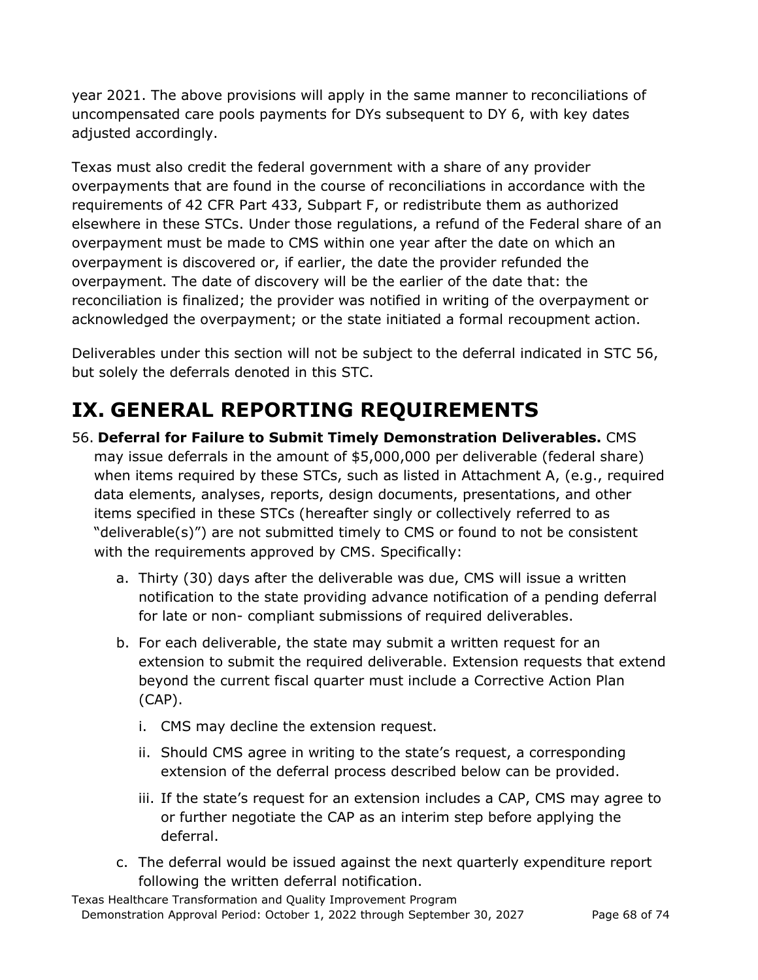year 2021. The above provisions will apply in the same manner to reconciliations of uncompensated care pools payments for DYs subsequent to DY 6, with key dates adjusted accordingly.

Texas must also credit the federal government with a share of any provider overpayments that are found in the course of reconciliations in accordance with the requirements of 42 CFR Part 433, Subpart F, or redistribute them as authorized elsewhere in these STCs. Under those regulations, a refund of the Federal share of an overpayment must be made to CMS within one year after the date on which an overpayment is discovered or, if earlier, the date the provider refunded the overpayment. The date of discovery will be the earlier of the date that: the reconciliation is finalized; the provider was notified in writing of the overpayment or acknowledged the overpayment; or the state initiated a formal recoupment action.

Deliverables under this section will not be subject to the deferral indicated in STC 56, but solely the deferrals denoted in this STC.

## **IX. GENERAL REPORTING REQUIREMENTS**

- 56. **Deferral for Failure to Submit Timely Demonstration Deliverables.** CMS may issue deferrals in the amount of \$5,000,000 per deliverable (federal share) when items required by these STCs, such as listed in Attachment A, (e.g., required data elements, analyses, reports, design documents, presentations, and other items specified in these STCs (hereafter singly or collectively referred to as "deliverable(s)") are not submitted timely to CMS or found to not be consistent with the requirements approved by CMS. Specifically:
	- a. Thirty (30) days after the deliverable was due, CMS will issue a written notification to the state providing advance notification of a pending deferral for late or non- compliant submissions of required deliverables.
	- b. For each deliverable, the state may submit a written request for an extension to submit the required deliverable. Extension requests that extend beyond the current fiscal quarter must include a Corrective Action Plan (CAP).
		- i. CMS may decline the extension request.
		- ii. Should CMS agree in writing to the state's request, a corresponding extension of the deferral process described below can be provided.
		- iii. If the state's request for an extension includes a CAP, CMS may agree to or further negotiate the CAP as an interim step before applying the deferral.
	- c. The deferral would be issued against the next quarterly expenditure report following the written deferral notification.

Texas Healthcare Transformation and Quality Improvement Program Demonstration Approval Period: October 1, 2022 through September 30, 2027 Page 68 of 74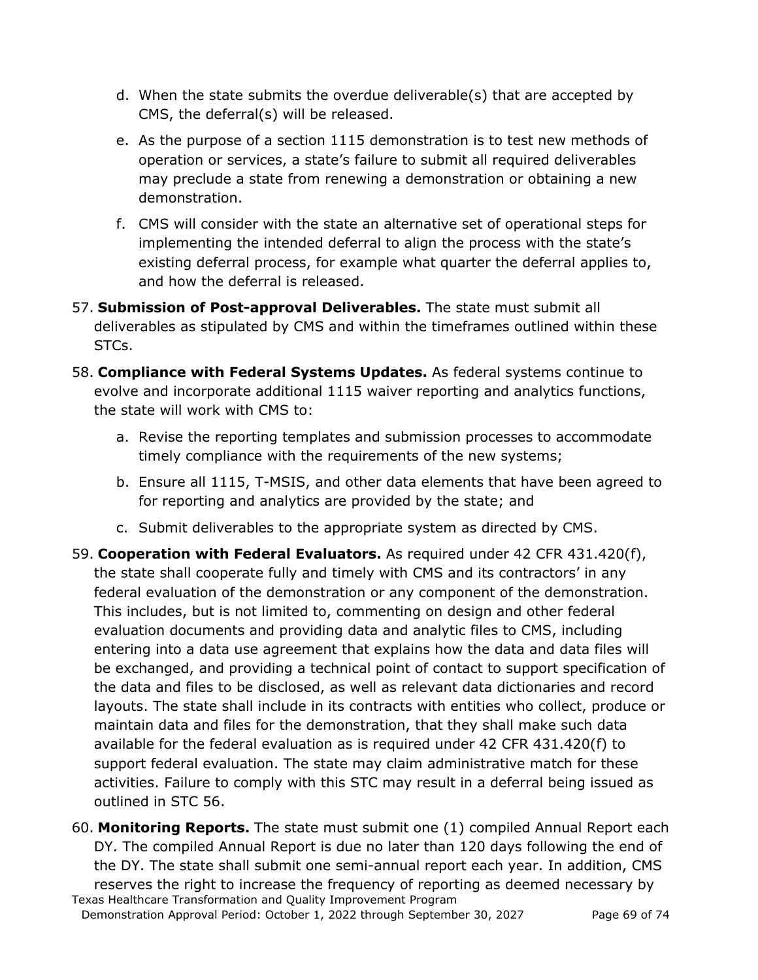- d. When the state submits the overdue deliverable(s) that are accepted by CMS, the deferral(s) will be released.
- e. As the purpose of a section 1115 demonstration is to test new methods of operation or services, a state's failure to submit all required deliverables may preclude a state from renewing a demonstration or obtaining a new demonstration.
- f. CMS will consider with the state an alternative set of operational steps for implementing the intended deferral to align the process with the state's existing deferral process, for example what quarter the deferral applies to, and how the deferral is released.
- 57. **Submission of Post-approval Deliverables.** The state must submit all deliverables as stipulated by CMS and within the timeframes outlined within these STCs.
- 58. **Compliance with Federal Systems Updates.** As federal systems continue to evolve and incorporate additional 1115 waiver reporting and analytics functions, the state will work with CMS to:
	- a. Revise the reporting templates and submission processes to accommodate timely compliance with the requirements of the new systems;
	- b. Ensure all 1115, T-MSIS, and other data elements that have been agreed to for reporting and analytics are provided by the state; and
	- c. Submit deliverables to the appropriate system as directed by CMS.
- 59. **Cooperation with Federal Evaluators.** As required under 42 CFR 431.420(f), the state shall cooperate fully and timely with CMS and its contractors' in any federal evaluation of the demonstration or any component of the demonstration. This includes, but is not limited to, commenting on design and other federal evaluation documents and providing data and analytic files to CMS, including entering into a data use agreement that explains how the data and data files will be exchanged, and providing a technical point of contact to support specification of the data and files to be disclosed, as well as relevant data dictionaries and record layouts. The state shall include in its contracts with entities who collect, produce or maintain data and files for the demonstration, that they shall make such data available for the federal evaluation as is required under 42 CFR 431.420(f) to support federal evaluation. The state may claim administrative match for these activities. Failure to comply with this STC may result in a deferral being issued as outlined in STC 56.
- Texas Healthcare Transformation and Quality Improvement Program 60. **Monitoring Reports.** The state must submit one (1) compiled Annual Report each DY. The compiled Annual Report is due no later than 120 days following the end of the DY. The state shall submit one semi-annual report each year. In addition, CMS reserves the right to increase the frequency of reporting as deemed necessary by

Demonstration Approval Period: October 1, 2022 through September 30, 2027 Page 69 of 74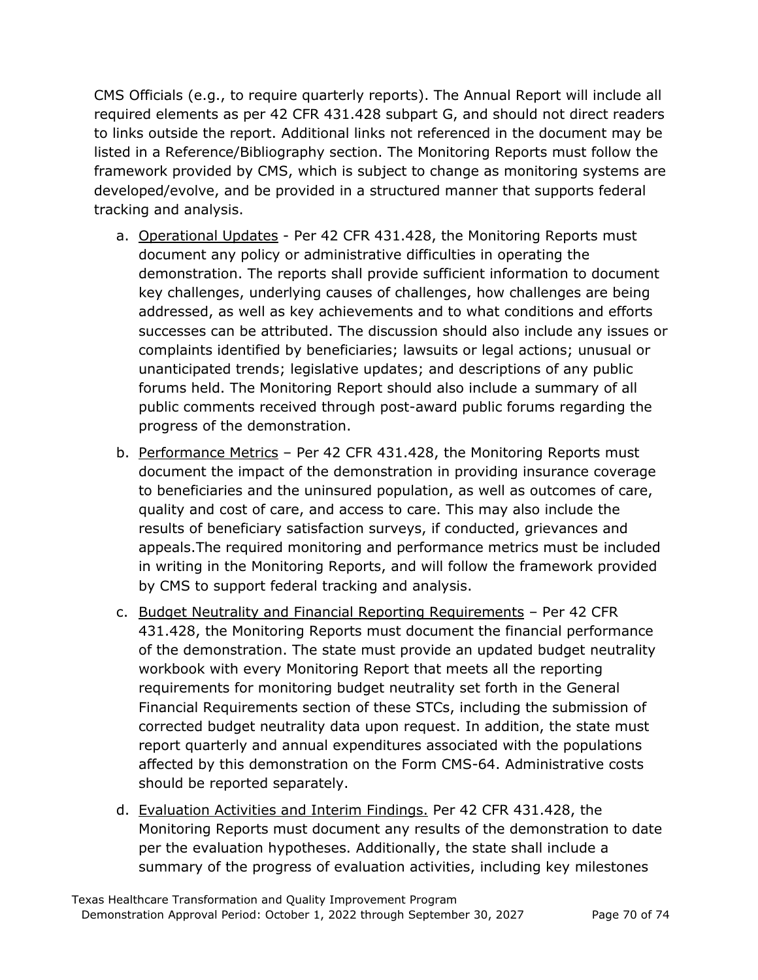CMS Officials (e.g., to require quarterly reports). The Annual Report will include all required elements as per 42 CFR 431.428 subpart G, and should not direct readers to links outside the report. Additional links not referenced in the document may be listed in a Reference/Bibliography section. The Monitoring Reports must follow the framework provided by CMS, which is subject to change as monitoring systems are developed/evolve, and be provided in a structured manner that supports federal tracking and analysis.

- a. Operational Updates Per 42 CFR 431.428, the Monitoring Reports must document any policy or administrative difficulties in operating the demonstration. The reports shall provide sufficient information to document key challenges, underlying causes of challenges, how challenges are being addressed, as well as key achievements and to what conditions and efforts successes can be attributed. The discussion should also include any issues or complaints identified by beneficiaries; lawsuits or legal actions; unusual or unanticipated trends; legislative updates; and descriptions of any public forums held. The Monitoring Report should also include a summary of all public comments received through post-award public forums regarding the progress of the demonstration.
- b. Performance Metrics Per 42 CFR 431.428, the Monitoring Reports must document the impact of the demonstration in providing insurance coverage to beneficiaries and the uninsured population, as well as outcomes of care, quality and cost of care, and access to care. This may also include the results of beneficiary satisfaction surveys, if conducted, grievances and appeals.The required monitoring and performance metrics must be included in writing in the Monitoring Reports, and will follow the framework provided by CMS to support federal tracking and analysis.
- c. Budget Neutrality and Financial Reporting Requirements Per 42 CFR 431.428, the Monitoring Reports must document the financial performance of the demonstration. The state must provide an updated budget neutrality workbook with every Monitoring Report that meets all the reporting requirements for monitoring budget neutrality set forth in the General Financial Requirements section of these STCs, including the submission of corrected budget neutrality data upon request. In addition, the state must report quarterly and annual expenditures associated with the populations affected by this demonstration on the Form CMS-64. Administrative costs should be reported separately.
- d. Evaluation Activities and Interim Findings. Per 42 CFR 431.428, the Monitoring Reports must document any results of the demonstration to date per the evaluation hypotheses. Additionally, the state shall include a summary of the progress of evaluation activities, including key milestones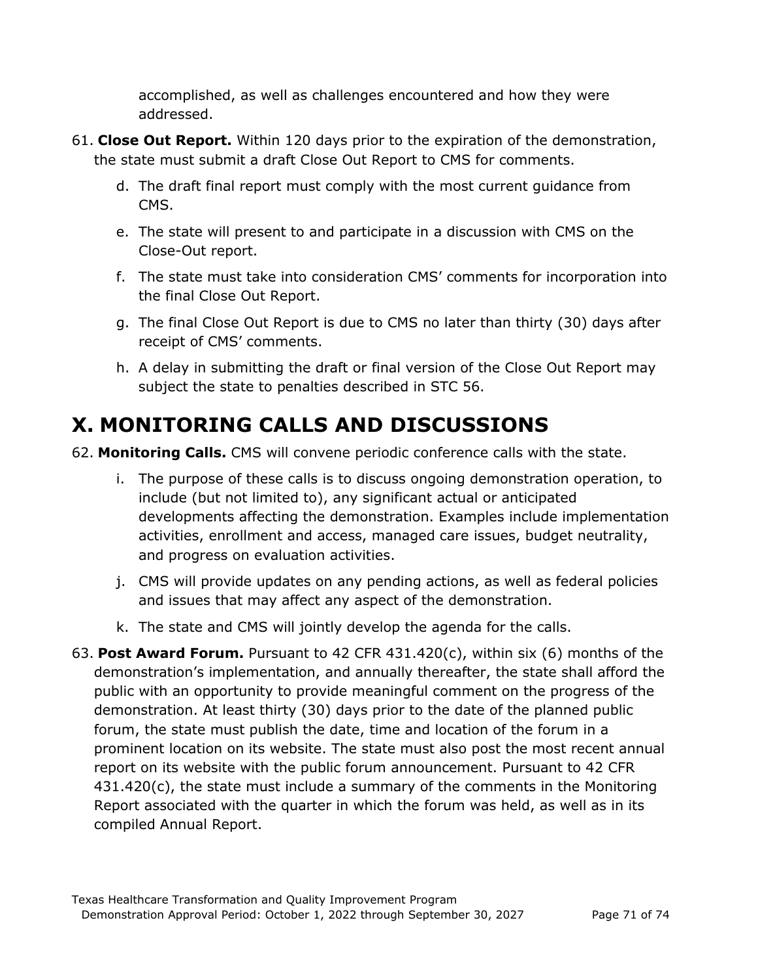accomplished, as well as challenges encountered and how they were addressed.

- 61. **Close Out Report.** Within 120 days prior to the expiration of the demonstration, the state must submit a draft Close Out Report to CMS for comments.
	- d. The draft final report must comply with the most current guidance from CMS.
	- e. The state will present to and participate in a discussion with CMS on the Close-Out report.
	- f. The state must take into consideration CMS' comments for incorporation into the final Close Out Report.
	- g. The final Close Out Report is due to CMS no later than thirty (30) days after receipt of CMS' comments.
	- h. A delay in submitting the draft or final version of the Close Out Report may subject the state to penalties described in STC 56.

## **X. MONITORING CALLS AND DISCUSSIONS**

- 62. **Monitoring Calls.** CMS will convene periodic conference calls with the state.
	- i. The purpose of these calls is to discuss ongoing demonstration operation, to include (but not limited to), any significant actual or anticipated developments affecting the demonstration. Examples include implementation activities, enrollment and access, managed care issues, budget neutrality, and progress on evaluation activities.
	- j. CMS will provide updates on any pending actions, as well as federal policies and issues that may affect any aspect of the demonstration.
	- k. The state and CMS will jointly develop the agenda for the calls.
- 63. **Post Award Forum.** Pursuant to 42 CFR 431.420(c), within six (6) months of the demonstration's implementation, and annually thereafter, the state shall afford the public with an opportunity to provide meaningful comment on the progress of the demonstration. At least thirty (30) days prior to the date of the planned public forum, the state must publish the date, time and location of the forum in a prominent location on its website. The state must also post the most recent annual report on its website with the public forum announcement. Pursuant to 42 CFR 431.420(c), the state must include a summary of the comments in the Monitoring Report associated with the quarter in which the forum was held, as well as in its compiled Annual Report.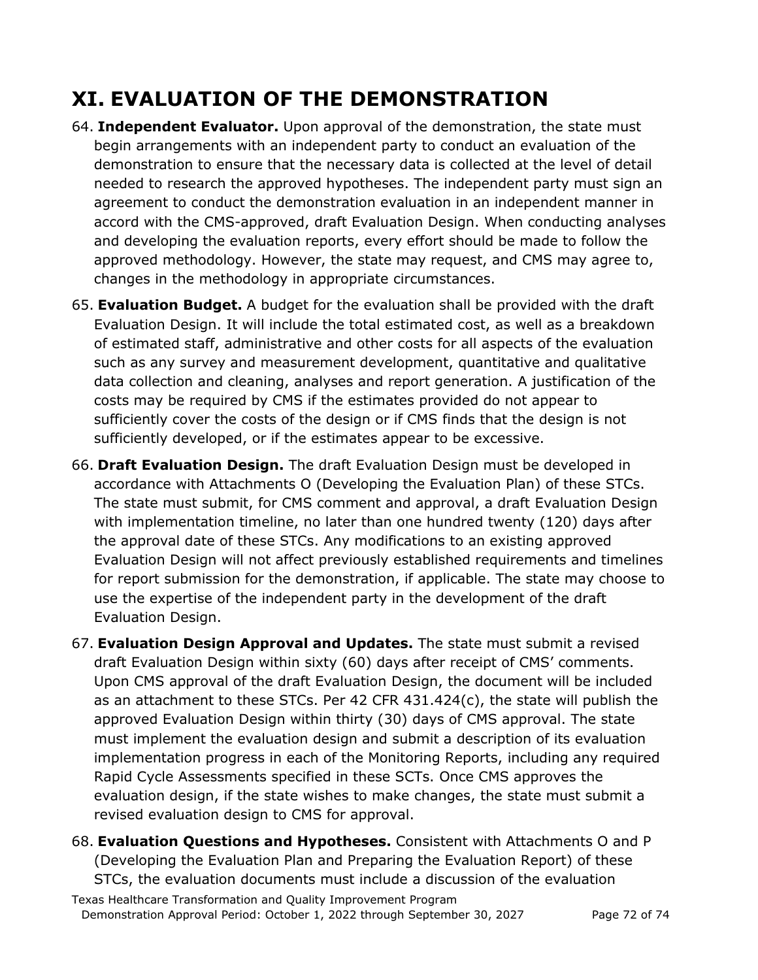## **XI. EVALUATION OF THE DEMONSTRATION**

- 64. **Independent Evaluator.** Upon approval of the demonstration, the state must begin arrangements with an independent party to conduct an evaluation of the demonstration to ensure that the necessary data is collected at the level of detail needed to research the approved hypotheses. The independent party must sign an agreement to conduct the demonstration evaluation in an independent manner in accord with the CMS-approved, draft Evaluation Design. When conducting analyses and developing the evaluation reports, every effort should be made to follow the approved methodology. However, the state may request, and CMS may agree to, changes in the methodology in appropriate circumstances.
- 65. **Evaluation Budget.** A budget for the evaluation shall be provided with the draft Evaluation Design. It will include the total estimated cost, as well as a breakdown of estimated staff, administrative and other costs for all aspects of the evaluation such as any survey and measurement development, quantitative and qualitative data collection and cleaning, analyses and report generation. A justification of the costs may be required by CMS if the estimates provided do not appear to sufficiently cover the costs of the design or if CMS finds that the design is not sufficiently developed, or if the estimates appear to be excessive.
- 66. **Draft Evaluation Design.** The draft Evaluation Design must be developed in accordance with Attachments O (Developing the Evaluation Plan) of these STCs. The state must submit, for CMS comment and approval, a draft Evaluation Design with implementation timeline, no later than one hundred twenty (120) days after the approval date of these STCs. Any modifications to an existing approved Evaluation Design will not affect previously established requirements and timelines for report submission for the demonstration, if applicable. The state may choose to use the expertise of the independent party in the development of the draft Evaluation Design.
- 67. **Evaluation Design Approval and Updates.** The state must submit a revised draft Evaluation Design within sixty (60) days after receipt of CMS' comments. Upon CMS approval of the draft Evaluation Design, the document will be included as an attachment to these STCs. Per 42 CFR 431.424(c), the state will publish the approved Evaluation Design within thirty (30) days of CMS approval. The state must implement the evaluation design and submit a description of its evaluation implementation progress in each of the Monitoring Reports, including any required Rapid Cycle Assessments specified in these SCTs. Once CMS approves the evaluation design, if the state wishes to make changes, the state must submit a revised evaluation design to CMS for approval.
- 68. **Evaluation Questions and Hypotheses.** Consistent with Attachments O and P (Developing the Evaluation Plan and Preparing the Evaluation Report) of these STCs, the evaluation documents must include a discussion of the evaluation

Texas Healthcare Transformation and Quality Improvement Program Demonstration Approval Period: October 1, 2022 through September 30, 2027 Page 72 of 74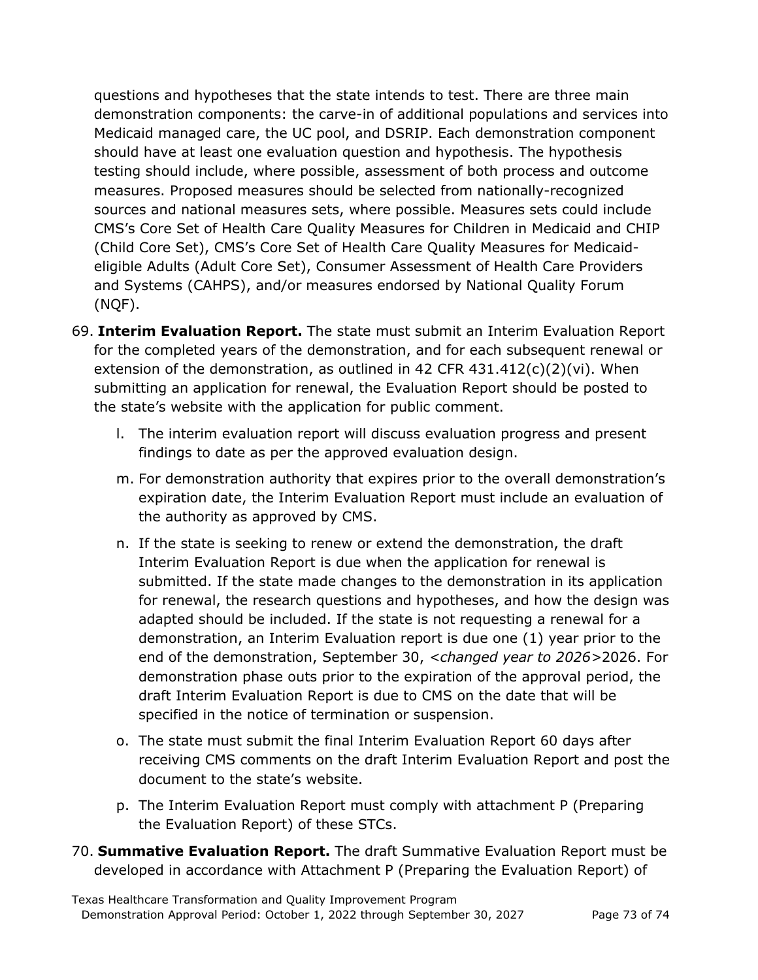questions and hypotheses that the state intends to test. There are three main demonstration components: the carve-in of additional populations and services into Medicaid managed care, the UC pool, and DSRIP. Each demonstration component should have at least one evaluation question and hypothesis. The hypothesis testing should include, where possible, assessment of both process and outcome measures. Proposed measures should be selected from nationally-recognized sources and national measures sets, where possible. Measures sets could include CMS's Core Set of Health Care Quality Measures for Children in Medicaid and CHIP (Child Core Set), CMS's Core Set of Health Care Quality Measures for Medicaideligible Adults (Adult Core Set), Consumer Assessment of Health Care Providers and Systems (CAHPS), and/or measures endorsed by National Quality Forum (NQF).

- 69. **Interim Evaluation Report.** The state must submit an Interim Evaluation Report for the completed years of the demonstration, and for each subsequent renewal or extension of the demonstration, as outlined in 42 CFR  $431.412(c)(2)(vi)$ . When submitting an application for renewal, the Evaluation Report should be posted to the state's website with the application for public comment.
	- l. The interim evaluation report will discuss evaluation progress and present findings to date as per the approved evaluation design.
	- m. For demonstration authority that expires prior to the overall demonstration's expiration date, the Interim Evaluation Report must include an evaluation of the authority as approved by CMS.
	- n. If the state is seeking to renew or extend the demonstration, the draft Interim Evaluation Report is due when the application for renewal is submitted. If the state made changes to the demonstration in its application for renewal, the research questions and hypotheses, and how the design was adapted should be included. If the state is not requesting a renewal for a demonstration, an Interim Evaluation report is due one (1) year prior to the end of the demonstration, September 30, *<changed year to 2026>*2026. For demonstration phase outs prior to the expiration of the approval period, the draft Interim Evaluation Report is due to CMS on the date that will be specified in the notice of termination or suspension.
	- o. The state must submit the final Interim Evaluation Report 60 days after receiving CMS comments on the draft Interim Evaluation Report and post the document to the state's website.
	- p. The Interim Evaluation Report must comply with attachment P (Preparing the Evaluation Report) of these STCs.
- 70. **Summative Evaluation Report.** The draft Summative Evaluation Report must be developed in accordance with Attachment P (Preparing the Evaluation Report) of